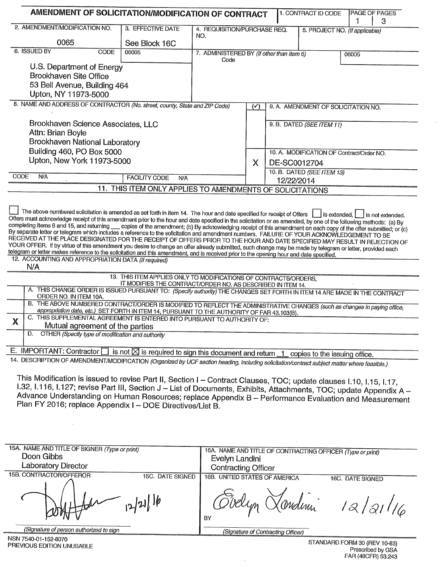| AMENDMENT OF SOLICITATION/MODIFICATION OF CONTRACT                                                                                                                                                                                                                                                                                                                                                                                                                                                                                                                                                                                                                                                                                                                                                                                                                                                                                                                                                                                                                                                              |                                                                                                                                 |                                                   |   |              | 1. CONTRACT ID CODE                 | PAGE OF PAGES<br>3<br>1                   |
|-----------------------------------------------------------------------------------------------------------------------------------------------------------------------------------------------------------------------------------------------------------------------------------------------------------------------------------------------------------------------------------------------------------------------------------------------------------------------------------------------------------------------------------------------------------------------------------------------------------------------------------------------------------------------------------------------------------------------------------------------------------------------------------------------------------------------------------------------------------------------------------------------------------------------------------------------------------------------------------------------------------------------------------------------------------------------------------------------------------------|---------------------------------------------------------------------------------------------------------------------------------|---------------------------------------------------|---|--------------|-------------------------------------|-------------------------------------------|
| 2. AMENDMENT/MODIFICATION NO.                                                                                                                                                                                                                                                                                                                                                                                                                                                                                                                                                                                                                                                                                                                                                                                                                                                                                                                                                                                                                                                                                   | 3. EFFECTIVE DATE                                                                                                               | 4. REQUISITION/PURCHASE REQ.                      |   |              |                                     | 5. PROJECT NO. (If applicable)            |
|                                                                                                                                                                                                                                                                                                                                                                                                                                                                                                                                                                                                                                                                                                                                                                                                                                                                                                                                                                                                                                                                                                                 |                                                                                                                                 | NO.                                               |   |              |                                     |                                           |
| 0065<br>6. ISSUED BY                                                                                                                                                                                                                                                                                                                                                                                                                                                                                                                                                                                                                                                                                                                                                                                                                                                                                                                                                                                                                                                                                            | See Block 16C                                                                                                                   |                                                   |   |              |                                     |                                           |
| <b>CODE</b>                                                                                                                                                                                                                                                                                                                                                                                                                                                                                                                                                                                                                                                                                                                                                                                                                                                                                                                                                                                                                                                                                                     | 06005                                                                                                                           | 7. ADMINISTERED BY (If other than Item 6)<br>Code |   |              |                                     | 06005                                     |
| U.S. Department of Energy                                                                                                                                                                                                                                                                                                                                                                                                                                                                                                                                                                                                                                                                                                                                                                                                                                                                                                                                                                                                                                                                                       |                                                                                                                                 |                                                   |   |              |                                     |                                           |
| Brookhaven Site Office                                                                                                                                                                                                                                                                                                                                                                                                                                                                                                                                                                                                                                                                                                                                                                                                                                                                                                                                                                                                                                                                                          |                                                                                                                                 |                                                   |   |              |                                     |                                           |
| 53 Bell Avenue, Building 464                                                                                                                                                                                                                                                                                                                                                                                                                                                                                                                                                                                                                                                                                                                                                                                                                                                                                                                                                                                                                                                                                    |                                                                                                                                 |                                                   |   |              |                                     |                                           |
| Upton, NY 11973-5000                                                                                                                                                                                                                                                                                                                                                                                                                                                                                                                                                                                                                                                                                                                                                                                                                                                                                                                                                                                                                                                                                            |                                                                                                                                 |                                                   |   |              |                                     |                                           |
| 8. NAME AND ADDRESS OF CONTRACTOR (No. street, county, State and ZIP Code)                                                                                                                                                                                                                                                                                                                                                                                                                                                                                                                                                                                                                                                                                                                                                                                                                                                                                                                                                                                                                                      |                                                                                                                                 |                                                   | ⑷ |              | 9. A. AMENDMENT OF SOLICITATION NO. |                                           |
|                                                                                                                                                                                                                                                                                                                                                                                                                                                                                                                                                                                                                                                                                                                                                                                                                                                                                                                                                                                                                                                                                                                 |                                                                                                                                 |                                                   |   |              |                                     |                                           |
| Brookhaven Science Associates, LLC                                                                                                                                                                                                                                                                                                                                                                                                                                                                                                                                                                                                                                                                                                                                                                                                                                                                                                                                                                                                                                                                              |                                                                                                                                 |                                                   |   |              | 9. B. DATED (SEE ITEM 11)           |                                           |
| Attn: Brian Boyle                                                                                                                                                                                                                                                                                                                                                                                                                                                                                                                                                                                                                                                                                                                                                                                                                                                                                                                                                                                                                                                                                               |                                                                                                                                 |                                                   |   |              |                                     |                                           |
| Brookhaven National Laboratory                                                                                                                                                                                                                                                                                                                                                                                                                                                                                                                                                                                                                                                                                                                                                                                                                                                                                                                                                                                                                                                                                  |                                                                                                                                 |                                                   |   |              |                                     |                                           |
| Building 460, PO Box 5000<br>Upton, New York 11973-5000                                                                                                                                                                                                                                                                                                                                                                                                                                                                                                                                                                                                                                                                                                                                                                                                                                                                                                                                                                                                                                                         |                                                                                                                                 |                                                   |   |              |                                     | 10. A. MODIFICATION OF Contract/Order NO. |
|                                                                                                                                                                                                                                                                                                                                                                                                                                                                                                                                                                                                                                                                                                                                                                                                                                                                                                                                                                                                                                                                                                                 |                                                                                                                                 |                                                   | X | DE-SC0012704 |                                     |                                           |
| CODE<br>N/A                                                                                                                                                                                                                                                                                                                                                                                                                                                                                                                                                                                                                                                                                                                                                                                                                                                                                                                                                                                                                                                                                                     | <b>FACILITY CODE</b><br>N/A                                                                                                     |                                                   |   | 12/22/2014   | 10. B. DATED (SEE ITEM 13)          |                                           |
| 11.                                                                                                                                                                                                                                                                                                                                                                                                                                                                                                                                                                                                                                                                                                                                                                                                                                                                                                                                                                                                                                                                                                             | THIS ITEM ONLY APPLIES TO AMENDMENTS OF SOLICITATIONS                                                                           |                                                   |   |              |                                     |                                           |
| The above numbered solicitation is amended as set forth in Item 14. The hour and date specified for receipt of Offers<br>Offers must acknowledge receipt of this amendment prior to the hour and date specified in the solicitation or as amended, by one of the following methods: (a) By<br>completing Items 8 and 15, and returning __ copies of the amendment; (b) By acknowledging receipt of this amendment on each copy of the offer submitted; or (c)<br>By separate letter or telegram which includes a reference to the solicitation and amendment numbers. FAILURE OF YOUR ACKNOWLEDGEMENT TO BE<br>RECEIVED AT THE PLACE DESIGNATED FOR THE RECEIPT OF OFFERS PRIOR TO THE HOUR AND DATE SPECIFIED MAY RESULT IN REJECTION OF<br>YOUR OFFER. If by virtue of this amendment you desire to change an offer already submitted, such change may be made by telegram or letter, provided each<br>telegram or letter makes reference to the solicitation and this amendment, and is received prior to the opening hour and date specified.<br>12. ACCOUNTING AND APPROPRIATION DATA (If required)<br>N/A |                                                                                                                                 |                                                   |   |              | is extended,                        | is not extended.                          |
|                                                                                                                                                                                                                                                                                                                                                                                                                                                                                                                                                                                                                                                                                                                                                                                                                                                                                                                                                                                                                                                                                                                 | 13. THIS ITEM APPLIES ONLY TO MODIFICATIONS OF CONTRACTS/ORDERS,<br>IT MODIFIES THE CONTRACT/ORDER NO. AS DESCRIBED IN ITEM 14. |                                                   |   |              |                                     |                                           |
| A. THIS CHANGE ORDER IS ISSUED PURSUANT TO: (Specify authority) THE CHANGES SET FORTH IN ITEM 14 ARE MADE IN THE CONTRACT<br>ORDER NO. IN ITEM 10A.                                                                                                                                                                                                                                                                                                                                                                                                                                                                                                                                                                                                                                                                                                                                                                                                                                                                                                                                                             |                                                                                                                                 |                                                   |   |              |                                     |                                           |
| B. THE ABOVE NUMBERED CONTRACT/ORDER IS MODIFIED TO REFLECT THE ADMINISTRATIVE CHANGES (such as changes in paying office,                                                                                                                                                                                                                                                                                                                                                                                                                                                                                                                                                                                                                                                                                                                                                                                                                                                                                                                                                                                       |                                                                                                                                 |                                                   |   |              |                                     |                                           |
| appropriation date, etc.) SET FORTH IN ITEM 14, PURSUANT TO THE AUTHORITY OF FAR 43.103(B).                                                                                                                                                                                                                                                                                                                                                                                                                                                                                                                                                                                                                                                                                                                                                                                                                                                                                                                                                                                                                     |                                                                                                                                 |                                                   |   |              |                                     |                                           |
| C. THIS SUPPLEMENTAL AGREEMENT IS ENTERED INTO PURSUANT TO AUTHORITY OF:<br>X<br>Mutual agreement of the parties                                                                                                                                                                                                                                                                                                                                                                                                                                                                                                                                                                                                                                                                                                                                                                                                                                                                                                                                                                                                |                                                                                                                                 |                                                   |   |              |                                     |                                           |
| D.<br>OTHER (Specify type of modification and authority                                                                                                                                                                                                                                                                                                                                                                                                                                                                                                                                                                                                                                                                                                                                                                                                                                                                                                                                                                                                                                                         |                                                                                                                                 |                                                   |   |              |                                     |                                           |
| E. IMPORTANT: Contractor                                                                                                                                                                                                                                                                                                                                                                                                                                                                                                                                                                                                                                                                                                                                                                                                                                                                                                                                                                                                                                                                                        | is not $\boxtimes$ is required to sign this document and return $1$ copies to the issuing office.                               |                                                   |   |              |                                     |                                           |
| 14. DESCRIPTION OF AMENDMENT/MODIFICATION (Organized by UCF section heading, including solicitation/contract subject matter where feasible.)                                                                                                                                                                                                                                                                                                                                                                                                                                                                                                                                                                                                                                                                                                                                                                                                                                                                                                                                                                    |                                                                                                                                 |                                                   |   |              |                                     |                                           |
| This Modification is issued to revise Part II, Section I - Contract Clauses, TOC; update clauses I.10, I.15, I.17,<br>I.32, I.116, I.127; revise Part III, Section J - List of Documents, Exhibits, Attachments, TOC; update Appendix A -<br>Advance Understanding on Human Resources; replace Appendix B - Performance Evaluation and Measurement<br>Plan FY 2016; replace Appendix I - DOE Directives/List B.                                                                                                                                                                                                                                                                                                                                                                                                                                                                                                                                                                                                                                                                                                 |                                                                                                                                 |                                                   |   |              |                                     |                                           |

| 15A. NAME AND TITLE OF SIGNER (Type or print)<br>Doon Gibbs | 16A. NAME AND TITLE OF CONTRACTING OFFICER (Type or print) |
|-------------------------------------------------------------|------------------------------------------------------------|
| <b>Laboratory Director</b>                                  | Evelyn Landini<br><b>Contracting Officer</b>               |
| 15B. CONTRACTOR/OFFEROR<br>15C. DATE SIGNED                 | 16B. UNITED STATES OF AMERICA<br>16C. DATE SIGNED          |
|                                                             | 'Ondinn<br>BY                                              |
| (Signature of person authorized to sign                     | (Signature of Contracting Officer)                         |
| NSN 7540-01-152-8070                                        |                                                            |

 $\mathcal{A}$ 

 $\label{eq:2.1} \mathcal{L}_{\mathcal{A}}(x) = \mathcal{L}_{\mathcal{A}}(x) \mathcal{L}_{\mathcal{A}}(x) \mathcal{L}_{\mathcal{A}}(x)$ 

NSN 7540-01-152-8070<br>PREVIOUS EDITION UNUSABLE

 $\mathcal{L}^{\text{max}}_{\text{max}}$  and  $\mathcal{L}^{\text{max}}_{\text{max}}$ 

STANDARD FORM 30 (REV 10-83)<br>Prescribed by GSA<br>FAR (48CFR) 53.243

 $\bar{\beta}$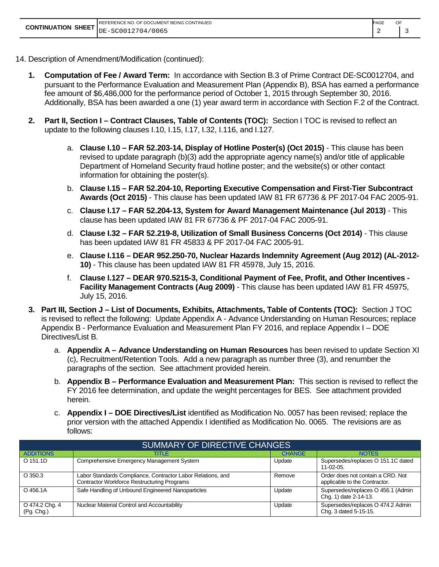| <b>CONTINUATION SHEET</b> $DE-SC0012704/0065$ | REFERENCE NO. OF DOCUMENT BEING CONTINUED | PAGE | OF |
|-----------------------------------------------|-------------------------------------------|------|----|
|                                               |                                           |      |    |

- 14. Description of Amendment/Modification (continued):
	- **1. Computation of Fee / Award Term:** In accordance with Section B.3 of Prime Contract DE-SC0012704, and pursuant to the Performance Evaluation and Measurement Plan (Appendix B), BSA has earned a performance fee amount of \$6,486,000 for the performance period of October 1, 2015 through September 30, 2016. Additionally, BSA has been awarded a one (1) year award term in accordance with Section F.2 of the Contract.
	- **2. Part II, Section I – Contract Clauses, Table of Contents (TOC):** Section I TOC is revised to reflect an update to the following clauses I.10, I.15, I.17, I.32, I.116, and I.127.
		- a. **Clause I.10 – FAR 52.203-14, Display of Hotline Poster(s) (Oct 2015)** This clause has been revised to update paragraph (b)(3) add the appropriate agency name(s) and/or title of applicable Department of Homeland Security fraud hotline poster; and the website(s) or other contact information for obtaining the poster(s).
		- b. **Clause I.15 – FAR 52.204-10, Reporting Executive Compensation and First-Tier Subcontract Awards (Oct 2015)** - This clause has been updated IAW 81 FR 67736 & PF 2017-04 FAC 2005-91.
		- c. **Clause I.17 – FAR 52.204-13, System for Award Management Maintenance (Jul 2013)** This clause has been updated IAW 81 FR 67736 & PF 2017-04 FAC 2005-91.
		- d. **Clause I.32 – FAR 52.219-8, Utilization of Small Business Concerns (Oct 2014)**  This clause has been updated IAW 81 FR 45833 & PF 2017-04 FAC 2005-91.
		- e. **Clause I.116 – DEAR 952.250-70, Nuclear Hazards Indemnity Agreement (Aug 2012) (AL-2012- 10)** - This clause has been updated IAW 81 FR 45978, July 15, 2016.
		- f. **Clause I.127 – DEAR 970.5215-3, Conditional Payment of Fee, Profit, and Other Incentives - Facility Management Contracts (Aug 2009)** - This clause has been updated IAW 81 FR 45975, July 15, 2016.
	- **3. Part III, Section J – List of Documents, Exhibits, Attachments, Table of Contents (TOC):** Section J TOC is revised to reflect the following: Update Appendix A - Advance Understanding on Human Resources; replace Appendix B - Performance Evaluation and Measurement Plan FY 2016, and replace Appendix I – DOE Directives/List B.
		- a. **Appendix A – Advance Understanding on Human Resources** has been revised to update Section XI (c), Recruitment/Retention Tools. Add a new paragraph as number three (3), and renumber the paragraphs of the section. See attachment provided herein.
		- b. **Appendix B – Performance Evaluation and Measurement Plan:** This section is revised to reflect the FY 2016 fee determination, and update the weight percentages for BES. See attachment provided herein.
		- c. **Appendix I – DOE Directives/List** identified as Modification No. 0057 has been revised; replace the prior version with the attached Appendix I identified as Modification No. 0065. The revisions are as follows:

| SUMMARY OF DIRECTIVE CHANGES |                                                                                                                   |               |                                                                    |  |  |  |  |
|------------------------------|-------------------------------------------------------------------------------------------------------------------|---------------|--------------------------------------------------------------------|--|--|--|--|
| <b>ADDITIONS</b>             | <b>TITLE</b>                                                                                                      | <b>CHANGE</b> | <b>NOTES</b>                                                       |  |  |  |  |
| $O$ 151.1D                   | Comprehensive Emergency Management System                                                                         | Update        | Supersedes/replaces O 151.1C dated<br>$11 - 02 - 05$ .             |  |  |  |  |
| O 350.3                      | Labor Standards Compliance, Contractor Labor Relations, and<br><b>Contractor Workforce Restructuring Programs</b> | Remove        | Order does not contain a CRD. Not<br>applicable to the Contractor. |  |  |  |  |
| O 456.1A                     | Safe Handling of Unbound Engineered Nanoparticles                                                                 | Update        | Supersedes/replaces O 456.1 (Admin<br>Chg. 1) date 2-14-13.        |  |  |  |  |
| O 474.2 Chg. 4<br>(Pg. Chg.) | Nuclear Material Control and Accountability                                                                       | Update        | Supersedes/replaces O 474.2 Admin<br>Chg. 3 dated 5-15-15.         |  |  |  |  |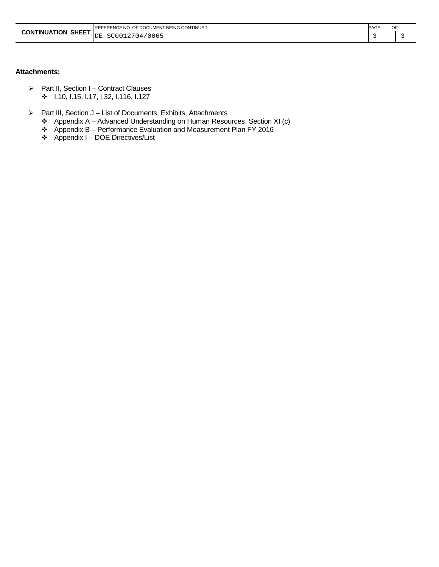#### **Attachments:**

- ▶ Part II, Section I Contract Clauses
	- I.10, I.15, I.17, I.32, I.116, I.127
- $\triangleright$  Part III, Section J List of Documents, Exhibits, Attachments
	- Appendix A Advanced Understanding on Human Resources, Section XI (c)
	- Appendix B Performance Evaluation and Measurement Plan FY 2016
	- Appendix I DOE Directives/List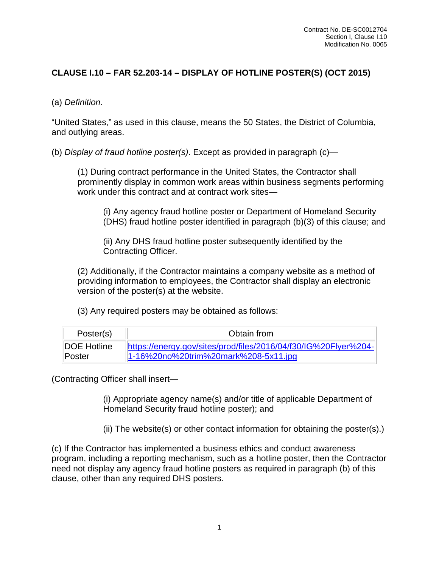### **CLAUSE I.10 – FAR 52.203-14 – DISPLAY OF HOTLINE POSTER(S) (OCT 2015)**

(a) *Definition*.

"United States," as used in this clause, means the 50 States, the District of Columbia, and outlying areas.

(b) *Display of fraud hotline poster(s)*. Except as provided in paragraph (c)—

(1) During contract performance in the United States, the Contractor shall prominently display in common work areas within business segments performing work under this contract and at contract work sites—

(i) Any agency fraud hotline poster or Department of Homeland Security (DHS) fraud hotline poster identified in paragraph (b)(3) of this clause; and

(ii) Any DHS fraud hotline poster subsequently identified by the Contracting Officer.

(2) Additionally, if the Contractor maintains a company website as a method of providing information to employees, the Contractor shall display an electronic version of the poster(s) at the website.

(3) Any required posters may be obtained as follows:

| Poster(s)          | Obtain from                                                     |
|--------------------|-----------------------------------------------------------------|
| <b>DOE Hotline</b> | https://energy.gov/sites/prod/files/2016/04/f30/IG%20Flyer%204- |
| lPoster            | 1-16%20no%20trim%20mark%208-5x11.jpq                            |

(Contracting Officer shall insert—

(i) Appropriate agency name(s) and/or title of applicable Department of Homeland Security fraud hotline poster); and

(ii) The website(s) or other contact information for obtaining the poster(s).)

(c) If the Contractor has implemented a business ethics and conduct awareness program, including a reporting mechanism, such as a hotline poster, then the Contractor need not display any agency fraud hotline posters as required in paragraph (b) of this clause, other than any required DHS posters.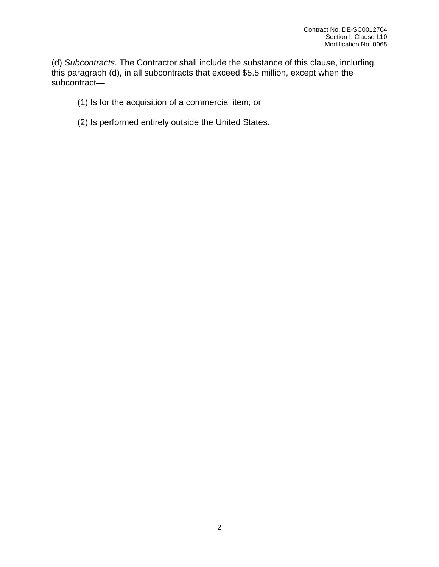(d) *Subcontracts*. The Contractor shall include the substance of this clause, including this paragraph (d), in all subcontracts that exceed \$5.5 million, except when the subcontract—

- (1) Is for the acquisition of a commercial item; or
- (2) Is performed entirely outside the United States.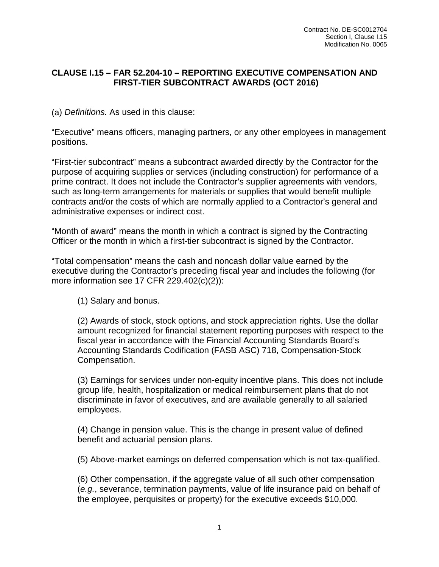### **CLAUSE I.15 – FAR 52.204-10 – REPORTING EXECUTIVE COMPENSATION AND FIRST-TIER SUBCONTRACT AWARDS (OCT 2016)**

(a) *Definitions.* As used in this clause:

"Executive" means officers, managing partners, or any other employees in management positions.

"First-tier subcontract" means a subcontract awarded directly by the Contractor for the purpose of acquiring supplies or services (including construction) for performance of a prime contract. It does not include the Contractor's supplier agreements with vendors, such as long-term arrangements for materials or supplies that would benefit multiple contracts and/or the costs of which are normally applied to a Contractor's general and administrative expenses or indirect cost.

"Month of award" means the month in which a contract is signed by the Contracting Officer or the month in which a first-tier subcontract is signed by the Contractor.

"Total compensation" means the cash and noncash dollar value earned by the executive during the Contractor's preceding fiscal year and includes the following (for more information see 17 CFR 229.402(c)(2)):

(1) Salary and bonus.

(2) Awards of stock, stock options, and stock appreciation rights. Use the dollar amount recognized for financial statement reporting purposes with respect to the fiscal year in accordance with the Financial Accounting Standards Board's Accounting Standards Codification (FASB ASC) 718, Compensation-Stock Compensation.

(3) Earnings for services under non-equity incentive plans. This does not include group life, health, hospitalization or medical reimbursement plans that do not discriminate in favor of executives, and are available generally to all salaried employees.

(4) Change in pension value. This is the change in present value of defined benefit and actuarial pension plans.

(5) Above-market earnings on deferred compensation which is not tax-qualified.

(6) Other compensation, if the aggregate value of all such other compensation (*e.g.*, severance, termination payments, value of life insurance paid on behalf of the employee, perquisites or property) for the executive exceeds \$10,000.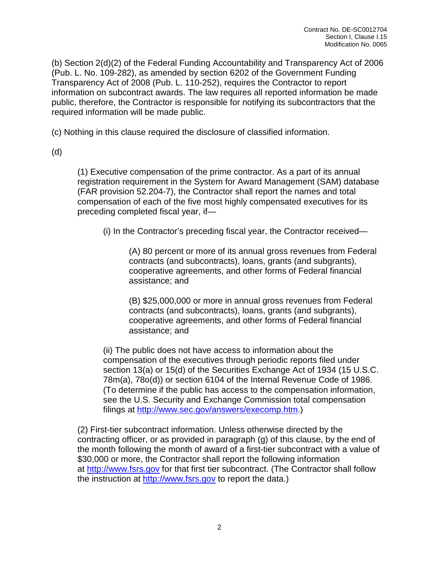(b) Section 2(d)(2) of the Federal Funding Accountability and Transparency Act of 2006 (Pub. L. No. 109-282), as amended by section 6202 of the Government Funding Transparency Act of 2008 (Pub. L. 110-252), requires the Contractor to report information on subcontract awards. The law requires all reported information be made public, therefore, the Contractor is responsible for notifying its subcontractors that the required information will be made public.

(c) Nothing in this clause required the disclosure of classified information.

(d)

(1) Executive compensation of the prime contractor. As a part of its annual registration requirement in the System for Award Management (SAM) database (FAR provision 52.204-7), the Contractor shall report the names and total compensation of each of the five most highly compensated executives for its preceding completed fiscal year, if—

(i) In the Contractor's preceding fiscal year, the Contractor received—

(A) 80 percent or more of its annual gross revenues from Federal contracts (and subcontracts), loans, grants (and subgrants), cooperative agreements, and other forms of Federal financial assistance; and

(B) \$25,000,000 or more in annual gross revenues from Federal contracts (and subcontracts), loans, grants (and subgrants), cooperative agreements, and other forms of Federal financial assistance; and

(ii) The public does not have access to information about the compensation of the executives through periodic reports filed under section 13(a) or 15(d) of the Securities Exchange Act of 1934 (15 U.S.C. 78m(a), 78o(d)) or section 6104 of the Internal Revenue Code of 1986. (To determine if the public has access to the compensation information, see the U.S. Security and Exchange Commission total compensation filings at [http://www.sec.gov/answers/execomp.htm.](http://www.sec.gov/answers/execomp.htm))

(2) First-tier subcontract information. Unless otherwise directed by the contracting officer, or as provided in paragraph (g) of this clause, by the end of the month following the month of award of a first-tier subcontract with a value of \$30,000 or more, the Contractor shall report the following information at [http://www.fsrs.gov](http://www.fsrs.gov/) for that first tier subcontract. (The Contractor shall follow the instruction at [http://www.fsrs.gov](http://www.fsrs.gov/) to report the data.)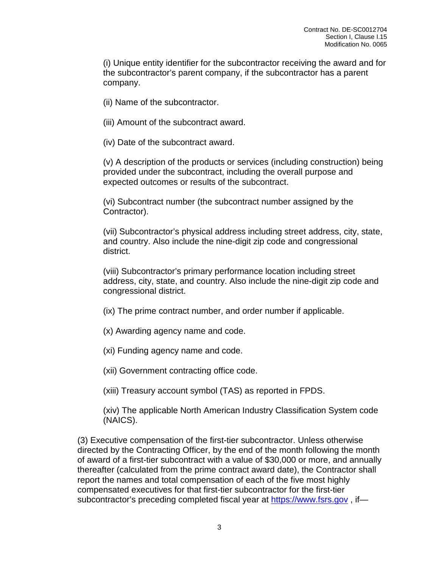(i) Unique entity identifier for the subcontractor receiving the award and for the subcontractor's parent company, if the subcontractor has a parent company.

(ii) Name of the subcontractor.

(iii) Amount of the subcontract award.

(iv) Date of the subcontract award.

(v) A description of the products or services (including construction) being provided under the subcontract, including the overall purpose and expected outcomes or results of the subcontract.

(vi) Subcontract number (the subcontract number assigned by the Contractor).

(vii) Subcontractor's physical address including street address, city, state, and country. Also include the nine-digit zip code and congressional district.

(viii) Subcontractor's primary performance location including street address, city, state, and country. Also include the nine-digit zip code and congressional district.

(ix) The prime contract number, and order number if applicable.

(x) Awarding agency name and code.

(xi) Funding agency name and code.

(xii) Government contracting office code.

(xiii) Treasury account symbol (TAS) as reported in FPDS.

(xiv) The applicable North American Industry Classification System code (NAICS).

(3) Executive compensation of the first-tier subcontractor. Unless otherwise directed by the Contracting Officer, by the end of the month following the month of award of a first-tier subcontract with a value of \$30,000 or more, and annually thereafter (calculated from the prime contract award date), the Contractor shall report the names and total compensation of each of the five most highly compensated executives for that first-tier subcontractor for the first-tier subcontractor's preceding completed fiscal year at [https://www.fsrs.gov](https://www.fsrs.gov/), if-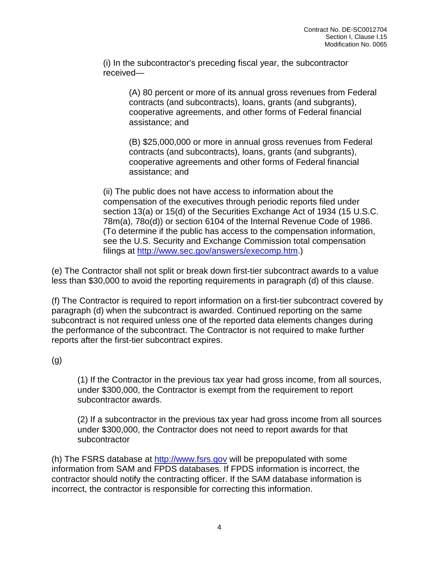(i) In the subcontractor's preceding fiscal year, the subcontractor received—

> (A) 80 percent or more of its annual gross revenues from Federal contracts (and subcontracts), loans, grants (and subgrants), cooperative agreements, and other forms of Federal financial assistance; and

(B) \$25,000,000 or more in annual gross revenues from Federal contracts (and subcontracts), loans, grants (and subgrants), cooperative agreements and other forms of Federal financial assistance; and

(ii) The public does not have access to information about the compensation of the executives through periodic reports filed under section 13(a) or 15(d) of the Securities Exchange Act of 1934 (15 U.S.C. 78m(a), 78o(d)) or section 6104 of the Internal Revenue Code of 1986. (To determine if the public has access to the compensation information, see the U.S. Security and Exchange Commission total compensation filings at [http://www.sec.gov/answers/execomp.htm.](http://www.sec.gov/answers/execomp.htm))

(e) The Contractor shall not split or break down first-tier subcontract awards to a value less than \$30,000 to avoid the reporting requirements in paragraph (d) of this clause.

(f) The Contractor is required to report information on a first-tier subcontract covered by paragraph (d) when the subcontract is awarded. Continued reporting on the same subcontract is not required unless one of the reported data elements changes during the performance of the subcontract. The Contractor is not required to make further reports after the first-tier subcontract expires.

(g)

(1) If the Contractor in the previous tax year had gross income, from all sources, under \$300,000, the Contractor is exempt from the requirement to report subcontractor awards.

(2) If a subcontractor in the previous tax year had gross income from all sources under \$300,000, the Contractor does not need to report awards for that subcontractor

(h) The FSRS database at [http://www.fsrs.gov](http://www.fsrs.gov/) will be prepopulated with some information from SAM and FPDS databases. If FPDS information is incorrect, the contractor should notify the contracting officer. If the SAM database information is incorrect, the contractor is responsible for correcting this information.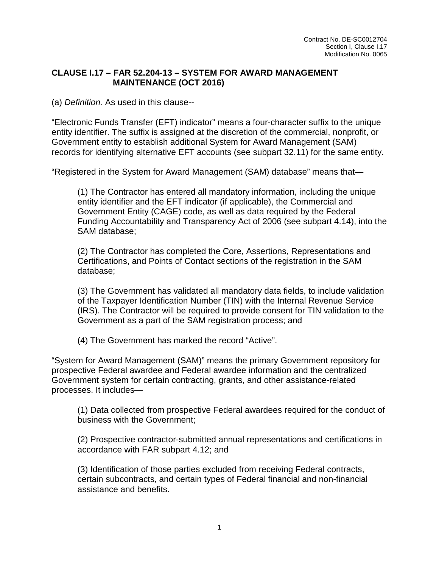### **CLAUSE I.17 – FAR 52.204-13 – SYSTEM FOR AWARD MANAGEMENT MAINTENANCE (OCT 2016)**

(a) *Definition.* As used in this clause--

"Electronic Funds Transfer (EFT) indicator" means a four-character suffix to the unique entity identifier. The suffix is assigned at the discretion of the commercial, nonprofit, or Government entity to establish additional System for Award Management (SAM) records for identifying alternative EFT accounts (see subpart 32.11) for the same entity.

"Registered in the System for Award Management (SAM) database" means that—

(1) The Contractor has entered all mandatory information, including the unique entity identifier and the EFT indicator (if applicable), the Commercial and Government Entity (CAGE) code, as well as data required by the Federal Funding Accountability and Transparency Act of 2006 (see subpart 4.14), into the SAM database;

(2) The Contractor has completed the Core, Assertions, Representations and Certifications, and Points of Contact sections of the registration in the SAM database;

(3) The Government has validated all mandatory data fields, to include validation of the Taxpayer Identification Number (TIN) with the Internal Revenue Service (IRS). The Contractor will be required to provide consent for TIN validation to the Government as a part of the SAM registration process; and

(4) The Government has marked the record "Active".

"System for Award Management (SAM)" means the primary Government repository for prospective Federal awardee and Federal awardee information and the centralized Government system for certain contracting, grants, and other assistance-related processes. It includes—

(1) Data collected from prospective Federal awardees required for the conduct of business with the Government;

(2) Prospective contractor-submitted annual representations and certifications in accordance with FAR subpart 4.12; and

(3) Identification of those parties excluded from receiving Federal contracts, certain subcontracts, and certain types of Federal financial and non-financial assistance and benefits.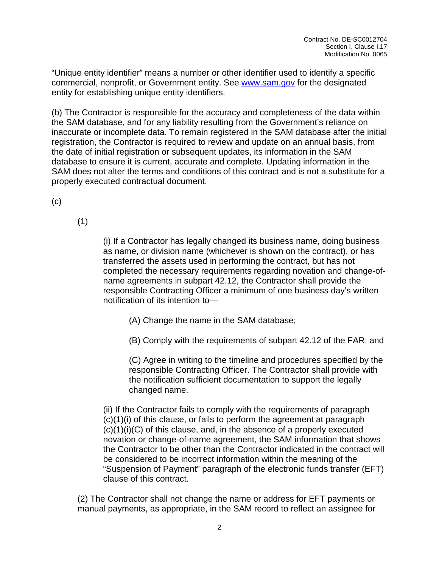"Unique entity identifier" means a number or other identifier used to identify a specific commercial, nonprofit, or Government entity. See [www.sam.gov](http://www.sam.gov/) for the designated entity for establishing unique entity identifiers.

(b) The Contractor is responsible for the accuracy and completeness of the data within the SAM database, and for any liability resulting from the Government's reliance on inaccurate or incomplete data. To remain registered in the SAM database after the initial registration, the Contractor is required to review and update on an annual basis, from the date of initial registration or subsequent updates, its information in the SAM database to ensure it is current, accurate and complete. Updating information in the SAM does not alter the terms and conditions of this contract and is not a substitute for a properly executed contractual document.

(c)

(1)

(i) If a Contractor has legally changed its business name, doing business as name, or division name (whichever is shown on the contract), or has transferred the assets used in performing the contract, but has not completed the necessary requirements regarding novation and change-ofname agreements in subpart 42.12, the Contractor shall provide the responsible Contracting Officer a minimum of one business day's written notification of its intention to—

(A) Change the name in the SAM database;

(B) Comply with the requirements of subpart 42.12 of the FAR; and

(C) Agree in writing to the timeline and procedures specified by the responsible Contracting Officer. The Contractor shall provide with the notification sufficient documentation to support the legally changed name.

(ii) If the Contractor fails to comply with the requirements of paragraph (c)(1)(i) of this clause, or fails to perform the agreement at paragraph (c)(1)(i)(C) of this clause, and, in the absence of a properly executed novation or change-of-name agreement, the SAM information that shows the Contractor to be other than the Contractor indicated in the contract will be considered to be incorrect information within the meaning of the "Suspension of Payment" paragraph of the electronic funds transfer (EFT) clause of this contract.

(2) The Contractor shall not change the name or address for EFT payments or manual payments, as appropriate, in the SAM record to reflect an assignee for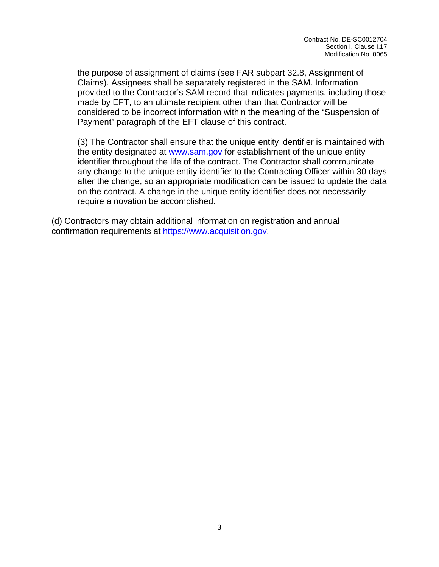the purpose of assignment of claims (see FAR subpart 32.8, Assignment of Claims). Assignees shall be separately registered in the SAM. Information provided to the Contractor's SAM record that indicates payments, including those made by EFT, to an ultimate recipient other than that Contractor will be considered to be incorrect information within the meaning of the "Suspension of Payment" paragraph of the EFT clause of this contract.

(3) The Contractor shall ensure that the unique entity identifier is maintained with the entity designated at [www.sam.gov](http://www.sam.gov/) for establishment of the unique entity identifier throughout the life of the contract. The Contractor shall communicate any change to the unique entity identifier to the Contracting Officer within 30 days after the change, so an appropriate modification can be issued to update the data on the contract. A change in the unique entity identifier does not necessarily require a novation be accomplished.

(d) Contractors may obtain additional information on registration and annual confirmation requirements at [https://www.acquisition.gov.](https://www.acquisition.gov/)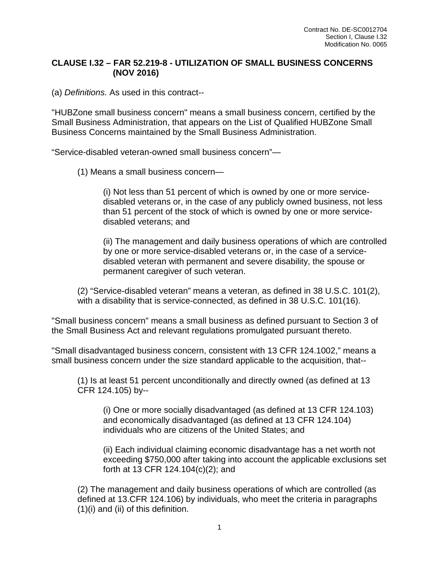### **CLAUSE I.32 – FAR 52.219-8 - UTILIZATION OF SMALL BUSINESS CONCERNS (NOV 2016)**

(a) *Definitions.* As used in this contract--

"HUBZone small business concern" means a small business concern, certified by the Small Business Administration, that appears on the List of Qualified HUBZone Small Business Concerns maintained by the Small Business Administration.

"Service-disabled veteran-owned small business concern"—

(1) Means a small business concern—

(i) Not less than 51 percent of which is owned by one or more servicedisabled veterans or, in the case of any publicly owned business, not less than 51 percent of the stock of which is owned by one or more servicedisabled veterans; and

(ii) The management and daily business operations of which are controlled by one or more service-disabled veterans or, in the case of a servicedisabled veteran with permanent and severe disability, the spouse or permanent caregiver of such veteran.

(2) "Service-disabled veteran" means a veteran, as defined in 38 U.S.C. 101(2), with a disability that is service-connected, as defined in 38 U.S.C. 101(16).

"Small business concern" means a small business as defined pursuant to Section 3 of the Small Business Act and relevant regulations promulgated pursuant thereto.

"Small disadvantaged business concern, consistent with 13 CFR 124.1002," means a small business concern under the size standard applicable to the acquisition, that--

(1) Is at least 51 percent unconditionally and directly owned (as defined at 13 CFR 124.105) by--

(i) One or more socially disadvantaged (as defined at 13 CFR 124.103) and economically disadvantaged (as defined at 13 CFR 124.104) individuals who are citizens of the United States; and

(ii) Each individual claiming economic disadvantage has a net worth not exceeding \$750,000 after taking into account the applicable exclusions set forth at 13 CFR 124.104(c)(2); and

(2) The management and daily business operations of which are controlled (as defined at 13.CFR 124.106) by individuals, who meet the criteria in paragraphs (1)(i) and (ii) of this definition.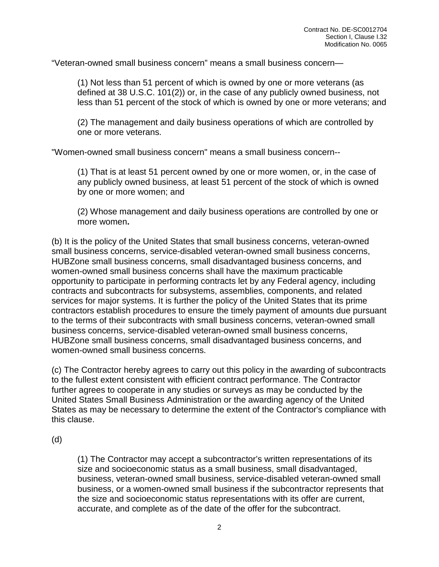"Veteran-owned small business concern" means a small business concern—

(1) Not less than 51 percent of which is owned by one or more veterans (as defined at 38 U.S.C. 101(2)) or, in the case of any publicly owned business, not less than 51 percent of the stock of which is owned by one or more veterans; and

(2) The management and daily business operations of which are controlled by one or more veterans.

"Women-owned small business concern" means a small business concern--

(1) That is at least 51 percent owned by one or more women, or, in the case of any publicly owned business, at least 51 percent of the stock of which is owned by one or more women; and

(2) Whose management and daily business operations are controlled by one or more women**.**

(b) It is the policy of the United States that small business concerns, veteran-owned small business concerns, service-disabled veteran-owned small business concerns, HUBZone small business concerns, small disadvantaged business concerns, and women-owned small business concerns shall have the maximum practicable opportunity to participate in performing contracts let by any Federal agency, including contracts and subcontracts for subsystems, assemblies, components, and related services for major systems. It is further the policy of the United States that its prime contractors establish procedures to ensure the timely payment of amounts due pursuant to the terms of their subcontracts with small business concerns, veteran-owned small business concerns, service-disabled veteran-owned small business concerns, HUBZone small business concerns, small disadvantaged business concerns, and women-owned small business concerns.

(c) The Contractor hereby agrees to carry out this policy in the awarding of subcontracts to the fullest extent consistent with efficient contract performance. The Contractor further agrees to cooperate in any studies or surveys as may be conducted by the United States Small Business Administration or the awarding agency of the United States as may be necessary to determine the extent of the Contractor's compliance with this clause.

(d)

(1) The Contractor may accept a subcontractor's written representations of its size and socioeconomic status as a small business, small disadvantaged, business, veteran-owned small business, service-disabled veteran-owned small business, or a women-owned small business if the subcontractor represents that the size and socioeconomic status representations with its offer are current, accurate, and complete as of the date of the offer for the subcontract.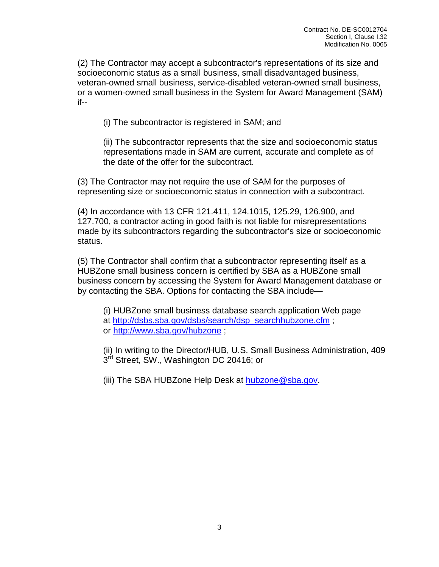(2) The Contractor may accept a subcontractor's representations of its size and socioeconomic status as a small business, small disadvantaged business, veteran-owned small business, service-disabled veteran-owned small business, or a women-owned small business in the System for Award Management (SAM) if--

(i) The subcontractor is registered in SAM; and

(ii) The subcontractor represents that the size and socioeconomic status representations made in SAM are current, accurate and complete as of the date of the offer for the subcontract.

(3) The Contractor may not require the use of SAM for the purposes of representing size or socioeconomic status in connection with a subcontract.

(4) In accordance with 13 CFR 121.411, 124.1015, 125.29, 126.900, and 127.700, a contractor acting in good faith is not liable for misrepresentations made by its subcontractors regarding the subcontractor's size or socioeconomic status.

(5) The Contractor shall confirm that a subcontractor representing itself as a HUBZone small business concern is certified by SBA as a HUBZone small business concern by accessing the System for Award Management database or by contacting the SBA. Options for contacting the SBA include—

(i) HUBZone small business database search application Web page at [http://dsbs.sba.gov/dsbs/search/dsp\\_searchhubzone.cfm](http://dsbs.sba.gov/dsbs/search/dsp_searchhubzone.cfm) ; or<http://www.sba.gov/hubzone> ;

(ii) In writing to the Director/HUB, U.S. Small Business Administration, 409  $3<sup>rd</sup>$  Street, SW., Washington DC 20416; or

(iii) The SBA HUBZone Help Desk at [hubzone@sba.gov.](mailto:hubzone@sba.gov)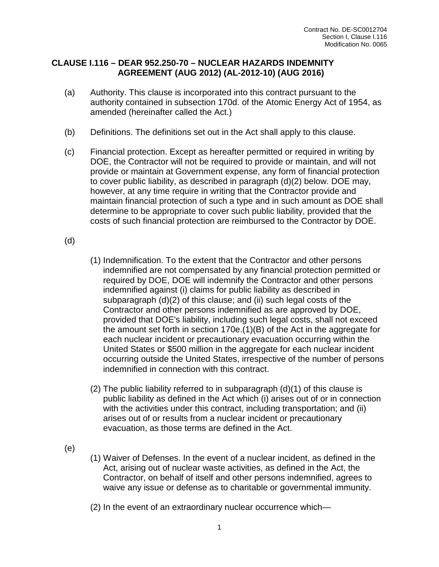### **CLAUSE I.116 – DEAR 952.250-70 – NUCLEAR HAZARDS INDEMNITY AGREEMENT (AUG 2012) (AL-2012-10) (AUG 2016)**

- (a) Authority. This clause is incorporated into this contract pursuant to the authority contained in subsection 170d. of the Atomic Energy Act of 1954, as amended (hereinafter called the Act.)
- (b) Definitions. The definitions set out in the Act shall apply to this clause.
- (c) Financial protection. Except as hereafter permitted or required in writing by DOE, the Contractor will not be required to provide or maintain, and will not provide or maintain at Government expense, any form of financial protection to cover public liability, as described in paragraph (d)(2) below. DOE may, however, at any time require in writing that the Contractor provide and maintain financial protection of such a type and in such amount as DOE shall determine to be appropriate to cover such public liability, provided that the costs of such financial protection are reimbursed to the Contractor by DOE.

(d)

- (1) Indemnification. To the extent that the Contractor and other persons indemnified are not compensated by any financial protection permitted or required by DOE, DOE will indemnify the Contractor and other persons indemnified against (i) claims for public liability as described in subparagraph (d)(2) of this clause; and (ii) such legal costs of the Contractor and other persons indemnified as are approved by DOE, provided that DOE's liability, including such legal costs, shall not exceed the amount set forth in section 170e.(1)(B) of the Act in the aggregate for each nuclear incident or precautionary evacuation occurring within the United States or \$500 million in the aggregate for each nuclear incident occurring outside the United States, irrespective of the number of persons indemnified in connection with this contract.
- (2) The public liability referred to in subparagraph  $(d)(1)$  of this clause is public liability as defined in the Act which (i) arises out of or in connection with the activities under this contract, including transportation; and (ii) arises out of or results from a nuclear incident or precautionary evacuation, as those terms are defined in the Act.

(e)

- (1) Waiver of Defenses. In the event of a nuclear incident, as defined in the Act, arising out of nuclear waste activities, as defined in the Act, the Contractor, on behalf of itself and other persons indemnified, agrees to waive any issue or defense as to charitable or governmental immunity.
- (2) In the event of an extraordinary nuclear occurrence which—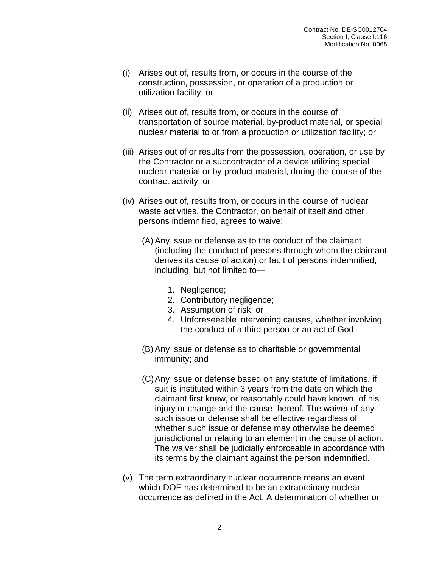- (i) Arises out of, results from, or occurs in the course of the construction, possession, or operation of a production or utilization facility; or
- (ii) Arises out of, results from, or occurs in the course of transportation of source material, by-product material, or special nuclear material to or from a production or utilization facility; or
- (iii) Arises out of or results from the possession, operation, or use by the Contractor or a subcontractor of a device utilizing special nuclear material or by-product material, during the course of the contract activity; or
- (iv) Arises out of, results from, or occurs in the course of nuclear waste activities, the Contractor, on behalf of itself and other persons indemnified, agrees to waive:
	- (A) Any issue or defense as to the conduct of the claimant (including the conduct of persons through whom the claimant derives its cause of action) or fault of persons indemnified, including, but not limited to—
		- 1. Negligence;
		- 2. Contributory negligence;
		- 3. Assumption of risk; or
		- 4. Unforeseeable intervening causes, whether involving the conduct of a third person or an act of God;
	- (B) Any issue or defense as to charitable or governmental immunity; and
	- (C)Any issue or defense based on any statute of limitations, if suit is instituted within 3 years from the date on which the claimant first knew, or reasonably could have known, of his injury or change and the cause thereof. The waiver of any such issue or defense shall be effective regardless of whether such issue or defense may otherwise be deemed jurisdictional or relating to an element in the cause of action. The waiver shall be judicially enforceable in accordance with its terms by the claimant against the person indemnified.
- (v) The term extraordinary nuclear occurrence means an event which DOE has determined to be an extraordinary nuclear occurrence as defined in the Act. A determination of whether or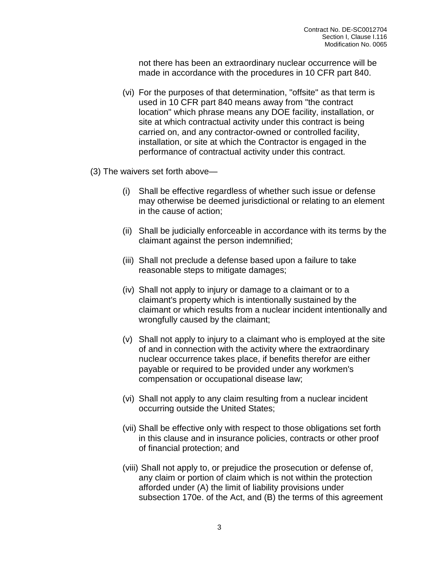not there has been an extraordinary nuclear occurrence will be made in accordance with the procedures in 10 CFR part 840.

(vi) For the purposes of that determination, "offsite" as that term is used in 10 CFR part 840 means away from "the contract location" which phrase means any DOE facility, installation, or site at which contractual activity under this contract is being carried on, and any contractor-owned or controlled facility, installation, or site at which the Contractor is engaged in the performance of contractual activity under this contract.

(3) The waivers set forth above—

- (i) Shall be effective regardless of whether such issue or defense may otherwise be deemed jurisdictional or relating to an element in the cause of action;
- (ii) Shall be judicially enforceable in accordance with its terms by the claimant against the person indemnified;
- (iii) Shall not preclude a defense based upon a failure to take reasonable steps to mitigate damages;
- (iv) Shall not apply to injury or damage to a claimant or to a claimant's property which is intentionally sustained by the claimant or which results from a nuclear incident intentionally and wrongfully caused by the claimant;
- (v) Shall not apply to injury to a claimant who is employed at the site of and in connection with the activity where the extraordinary nuclear occurrence takes place, if benefits therefor are either payable or required to be provided under any workmen's compensation or occupational disease law;
- (vi) Shall not apply to any claim resulting from a nuclear incident occurring outside the United States;
- (vii) Shall be effective only with respect to those obligations set forth in this clause and in insurance policies, contracts or other proof of financial protection; and
- (viii) Shall not apply to, or prejudice the prosecution or defense of, any claim or portion of claim which is not within the protection afforded under (A) the limit of liability provisions under subsection 170e. of the Act, and (B) the terms of this agreement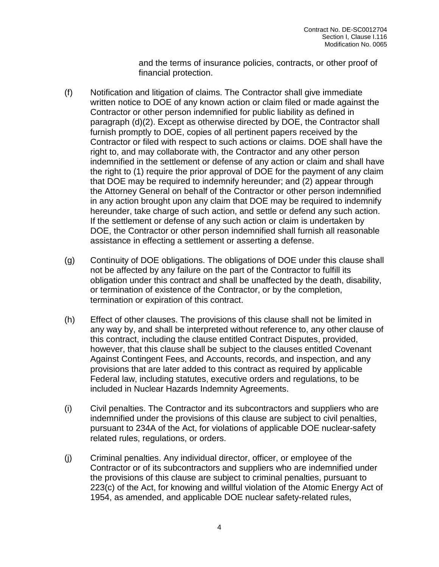and the terms of insurance policies, contracts, or other proof of financial protection.

- (f) Notification and litigation of claims. The Contractor shall give immediate written notice to DOE of any known action or claim filed or made against the Contractor or other person indemnified for public liability as defined in paragraph (d)(2). Except as otherwise directed by DOE, the Contractor shall furnish promptly to DOE, copies of all pertinent papers received by the Contractor or filed with respect to such actions or claims. DOE shall have the right to, and may collaborate with, the Contractor and any other person indemnified in the settlement or defense of any action or claim and shall have the right to (1) require the prior approval of DOE for the payment of any claim that DOE may be required to indemnify hereunder; and (2) appear through the Attorney General on behalf of the Contractor or other person indemnified in any action brought upon any claim that DOE may be required to indemnify hereunder, take charge of such action, and settle or defend any such action. If the settlement or defense of any such action or claim is undertaken by DOE, the Contractor or other person indemnified shall furnish all reasonable assistance in effecting a settlement or asserting a defense.
- (g) Continuity of DOE obligations. The obligations of DOE under this clause shall not be affected by any failure on the part of the Contractor to fulfill its obligation under this contract and shall be unaffected by the death, disability, or termination of existence of the Contractor, or by the completion, termination or expiration of this contract.
- (h) Effect of other clauses. The provisions of this clause shall not be limited in any way by, and shall be interpreted without reference to, any other clause of this contract, including the clause entitled Contract Disputes, provided, however, that this clause shall be subject to the clauses entitled Covenant Against Contingent Fees, and Accounts, records, and inspection, and any provisions that are later added to this contract as required by applicable Federal law, including statutes, executive orders and regulations, to be included in Nuclear Hazards Indemnity Agreements.
- (i) Civil penalties. The Contractor and its subcontractors and suppliers who are indemnified under the provisions of this clause are subject to civil penalties, pursuant to 234A of the Act, for violations of applicable DOE nuclear-safety related rules, regulations, or orders.
- (j) Criminal penalties. Any individual director, officer, or employee of the Contractor or of its subcontractors and suppliers who are indemnified under the provisions of this clause are subject to criminal penalties, pursuant to 223(c) of the Act, for knowing and willful violation of the Atomic Energy Act of 1954, as amended, and applicable DOE nuclear safety-related rules,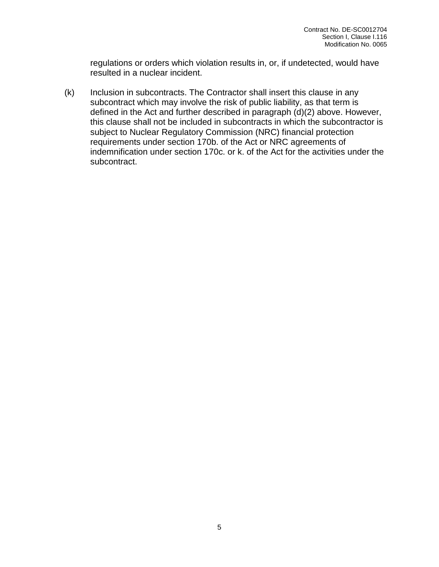regulations or orders which violation results in, or, if undetected, would have resulted in a nuclear incident.

(k) Inclusion in subcontracts. The Contractor shall insert this clause in any subcontract which may involve the risk of public liability, as that term is defined in the Act and further described in paragraph (d)(2) above. However, this clause shall not be included in subcontracts in which the subcontractor is subject to Nuclear Regulatory Commission (NRC) financial protection requirements under section 170b. of the Act or NRC agreements of indemnification under section 170c. or k. of the Act for the activities under the subcontract.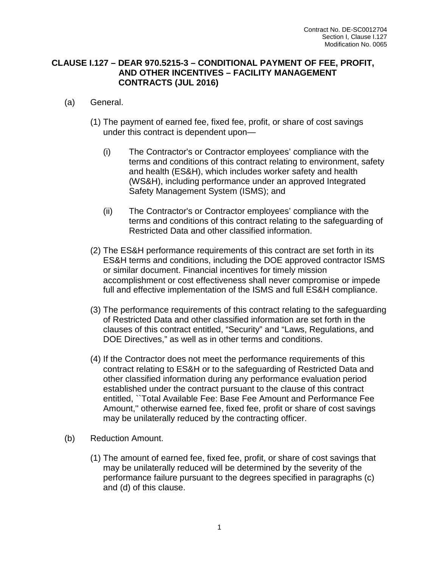#### **CLAUSE I.127 – DEAR 970.5215-3 – CONDITIONAL PAYMENT OF FEE, PROFIT, AND OTHER INCENTIVES – FACILITY MANAGEMENT CONTRACTS (JUL 2016)**

- (a) General.
	- (1) The payment of earned fee, fixed fee, profit, or share of cost savings under this contract is dependent upon—
		- (i) The Contractor's or Contractor employees' compliance with the terms and conditions of this contract relating to environment, safety and health (ES&H), which includes worker safety and health (WS&H), including performance under an approved Integrated Safety Management System (ISMS); and
		- (ii) The Contractor's or Contractor employees' compliance with the terms and conditions of this contract relating to the safeguarding of Restricted Data and other classified information.
	- (2) The ES&H performance requirements of this contract are set forth in its ES&H terms and conditions, including the DOE approved contractor ISMS or similar document. Financial incentives for timely mission accomplishment or cost effectiveness shall never compromise or impede full and effective implementation of the ISMS and full ES&H compliance.
	- (3) The performance requirements of this contract relating to the safeguarding of Restricted Data and other classified information are set forth in the clauses of this contract entitled, "Security" and "Laws, Regulations, and DOE Directives," as well as in other terms and conditions.
	- (4) If the Contractor does not meet the performance requirements of this contract relating to ES&H or to the safeguarding of Restricted Data and other classified information during any performance evaluation period established under the contract pursuant to the clause of this contract entitled, ``Total Available Fee: Base Fee Amount and Performance Fee Amount,'' otherwise earned fee, fixed fee, profit or share of cost savings may be unilaterally reduced by the contracting officer.
- (b) Reduction Amount.
	- (1) The amount of earned fee, fixed fee, profit, or share of cost savings that may be unilaterally reduced will be determined by the severity of the performance failure pursuant to the degrees specified in paragraphs (c) and (d) of this clause.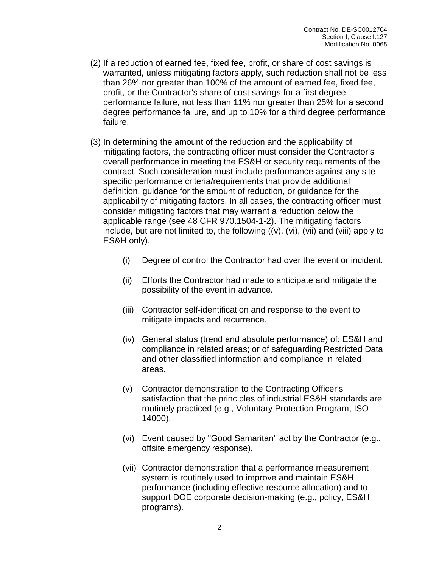- (2) If a reduction of earned fee, fixed fee, profit, or share of cost savings is warranted, unless mitigating factors apply, such reduction shall not be less than 26% nor greater than 100% of the amount of earned fee, fixed fee, profit, or the Contractor's share of cost savings for a first degree performance failure, not less than 11% nor greater than 25% for a second degree performance failure, and up to 10% for a third degree performance failure.
- (3) In determining the amount of the reduction and the applicability of mitigating factors, the contracting officer must consider the Contractor's overall performance in meeting the ES&H or security requirements of the contract. Such consideration must include performance against any site specific performance criteria/requirements that provide additional definition, guidance for the amount of reduction, or guidance for the applicability of mitigating factors. In all cases, the contracting officer must consider mitigating factors that may warrant a reduction below the applicable range (see 48 CFR 970.1504-1-2). The mitigating factors include, but are not limited to, the following  $((v), (vi), (vii)$  and  $(viii)$  apply to ES&H only).
	- (i) Degree of control the Contractor had over the event or incident.
	- (ii) Efforts the Contractor had made to anticipate and mitigate the possibility of the event in advance.
	- (iii) Contractor self-identification and response to the event to mitigate impacts and recurrence.
	- (iv) General status (trend and absolute performance) of: ES&H and compliance in related areas; or of safeguarding Restricted Data and other classified information and compliance in related areas.
	- (v) Contractor demonstration to the Contracting Officer's satisfaction that the principles of industrial ES&H standards are routinely practiced (e.g., Voluntary Protection Program, ISO 14000).
	- (vi) Event caused by "Good Samaritan" act by the Contractor (e.g., offsite emergency response).
	- (vii) Contractor demonstration that a performance measurement system is routinely used to improve and maintain ES&H performance (including effective resource allocation) and to support DOE corporate decision-making (e.g., policy, ES&H programs).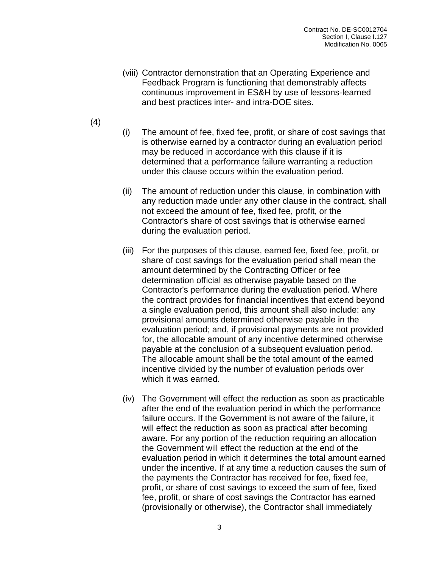- (viii) Contractor demonstration that an Operating Experience and Feedback Program is functioning that demonstrably affects continuous improvement in ES&H by use of lessons-learned and best practices inter- and intra-DOE sites.
- (4)
- (i) The amount of fee, fixed fee, profit, or share of cost savings that is otherwise earned by a contractor during an evaluation period may be reduced in accordance with this clause if it is determined that a performance failure warranting a reduction under this clause occurs within the evaluation period.
- (ii) The amount of reduction under this clause, in combination with any reduction made under any other clause in the contract, shall not exceed the amount of fee, fixed fee, profit, or the Contractor's share of cost savings that is otherwise earned during the evaluation period.
- (iii) For the purposes of this clause, earned fee, fixed fee, profit, or share of cost savings for the evaluation period shall mean the amount determined by the Contracting Officer or fee determination official as otherwise payable based on the Contractor's performance during the evaluation period. Where the contract provides for financial incentives that extend beyond a single evaluation period, this amount shall also include: any provisional amounts determined otherwise payable in the evaluation period; and, if provisional payments are not provided for, the allocable amount of any incentive determined otherwise payable at the conclusion of a subsequent evaluation period. The allocable amount shall be the total amount of the earned incentive divided by the number of evaluation periods over which it was earned.
- (iv) The Government will effect the reduction as soon as practicable after the end of the evaluation period in which the performance failure occurs. If the Government is not aware of the failure, it will effect the reduction as soon as practical after becoming aware. For any portion of the reduction requiring an allocation the Government will effect the reduction at the end of the evaluation period in which it determines the total amount earned under the incentive. If at any time a reduction causes the sum of the payments the Contractor has received for fee, fixed fee, profit, or share of cost savings to exceed the sum of fee, fixed fee, profit, or share of cost savings the Contractor has earned (provisionally or otherwise), the Contractor shall immediately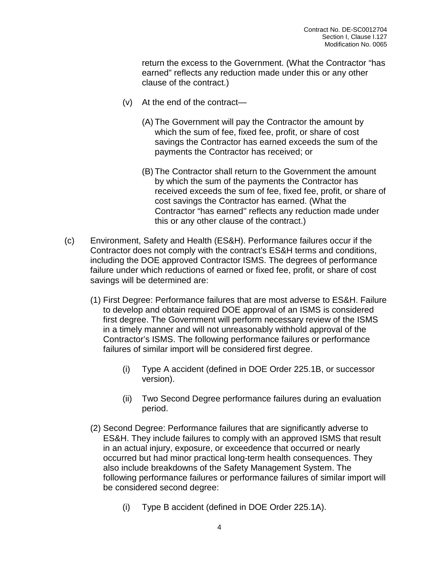return the excess to the Government. (What the Contractor "has earned" reflects any reduction made under this or any other clause of the contract.)

- (v) At the end of the contract—
	- (A) The Government will pay the Contractor the amount by which the sum of fee, fixed fee, profit, or share of cost savings the Contractor has earned exceeds the sum of the payments the Contractor has received; or
	- (B) The Contractor shall return to the Government the amount by which the sum of the payments the Contractor has received exceeds the sum of fee, fixed fee, profit, or share of cost savings the Contractor has earned. (What the Contractor "has earned'' reflects any reduction made under this or any other clause of the contract.)
- (c) Environment, Safety and Health (ES&H). Performance failures occur if the Contractor does not comply with the contract's ES&H terms and conditions, including the DOE approved Contractor ISMS. The degrees of performance failure under which reductions of earned or fixed fee, profit, or share of cost savings will be determined are:
	- (1) First Degree: Performance failures that are most adverse to ES&H. Failure to develop and obtain required DOE approval of an ISMS is considered first degree. The Government will perform necessary review of the ISMS in a timely manner and will not unreasonably withhold approval of the Contractor's ISMS. The following performance failures or performance failures of similar import will be considered first degree.
		- (i) Type A accident (defined in DOE Order 225.1B, or successor version).
		- (ii) Two Second Degree performance failures during an evaluation period.
	- (2) Second Degree: Performance failures that are significantly adverse to ES&H. They include failures to comply with an approved ISMS that result in an actual injury, exposure, or exceedence that occurred or nearly occurred but had minor practical long-term health consequences. They also include breakdowns of the Safety Management System. The following performance failures or performance failures of similar import will be considered second degree:
		- (i) Type B accident (defined in DOE Order 225.1A).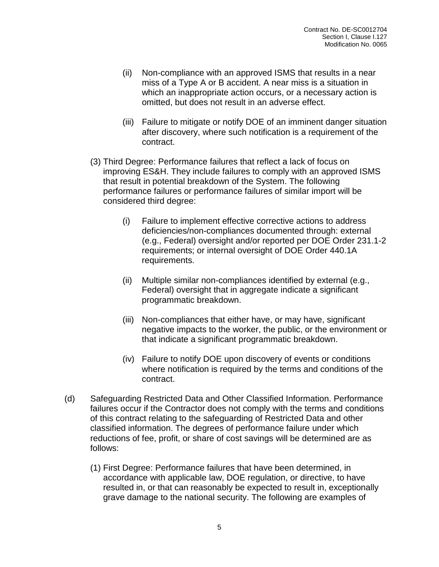- (ii) Non-compliance with an approved ISMS that results in a near miss of a Type A or B accident. A near miss is a situation in which an inappropriate action occurs, or a necessary action is omitted, but does not result in an adverse effect.
- (iii) Failure to mitigate or notify DOE of an imminent danger situation after discovery, where such notification is a requirement of the contract.
- (3) Third Degree: Performance failures that reflect a lack of focus on improving ES&H. They include failures to comply with an approved ISMS that result in potential breakdown of the System. The following performance failures or performance failures of similar import will be considered third degree:
	- (i) Failure to implement effective corrective actions to address deficiencies/non-compliances documented through: external (e.g., Federal) oversight and/or reported per DOE Order 231.1-2 requirements; or internal oversight of DOE Order 440.1A requirements.
	- (ii) Multiple similar non-compliances identified by external (e.g., Federal) oversight that in aggregate indicate a significant programmatic breakdown.
	- (iii) Non-compliances that either have, or may have, significant negative impacts to the worker, the public, or the environment or that indicate a significant programmatic breakdown.
	- (iv) Failure to notify DOE upon discovery of events or conditions where notification is required by the terms and conditions of the contract.
- (d) Safeguarding Restricted Data and Other Classified Information. Performance failures occur if the Contractor does not comply with the terms and conditions of this contract relating to the safeguarding of Restricted Data and other classified information. The degrees of performance failure under which reductions of fee, profit, or share of cost savings will be determined are as follows:
	- (1) First Degree: Performance failures that have been determined, in accordance with applicable law, DOE regulation, or directive, to have resulted in, or that can reasonably be expected to result in, exceptionally grave damage to the national security. The following are examples of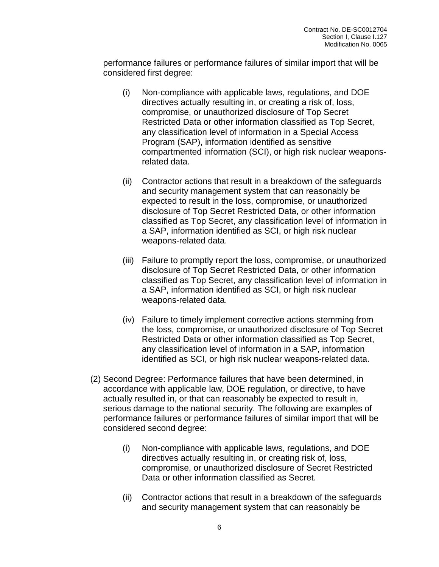performance failures or performance failures of similar import that will be considered first degree:

- (i) Non-compliance with applicable laws, regulations, and DOE directives actually resulting in, or creating a risk of, loss, compromise, or unauthorized disclosure of Top Secret Restricted Data or other information classified as Top Secret, any classification level of information in a Special Access Program (SAP), information identified as sensitive compartmented information (SCI), or high risk nuclear weaponsrelated data.
- (ii) Contractor actions that result in a breakdown of the safeguards and security management system that can reasonably be expected to result in the loss, compromise, or unauthorized disclosure of Top Secret Restricted Data, or other information classified as Top Secret, any classification level of information in a SAP, information identified as SCI, or high risk nuclear weapons-related data.
- (iii) Failure to promptly report the loss, compromise, or unauthorized disclosure of Top Secret Restricted Data, or other information classified as Top Secret, any classification level of information in a SAP, information identified as SCI, or high risk nuclear weapons-related data.
- (iv) Failure to timely implement corrective actions stemming from the loss, compromise, or unauthorized disclosure of Top Secret Restricted Data or other information classified as Top Secret, any classification level of information in a SAP, information identified as SCI, or high risk nuclear weapons-related data.
- (2) Second Degree: Performance failures that have been determined, in accordance with applicable law, DOE regulation, or directive, to have actually resulted in, or that can reasonably be expected to result in, serious damage to the national security. The following are examples of performance failures or performance failures of similar import that will be considered second degree:
	- (i) Non-compliance with applicable laws, regulations, and DOE directives actually resulting in, or creating risk of, loss, compromise, or unauthorized disclosure of Secret Restricted Data or other information classified as Secret.
	- (ii) Contractor actions that result in a breakdown of the safeguards and security management system that can reasonably be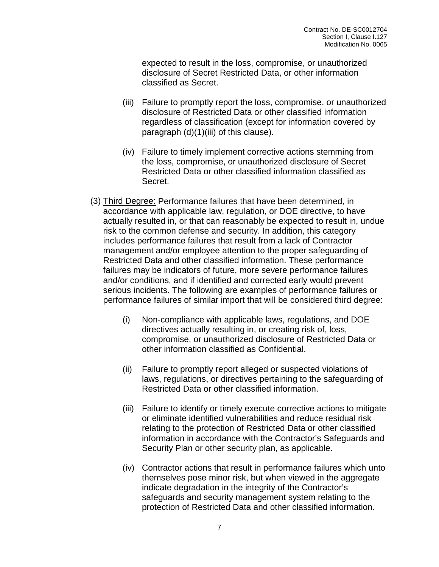expected to result in the loss, compromise, or unauthorized disclosure of Secret Restricted Data, or other information classified as Secret.

- (iii) Failure to promptly report the loss, compromise, or unauthorized disclosure of Restricted Data or other classified information regardless of classification (except for information covered by paragraph (d)(1)(iii) of this clause).
- (iv) Failure to timely implement corrective actions stemming from the loss, compromise, or unauthorized disclosure of Secret Restricted Data or other classified information classified as Secret.
- (3) Third Degree: Performance failures that have been determined, in accordance with applicable law, regulation, or DOE directive, to have actually resulted in, or that can reasonably be expected to result in, undue risk to the common defense and security. In addition, this category includes performance failures that result from a lack of Contractor management and/or employee attention to the proper safeguarding of Restricted Data and other classified information. These performance failures may be indicators of future, more severe performance failures and/or conditions, and if identified and corrected early would prevent serious incidents. The following are examples of performance failures or performance failures of similar import that will be considered third degree:
	- (i) Non-compliance with applicable laws, regulations, and DOE directives actually resulting in, or creating risk of, loss, compromise, or unauthorized disclosure of Restricted Data or other information classified as Confidential.
	- (ii) Failure to promptly report alleged or suspected violations of laws, regulations, or directives pertaining to the safeguarding of Restricted Data or other classified information.
	- (iii) Failure to identify or timely execute corrective actions to mitigate or eliminate identified vulnerabilities and reduce residual risk relating to the protection of Restricted Data or other classified information in accordance with the Contractor's Safeguards and Security Plan or other security plan, as applicable.
	- (iv) Contractor actions that result in performance failures which unto themselves pose minor risk, but when viewed in the aggregate indicate degradation in the integrity of the Contractor's safeguards and security management system relating to the protection of Restricted Data and other classified information.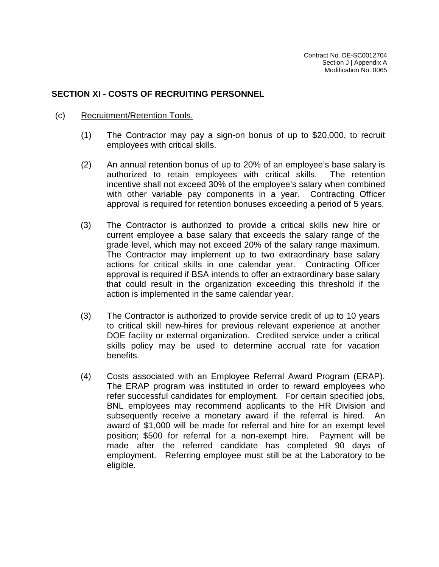### **SECTION XI - COSTS OF RECRUITING PERSONNEL**

### (c) Recruitment/Retention Tools.

- (1) The Contractor may pay a sign-on bonus of up to \$20,000, to recruit employees with critical skills.
- (2) An annual retention bonus of up to 20% of an employee's base salary is authorized to retain employees with critical skills. The retention incentive shall not exceed 30% of the employee's salary when combined with other variable pay components in a year. Contracting Officer approval is required for retention bonuses exceeding a period of 5 years.
- (3) The Contractor is authorized to provide a critical skills new hire or current employee a base salary that exceeds the salary range of the grade level, which may not exceed 20% of the salary range maximum. The Contractor may implement up to two extraordinary base salary actions for critical skills in one calendar year. Contracting Officer approval is required if BSA intends to offer an extraordinary base salary that could result in the organization exceeding this threshold if the action is implemented in the same calendar year.
- (3) The Contractor is authorized to provide service credit of up to 10 years to critical skill new-hires for previous relevant experience at another DOE facility or external organization. Credited service under a critical skills policy may be used to determine accrual rate for vacation benefits.
- (4) Costs associated with an Employee Referral Award Program (ERAP). The ERAP program was instituted in order to reward employees who refer successful candidates for employment. For certain specified jobs, BNL employees may recommend applicants to the HR Division and subsequently receive a monetary award if the referral is hired. An award of \$1,000 will be made for referral and hire for an exempt level position; \$500 for referral for a non-exempt hire. Payment will be made after the referred candidate has completed 90 days of employment. Referring employee must still be at the Laboratory to be eligible.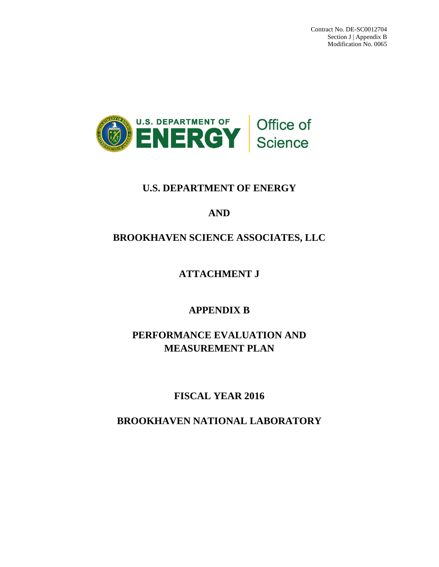Contract No. DE-SC0012704 Section J | Appendix B Modification No. 0065



### **U.S. DEPARTMENT OF ENERGY**

# **AND**

# **BROOKHAVEN SCIENCE ASSOCIATES, LLC**

**ATTACHMENT J**

# **APPENDIX B**

# **PERFORMANCE EVALUATION AND MEASUREMENT PLAN**

## **FISCAL YEAR 2016**

## **BROOKHAVEN NATIONAL LABORATORY**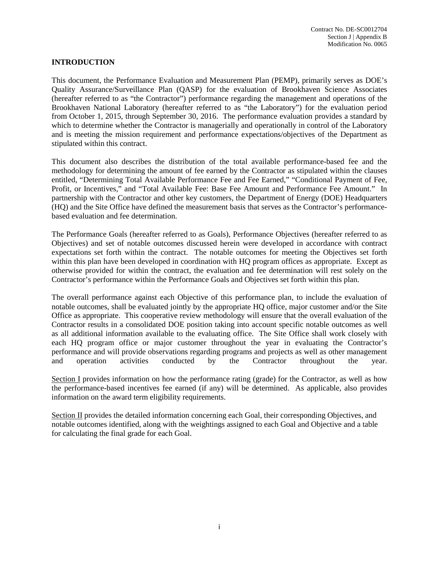#### **INTRODUCTION**

This document, the Performance Evaluation and Measurement Plan (PEMP), primarily serves as DOE's Quality Assurance/Surveillance Plan (QASP) for the evaluation of Brookhaven Science Associates (hereafter referred to as "the Contractor") performance regarding the management and operations of the Brookhaven National Laboratory (hereafter referred to as "the Laboratory") for the evaluation period from October 1, 2015, through September 30, 2016. The performance evaluation provides a standard by which to determine whether the Contractor is managerially and operationally in control of the Laboratory and is meeting the mission requirement and performance expectations/objectives of the Department as stipulated within this contract.

This document also describes the distribution of the total available performance-based fee and the methodology for determining the amount of fee earned by the Contractor as stipulated within the clauses entitled, "Determining Total Available Performance Fee and Fee Earned," "Conditional Payment of Fee, Profit, or Incentives," and "Total Available Fee: Base Fee Amount and Performance Fee Amount." In partnership with the Contractor and other key customers, the Department of Energy (DOE) Headquarters (HQ) and the Site Office have defined the measurement basis that serves as the Contractor's performancebased evaluation and fee determination.

The Performance Goals (hereafter referred to as Goals), Performance Objectives (hereafter referred to as Objectives) and set of notable outcomes discussed herein were developed in accordance with contract expectations set forth within the contract. The notable outcomes for meeting the Objectives set forth within this plan have been developed in coordination with HQ program offices as appropriate. Except as otherwise provided for within the contract, the evaluation and fee determination will rest solely on the Contractor's performance within the Performance Goals and Objectives set forth within this plan.

The overall performance against each Objective of this performance plan, to include the evaluation of notable outcomes, shall be evaluated jointly by the appropriate HQ office, major customer and/or the Site Office as appropriate. This cooperative review methodology will ensure that the overall evaluation of the Contractor results in a consolidated DOE position taking into account specific notable outcomes as well as all additional information available to the evaluating office. The Site Office shall work closely with each HQ program office or major customer throughout the year in evaluating the Contractor's performance and will provide observations regarding programs and projects as well as other management and operation activities conducted by the Contractor throughout the year.

Section I provides information on how the performance rating (grade) for the Contractor, as well as how the performance-based incentives fee earned (if any) will be determined. As applicable, also provides information on the award term eligibility requirements.

Section II provides the detailed information concerning each Goal, their corresponding Objectives, and notable outcomes identified, along with the weightings assigned to each Goal and Objective and a table for calculating the final grade for each Goal.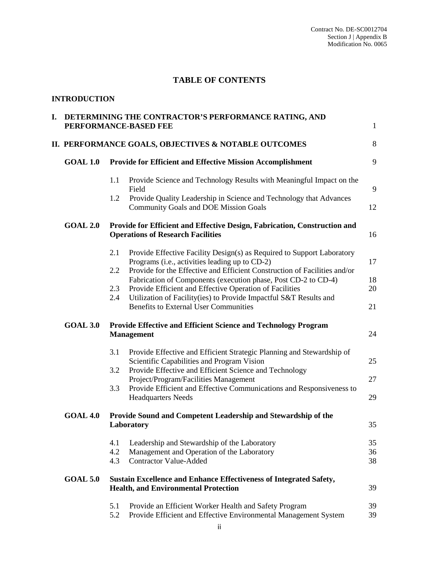### **TABLE OF CONTENTS**

### **INTRODUCTION**

| I. |                 |                   | DETERMINING THE CONTRACTOR'S PERFORMANCE RATING, AND<br>PERFORMANCE-BASED FEE                                                                                                                       | $\mathbf{1}$   |
|----|-----------------|-------------------|-----------------------------------------------------------------------------------------------------------------------------------------------------------------------------------------------------|----------------|
|    |                 |                   | II. PERFORMANCE GOALS, OBJECTIVES & NOTABLE OUTCOMES                                                                                                                                                | 8              |
|    | <b>GOAL 1.0</b> |                   | <b>Provide for Efficient and Effective Mission Accomplishment</b>                                                                                                                                   | 9              |
|    |                 | 1.1<br>1.2        | Provide Science and Technology Results with Meaningful Impact on the<br>Field<br>Provide Quality Leadership in Science and Technology that Advances<br><b>Community Goals and DOE Mission Goals</b> | 9<br>12        |
|    | <b>GOAL 2.0</b> |                   | Provide for Efficient and Effective Design, Fabrication, Construction and<br><b>Operations of Research Facilities</b>                                                                               | 16             |
|    |                 | 2.1               | Provide Effective Facility Design(s) as Required to Support Laboratory<br>Programs (i.e., activities leading up to CD-2)                                                                            | 17             |
|    |                 | 2.2               | Provide for the Effective and Efficient Construction of Facilities and/or<br>Fabrication of Components (execution phase, Post CD-2 to CD-4)                                                         | 18             |
|    |                 | 2.3<br>2.4        | Provide Efficient and Effective Operation of Facilities<br>Utilization of Facility(ies) to Provide Impactful S&T Results and                                                                        | 20             |
|    |                 |                   | <b>Benefits to External User Communities</b>                                                                                                                                                        | 21             |
|    | <b>GOAL 3.0</b> |                   | <b>Provide Effective and Efficient Science and Technology Program</b><br><b>Management</b>                                                                                                          | 24             |
|    |                 | 3.1               | Provide Effective and Efficient Strategic Planning and Stewardship of<br>Scientific Capabilities and Program Vision                                                                                 | 25             |
|    |                 | 3.2               | Provide Effective and Efficient Science and Technology<br>Project/Program/Facilities Management                                                                                                     | 27             |
|    |                 | 3.3               | Provide Efficient and Effective Communications and Responsiveness to<br><b>Headquarters Needs</b>                                                                                                   | 29             |
|    | <b>GOAL 4.0</b> |                   | Provide Sound and Competent Leadership and Stewardship of the<br>Laboratory                                                                                                                         | 35             |
|    |                 | 4.1<br>4.2<br>4.3 | Leadership and Stewardship of the Laboratory<br>Management and Operation of the Laboratory<br><b>Contractor Value-Added</b>                                                                         | 35<br>36<br>38 |
|    | <b>GOAL 5.0</b> |                   | <b>Sustain Excellence and Enhance Effectiveness of Integrated Safety,</b><br><b>Health, and Environmental Protection</b>                                                                            | 39             |
|    |                 | 5.1<br>5.2        | Provide an Efficient Worker Health and Safety Program<br>Provide Efficient and Effective Environmental Management System                                                                            | 39<br>39       |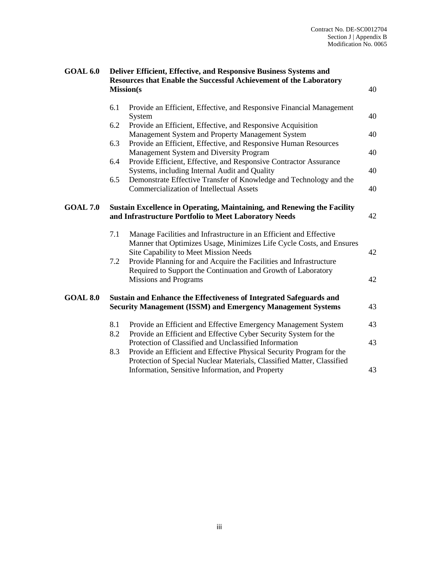| <b>GOAL 6.0</b> | Deliver Efficient, Effective, and Responsive Business Systems and<br>Resources that Enable the Successful Achievement of the Laboratory |                                                                                                                                                                                                                                                             |          |  |  |  |  |
|-----------------|-----------------------------------------------------------------------------------------------------------------------------------------|-------------------------------------------------------------------------------------------------------------------------------------------------------------------------------------------------------------------------------------------------------------|----------|--|--|--|--|
|                 |                                                                                                                                         | <b>Mission</b> (s)                                                                                                                                                                                                                                          | 40       |  |  |  |  |
|                 | 6.1                                                                                                                                     | Provide an Efficient, Effective, and Responsive Financial Management<br>System                                                                                                                                                                              | 40       |  |  |  |  |
|                 | 6.2                                                                                                                                     | Provide an Efficient, Effective, and Responsive Acquisition<br>Management System and Property Management System                                                                                                                                             | 40       |  |  |  |  |
|                 | 6.3                                                                                                                                     | Provide an Efficient, Effective, and Responsive Human Resources<br>Management System and Diversity Program                                                                                                                                                  | 40       |  |  |  |  |
|                 | 6.4                                                                                                                                     | Provide Efficient, Effective, and Responsive Contractor Assurance<br>Systems, including Internal Audit and Quality                                                                                                                                          | 40       |  |  |  |  |
|                 | 6.5                                                                                                                                     | Demonstrate Effective Transfer of Knowledge and Technology and the<br><b>Commercialization of Intellectual Assets</b>                                                                                                                                       | 40       |  |  |  |  |
| <b>GOAL 7.0</b> |                                                                                                                                         | Sustain Excellence in Operating, Maintaining, and Renewing the Facility<br>and Infrastructure Portfolio to Meet Laboratory Needs                                                                                                                            | 42       |  |  |  |  |
|                 | 7.1                                                                                                                                     | Manage Facilities and Infrastructure in an Efficient and Effective<br>Manner that Optimizes Usage, Minimizes Life Cycle Costs, and Ensures<br>Site Capability to Meet Mission Needs                                                                         | 42       |  |  |  |  |
|                 | 7.2                                                                                                                                     | Provide Planning for and Acquire the Facilities and Infrastructure<br>Required to Support the Continuation and Growth of Laboratory<br><b>Missions and Programs</b>                                                                                         | 42       |  |  |  |  |
| <b>GOAL 8.0</b> |                                                                                                                                         | Sustain and Enhance the Effectiveness of Integrated Safeguards and<br><b>Security Management (ISSM) and Emergency Management Systems</b>                                                                                                                    | 43       |  |  |  |  |
|                 | 8.1<br>8.2                                                                                                                              | Provide an Efficient and Effective Emergency Management System<br>Provide an Efficient and Effective Cyber Security System for the                                                                                                                          | 43       |  |  |  |  |
|                 | 8.3                                                                                                                                     | Protection of Classified and Unclassified Information<br>Provide an Efficient and Effective Physical Security Program for the<br>Protection of Special Nuclear Materials, Classified Matter, Classified<br>Information, Sensitive Information, and Property | 43<br>43 |  |  |  |  |
|                 |                                                                                                                                         |                                                                                                                                                                                                                                                             |          |  |  |  |  |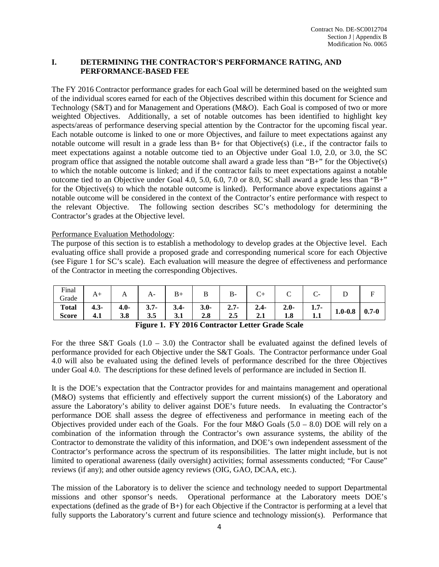#### **I. DETERMINING THE CONTRACTOR'S PERFORMANCE RATING, AND PERFORMANCE-BASED FEE**

The FY 2016 Contractor performance grades for each Goal will be determined based on the weighted sum of the individual scores earned for each of the Objectives described within this document for Science and Technology (S&T) and for Management and Operations (M&O). Each Goal is composed of two or more weighted Objectives. Additionally, a set of notable outcomes has been identified to highlight key aspects/areas of performance deserving special attention by the Contractor for the upcoming fiscal year. Each notable outcome is linked to one or more Objectives, and failure to meet expectations against any notable outcome will result in a grade less than B+ for that Objective(s) (i.e., if the contractor fails to meet expectations against a notable outcome tied to an Objective under Goal 1.0, 2.0, or 3.0, the SC program office that assigned the notable outcome shall award a grade less than "B+" for the Objective(s) to which the notable outcome is linked; and if the contractor fails to meet expectations against a notable outcome tied to an Objective under Goal 4.0, 5.0, 6.0, 7.0 or 8.0, SC shall award a grade less than "B+" for the Objective(s) to which the notable outcome is linked). Performance above expectations against a notable outcome will be considered in the context of the Contractor's entire performance with respect to the relevant Objective. The following section describes SC's methodology for determining the Contractor's grades at the Objective level.

Performance Evaluation Methodology:

The purpose of this section is to establish a methodology to develop grades at the Objective level. Each evaluating office shall provide a proposed grade and corresponding numerical score for each Objective (see Figure 1 for SC's scale). Each evaluation will measure the degree of effectiveness and performance of the Contractor in meeting the corresponding Objectives.

| Final<br>Grade               | $A+$                  | $\mathbf{L}$         | A              | D<br>$\mathbf{D}^+$ |                | <u>ь</u> -                |                |                |                     | ∸           |           |
|------------------------------|-----------------------|----------------------|----------------|---------------------|----------------|---------------------------|----------------|----------------|---------------------|-------------|-----------|
| <b>Total</b><br><b>Score</b> | $4.3 -$<br><b>4.1</b> | $4.0-$<br><b>3.8</b> | $3.7 -$<br>9.5 | $3.4 -$<br>J.L      | $3.0 -$<br>2.8 | 27<br>$\angle 1 -$<br>2.J | $2.4 -$<br>2.⊥ | $2.0 -$<br>1.8 | E<br>$1.1 -$<br>1.1 | $1.0 - 0.8$ | $0.7 - 0$ |

**Figure 1. FY 2016 Contractor Letter Grade Scale**

For the three S&T Goals  $(1.0 - 3.0)$  the Contractor shall be evaluated against the defined levels of performance provided for each Objective under the S&T Goals. The Contractor performance under Goal 4.0 will also be evaluated using the defined levels of performance described for the three Objectives under Goal 4.0. The descriptions for these defined levels of performance are included in Section II.

It is the DOE's expectation that the Contractor provides for and maintains management and operational (M&O) systems that efficiently and effectively support the current mission(s) of the Laboratory and assure the Laboratory's ability to deliver against DOE's future needs. In evaluating the Contractor's performance DOE shall assess the degree of effectiveness and performance in meeting each of the Objectives provided under each of the Goals. For the four M&O Goals  $(5.0 - 8.0)$  DOE will rely on a combination of the information through the Contractor's own assurance systems, the ability of the Contractor to demonstrate the validity of this information, and DOE's own independent assessment of the Contractor's performance across the spectrum of its responsibilities. The latter might include, but is not limited to operational awareness (daily oversight) activities; formal assessments conducted; "For Cause" reviews (if any); and other outside agency reviews (OIG, GAO, DCAA, etc.).

The mission of the Laboratory is to deliver the science and technology needed to support Departmental missions and other sponsor's needs. Operational performance at the Laboratory meets DOE's expectations (defined as the grade of B+) for each Objective if the Contractor is performing at a level that fully supports the Laboratory's current and future science and technology mission(s). Performance that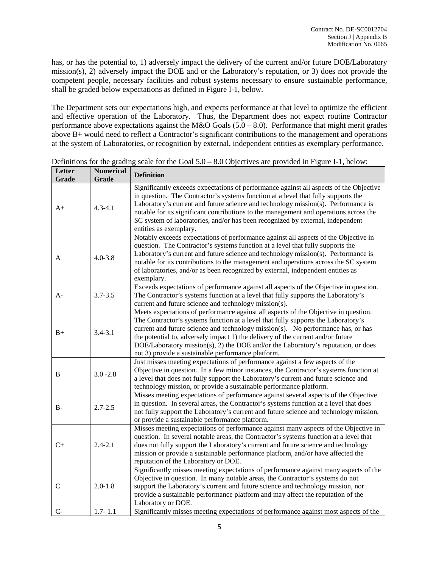has, or has the potential to, 1) adversely impact the delivery of the current and/or future DOE/Laboratory mission(s), 2) adversely impact the DOE and or the Laboratory's reputation, or 3) does not provide the competent people, necessary facilities and robust systems necessary to ensure sustainable performance, shall be graded below expectations as defined in Figure I-1, below.

The Department sets our expectations high, and expects performance at that level to optimize the efficient and effective operation of the Laboratory. Thus, the Department does not expect routine Contractor performance above expectations against the M&O Goals  $(5.0 - 8.0)$ . Performance that might merit grades above B+ would need to reflect a Contractor's significant contributions to the management and operations at the system of Laboratories, or recognition by external, independent entities as exemplary performance.

| Letter<br>Grade | <b>Numerical</b><br><b>Grade</b> | <b>Definition</b>                                                                                                                                                                                                                                                                                                                                                                                                                                                                          |
|-----------------|----------------------------------|--------------------------------------------------------------------------------------------------------------------------------------------------------------------------------------------------------------------------------------------------------------------------------------------------------------------------------------------------------------------------------------------------------------------------------------------------------------------------------------------|
| $A+$            | $4.3 - 4.1$                      | Significantly exceeds expectations of performance against all aspects of the Objective<br>in question. The Contractor's systems function at a level that fully supports the<br>Laboratory's current and future science and technology mission(s). Performance is<br>notable for its significant contributions to the management and operations across the<br>SC system of laboratories, and/or has been recognized by external, independent<br>entities as exemplary.                      |
| A               | $4.0 - 3.8$                      | Notably exceeds expectations of performance against all aspects of the Objective in<br>question. The Contractor's systems function at a level that fully supports the<br>Laboratory's current and future science and technology mission(s). Performance is<br>notable for its contributions to the management and operations across the SC system<br>of laboratories, and/or as been recognized by external, independent entities as<br>exemplary.                                         |
| A-              | $3.7 - 3.5$                      | Exceeds expectations of performance against all aspects of the Objective in question.<br>The Contractor's systems function at a level that fully supports the Laboratory's<br>current and future science and technology mission(s).                                                                                                                                                                                                                                                        |
| $B+$            | $3.4 - 3.1$                      | Meets expectations of performance against all aspects of the Objective in question.<br>The Contractor's systems function at a level that fully supports the Laboratory's<br>current and future science and technology mission(s). No performance has, or has<br>the potential to, adversely impact 1) the delivery of the current and/or future<br>DOE/Laboratory mission(s), 2) the DOE and/or the Laboratory's reputation, or does<br>not 3) provide a sustainable performance platform. |
| B               | $3.0 - 2.8$                      | Just misses meeting expectations of performance against a few aspects of the<br>Objective in question. In a few minor instances, the Contractor's systems function at<br>a level that does not fully support the Laboratory's current and future science and<br>technology mission, or provide a sustainable performance platform.                                                                                                                                                         |
| B-              | $2.7 - 2.5$                      | Misses meeting expectations of performance against several aspects of the Objective<br>in question. In several areas, the Contractor's systems function at a level that does<br>not fully support the Laboratory's current and future science and technology mission,<br>or provide a sustainable performance platform.                                                                                                                                                                    |
| $C+$            | $2.4 - 2.1$                      | Misses meeting expectations of performance against many aspects of the Objective in<br>question. In several notable areas, the Contractor's systems function at a level that<br>does not fully support the Laboratory's current and future science and technology<br>mission or provide a sustainable performance platform, and/or have affected the<br>reputation of the Laboratory or DOE.                                                                                               |
| $\mathcal{C}$   | $2.0 - 1.8$                      | Significantly misses meeting expectations of performance against many aspects of the<br>Objective in question. In many notable areas, the Contractor's systems do not<br>support the Laboratory's current and future science and technology mission, nor<br>provide a sustainable performance platform and may affect the reputation of the<br>Laboratory or DOE.                                                                                                                          |
| $C-$            | $1.7 - 1.1$                      | Significantly misses meeting expectations of performance against most aspects of the                                                                                                                                                                                                                                                                                                                                                                                                       |

Definitions for the grading scale for the Goal 5.0 – 8.0 Objectives are provided in Figure I-1, below: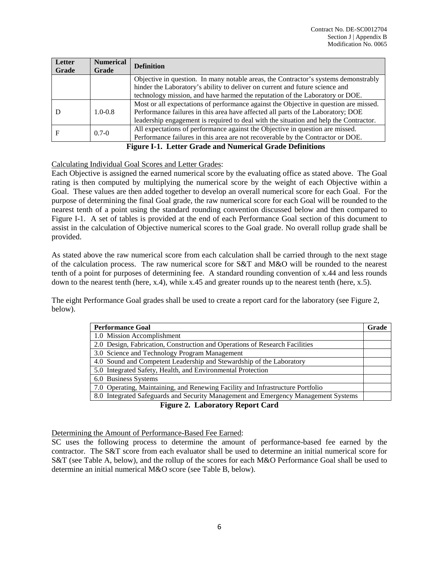| Letter<br>Grade | <b>Numerical</b><br>Grade                                  | <b>Definition</b>                                                                     |  |  |  |
|-----------------|------------------------------------------------------------|---------------------------------------------------------------------------------------|--|--|--|
|                 |                                                            | Objective in question. In many notable areas, the Contractor's systems demonstrably   |  |  |  |
|                 |                                                            | hinder the Laboratory's ability to deliver on current and future science and          |  |  |  |
|                 |                                                            | technology mission, and have harmed the reputation of the Laboratory or DOE.          |  |  |  |
|                 | $1.0 - 0.8$                                                | Most or all expectations of performance against the Objective in question are missed. |  |  |  |
|                 |                                                            | Performance failures in this area have affected all parts of the Laboratory; DOE      |  |  |  |
|                 |                                                            | leadership engagement is required to deal with the situation and help the Contractor. |  |  |  |
|                 | $0.7-0$                                                    | All expectations of performance against the Objective in question are missed.         |  |  |  |
|                 |                                                            | Performance failures in this area are not recoverable by the Contractor or DOE.       |  |  |  |
|                 | Figure I 1 I ottop Croote and Numerical Croote Definitions |                                                                                       |  |  |  |

**Figure I-1. Letter Grade and Numerical Grade Definitions**

#### Calculating Individual Goal Scores and Letter Grades:

Each Objective is assigned the earned numerical score by the evaluating office as stated above. The Goal rating is then computed by multiplying the numerical score by the weight of each Objective within a Goal. These values are then added together to develop an overall numerical score for each Goal. For the purpose of determining the final Goal grade, the raw numerical score for each Goal will be rounded to the nearest tenth of a point using the standard rounding convention discussed below and then compared to Figure I-1. A set of tables is provided at the end of each Performance Goal section of this document to assist in the calculation of Objective numerical scores to the Goal grade. No overall rollup grade shall be provided.

As stated above the raw numerical score from each calculation shall be carried through to the next stage of the calculation process. The raw numerical score for S&T and M&O will be rounded to the nearest tenth of a point for purposes of determining fee. A standard rounding convention of x.44 and less rounds down to the nearest tenth (here, x.4), while x.45 and greater rounds up to the nearest tenth (here, x.5).

The eight Performance Goal grades shall be used to create a report card for the laboratory (see Figure 2, below).

| <b>Performance Goal</b>                                                            | Grade |
|------------------------------------------------------------------------------------|-------|
| 1.0 Mission Accomplishment                                                         |       |
| 2.0 Design, Fabrication, Construction and Operations of Research Facilities        |       |
| 3.0 Science and Technology Program Management                                      |       |
| 4.0 Sound and Competent Leadership and Stewardship of the Laboratory               |       |
| 5.0 Integrated Safety, Health, and Environmental Protection                        |       |
| 6.0 Business Systems                                                               |       |
| 7.0 Operating, Maintaining, and Renewing Facility and Infrastructure Portfolio     |       |
| 8.0 Integrated Safeguards and Security Management and Emergency Management Systems |       |

**Figure 2. Laboratory Report Card**

Determining the Amount of Performance-Based Fee Earned:

SC uses the following process to determine the amount of performance-based fee earned by the contractor. The S&T score from each evaluator shall be used to determine an initial numerical score for S&T (see Table A, below), and the rollup of the scores for each M&O Performance Goal shall be used to determine an initial numerical M&O score (see Table B, below).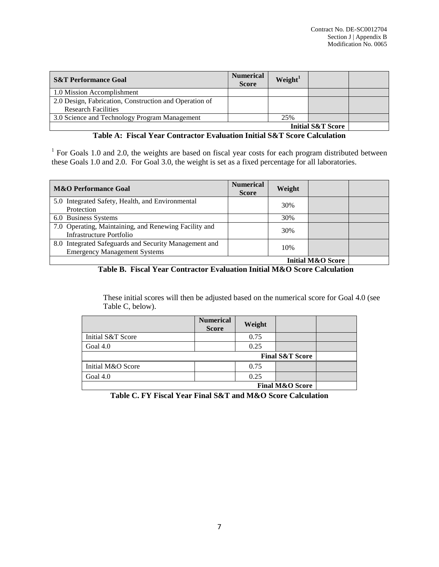| <b>S&amp;T Performance Goal</b>                        | <b>Numerical</b><br><b>Score</b> | Weight <sup>1</sup> |  |  |  |  |
|--------------------------------------------------------|----------------------------------|---------------------|--|--|--|--|
| 1.0 Mission Accomplishment                             |                                  |                     |  |  |  |  |
| 2.0 Design, Fabrication, Construction and Operation of |                                  |                     |  |  |  |  |
| <b>Research Facilities</b>                             |                                  |                     |  |  |  |  |
| 3.0 Science and Technology Program Management          |                                  | 25%                 |  |  |  |  |
|                                                        | <b>Initial S&amp;T Score</b>     |                     |  |  |  |  |

**Table A: Fiscal Year Contractor Evaluation Initial S&T Score Calculation**

<sup>1</sup> For Goals 1.0 and 2.0, the weights are based on fiscal year costs for each program distributed between these Goals 1.0 and 2.0. For Goal 3.0, the weight is set as a fixed percentage for all laboratories.

| <b>M&amp;O Performance Goal</b>                                                              | <b>Numerical</b><br><b>Score</b> | Weight |  |  |  |
|----------------------------------------------------------------------------------------------|----------------------------------|--------|--|--|--|
| 5.0 Integrated Safety, Health, and Environmental<br>Protection                               |                                  | 30%    |  |  |  |
| 6.0 Business Systems                                                                         |                                  | 30%    |  |  |  |
| 7.0 Operating, Maintaining, and Renewing Facility and<br>Infrastructure Portfolio            |                                  | 30%    |  |  |  |
| 8.0 Integrated Safeguards and Security Management and<br><b>Emergency Management Systems</b> |                                  | 10%    |  |  |  |
| <b>Initial M&amp;O Score</b>                                                                 |                                  |        |  |  |  |

**Table B. Fiscal Year Contractor Evaluation Initial M&O Score Calculation**

These initial scores will then be adjusted based on the numerical score for Goal 4.0 (see Table C, below).

|                            | <b>Numerical</b><br><b>Score</b> | Weight |  |  |  |  |  |
|----------------------------|----------------------------------|--------|--|--|--|--|--|
| Initial S&T Score          |                                  | 0.75   |  |  |  |  |  |
| Goal 4.0                   |                                  | 0.25   |  |  |  |  |  |
| <b>Final S&amp;T Score</b> |                                  |        |  |  |  |  |  |
| Initial M&O Score          |                                  | 0.75   |  |  |  |  |  |
| Goal 4.0                   |                                  | 0.25   |  |  |  |  |  |
| <b>Final M&amp;O Score</b> |                                  |        |  |  |  |  |  |

**Table C. FY Fiscal Year Final S&T and M&O Score Calculation**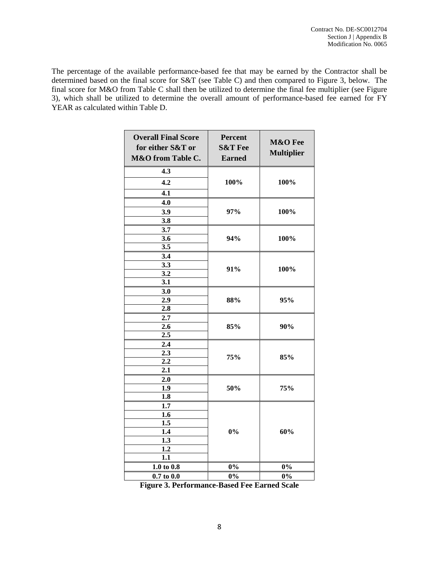The percentage of the available performance-based fee that may be earned by the Contractor shall be determined based on the final score for S&T (see Table C) and then compared to Figure 3, below. The final score for M&O from Table C shall then be utilized to determine the final fee multiplier (see Figure 3), which shall be utilized to determine the overall amount of performance-based fee earned for FY YEAR as calculated within Table D.

| <b>Overall Final Score</b><br>for either S&T or<br>M&O from Table C. | <b>Percent</b><br><b>S&amp;T</b> Fee<br><b>Earned</b> | M&O Fee<br><b>Multiplier</b> |  |  |
|----------------------------------------------------------------------|-------------------------------------------------------|------------------------------|--|--|
| 4.3                                                                  |                                                       |                              |  |  |
| 4.2                                                                  | 100%                                                  | 100%                         |  |  |
| 4.1                                                                  |                                                       |                              |  |  |
| 4.0                                                                  |                                                       |                              |  |  |
| 3.9                                                                  | 97%                                                   | 100%                         |  |  |
| 3.8                                                                  |                                                       |                              |  |  |
| 3.7                                                                  |                                                       |                              |  |  |
| 3.6                                                                  | 94%                                                   | 100%                         |  |  |
| 3.5                                                                  |                                                       |                              |  |  |
| 3.4                                                                  |                                                       |                              |  |  |
| 3.3                                                                  | 91%                                                   | 100%                         |  |  |
| 3.2                                                                  |                                                       |                              |  |  |
| 3.1                                                                  |                                                       |                              |  |  |
| 3.0                                                                  |                                                       |                              |  |  |
| 2.9                                                                  | 88%                                                   | 95%                          |  |  |
| 2.8                                                                  |                                                       |                              |  |  |
| 2.7                                                                  |                                                       |                              |  |  |
| 2.6                                                                  | 85%                                                   | 90%                          |  |  |
| 2.5                                                                  |                                                       |                              |  |  |
| 2.4                                                                  |                                                       |                              |  |  |
| 2.3                                                                  | 75%                                                   | 85%                          |  |  |
| 2.2<br>2.1                                                           |                                                       |                              |  |  |
|                                                                      |                                                       |                              |  |  |
| 2.0<br>1.9                                                           | 50%                                                   | 75%                          |  |  |
| 1.8                                                                  |                                                       |                              |  |  |
| $1,\overline{7}$                                                     |                                                       |                              |  |  |
| 1.6                                                                  |                                                       |                              |  |  |
| $\overline{1.5}$                                                     |                                                       |                              |  |  |
| 1.4                                                                  | $0\%$                                                 | 60%                          |  |  |
| 1.3                                                                  |                                                       |                              |  |  |
| 1.2                                                                  |                                                       |                              |  |  |
| $\overline{1.1}$                                                     |                                                       |                              |  |  |
| $1.0$ to $0.8$                                                       | 0%                                                    | $0\%$                        |  |  |
| $0.7$ to $0.0$                                                       | $\overline{0\%}$                                      | $\overline{0}\%$             |  |  |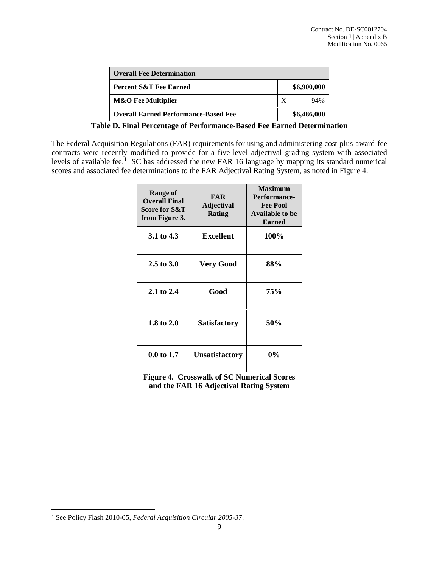| <b>Overall Fee Determination</b>            |             |
|---------------------------------------------|-------------|
| <b>Percent S&amp;T Fee Earned</b>           | \$6,900,000 |
| <b>M&amp;O</b> Fee Multiplier               | 94%         |
| <b>Overall Earned Performance-Based Fee</b> | \$6,486,000 |

**Table D. Final Percentage of Performance-Based Fee Earned Determination**

The Federal Acquisition Regulations (FAR) requirements for using and administering cost-plus-award-fee contracts were recently modified to provide for a five-level adjectival grading system with associated levels of available fee.<sup>[1](#page-37-0)</sup> SC has addressed the new FAR 16 language by mapping its standard numerical scores and associated fee determinations to the FAR Adjectival Rating System, as noted in Figure 4.

| Range of<br><b>Overall Final</b><br><b>Score for S&amp;T</b><br>from Figure 3. | <b>FAR</b><br><b>Adjectival</b><br><b>Rating</b> | <b>Maximum</b><br>Performance-<br><b>Fee Pool</b><br>Available to be<br><b>Earned</b> |
|--------------------------------------------------------------------------------|--------------------------------------------------|---------------------------------------------------------------------------------------|
| 3.1 to 4.3                                                                     | <b>Excellent</b>                                 | 100%                                                                                  |
| $2.5 \text{ to } 3.0$                                                          | <b>Very Good</b>                                 | 88%                                                                                   |
| 2.1 to 2.4                                                                     | Good                                             | 75%                                                                                   |
| 1.8 to 2.0                                                                     | <b>Satisfactory</b>                              | 50%                                                                                   |
| $0.0 \text{ to } 1.7$                                                          | Unsatisfactory                                   | $0\%$                                                                                 |

**Figure 4. Crosswalk of SC Numerical Scores and the FAR 16 Adjectival Rating System**

l

<span id="page-37-0"></span><sup>1</sup> See Policy Flash 2010-05, *Federal Acquisition Circular 2005-37*.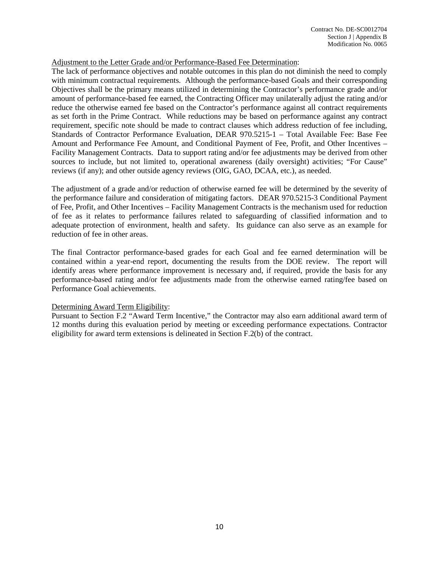## Adjustment to the Letter Grade and/or Performance-Based Fee Determination:

The lack of performance objectives and notable outcomes in this plan do not diminish the need to comply with minimum contractual requirements. Although the performance-based Goals and their corresponding Objectives shall be the primary means utilized in determining the Contractor's performance grade and/or amount of performance-based fee earned, the Contracting Officer may unilaterally adjust the rating and/or reduce the otherwise earned fee based on the Contractor's performance against all contract requirements as set forth in the Prime Contract. While reductions may be based on performance against any contract requirement, specific note should be made to contract clauses which address reduction of fee including, Standards of Contractor Performance Evaluation, DEAR 970.5215-1 – Total Available Fee: Base Fee Amount and Performance Fee Amount, and Conditional Payment of Fee, Profit, and Other Incentives – Facility Management Contracts. Data to support rating and/or fee adjustments may be derived from other sources to include, but not limited to, operational awareness (daily oversight) activities; "For Cause" reviews (if any); and other outside agency reviews (OIG, GAO, DCAA, etc.), as needed.

The adjustment of a grade and/or reduction of otherwise earned fee will be determined by the severity of the performance failure and consideration of mitigating factors. DEAR 970.5215-3 Conditional Payment of Fee, Profit, and Other Incentives – Facility Management Contracts is the mechanism used for reduction of fee as it relates to performance failures related to safeguarding of classified information and to adequate protection of environment, health and safety. Its guidance can also serve as an example for reduction of fee in other areas.

The final Contractor performance-based grades for each Goal and fee earned determination will be contained within a year-end report, documenting the results from the DOE review. The report will identify areas where performance improvement is necessary and, if required, provide the basis for any performance-based rating and/or fee adjustments made from the otherwise earned rating/fee based on Performance Goal achievements.

## Determining Award Term Eligibility:

Pursuant to Section F.2 "Award Term Incentive," the Contractor may also earn additional award term of 12 months during this evaluation period by meeting or exceeding performance expectations. Contractor eligibility for award term extensions is delineated in Section F.2(b) of the contract.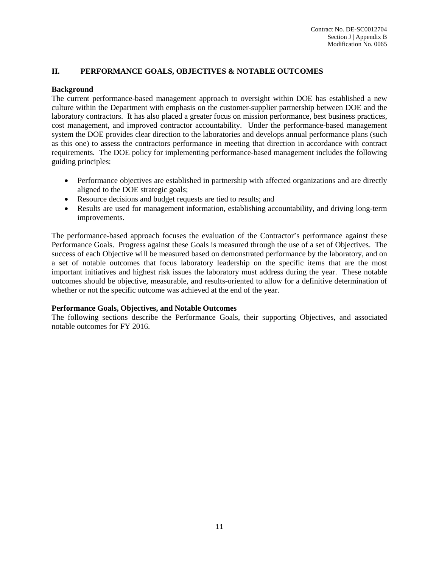# **II. PERFORMANCE GOALS, OBJECTIVES & NOTABLE OUTCOMES**

## **Background**

The current performance-based management approach to oversight within DOE has established a new culture within the Department with emphasis on the customer-supplier partnership between DOE and the laboratory contractors. It has also placed a greater focus on mission performance, best business practices, cost management, and improved contractor accountability. Under the performance-based management system the DOE provides clear direction to the laboratories and develops annual performance plans (such as this one) to assess the contractors performance in meeting that direction in accordance with contract requirements. The DOE policy for implementing performance-based management includes the following guiding principles:

- Performance objectives are established in partnership with affected organizations and are directly aligned to the DOE strategic goals;
- Resource decisions and budget requests are tied to results; and
- Results are used for management information, establishing accountability, and driving long-term improvements.

The performance-based approach focuses the evaluation of the Contractor's performance against these Performance Goals. Progress against these Goals is measured through the use of a set of Objectives. The success of each Objective will be measured based on demonstrated performance by the laboratory, and on a set of notable outcomes that focus laboratory leadership on the specific items that are the most important initiatives and highest risk issues the laboratory must address during the year. These notable outcomes should be objective, measurable, and results-oriented to allow for a definitive determination of whether or not the specific outcome was achieved at the end of the year.

## **Performance Goals, Objectives, and Notable Outcomes**

The following sections describe the Performance Goals, their supporting Objectives, and associated notable outcomes for FY 2016.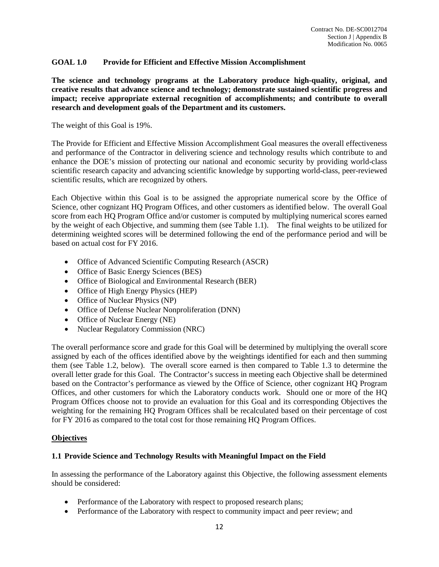# **GOAL 1.0 Provide for Efficient and Effective Mission Accomplishment**

**The science and technology programs at the Laboratory produce high-quality, original, and creative results that advance science and technology; demonstrate sustained scientific progress and impact; receive appropriate external recognition of accomplishments; and contribute to overall research and development goals of the Department and its customers.**

The weight of this Goal is 19%.

The Provide for Efficient and Effective Mission Accomplishment Goal measures the overall effectiveness and performance of the Contractor in delivering science and technology results which contribute to and enhance the DOE's mission of protecting our national and economic security by providing world-class scientific research capacity and advancing scientific knowledge by supporting world-class, peer-reviewed scientific results, which are recognized by others.

Each Objective within this Goal is to be assigned the appropriate numerical score by the Office of Science, other cognizant HQ Program Offices, and other customers as identified below. The overall Goal score from each HQ Program Office and/or customer is computed by multiplying numerical scores earned by the weight of each Objective, and summing them (see Table 1.1). The final weights to be utilized for determining weighted scores will be determined following the end of the performance period and will be based on actual cost for FY 2016.

- Office of Advanced Scientific Computing Research (ASCR)
- Office of Basic Energy Sciences (BES)
- Office of Biological and Environmental Research (BER)
- Office of High Energy Physics (HEP)
- Office of Nuclear Physics (NP)
- Office of Defense Nuclear Nonproliferation (DNN)
- Office of Nuclear Energy (NE)
- Nuclear Regulatory Commission (NRC)

The overall performance score and grade for this Goal will be determined by multiplying the overall score assigned by each of the offices identified above by the weightings identified for each and then summing them (see Table 1.2, below). The overall score earned is then compared to Table 1.3 to determine the overall letter grade for this Goal. The Contractor's success in meeting each Objective shall be determined based on the Contractor's performance as viewed by the Office of Science, other cognizant HQ Program Offices, and other customers for which the Laboratory conducts work.Should one or more of the HQ Program Offices choose not to provide an evaluation for this Goal and its corresponding Objectives the weighting for the remaining HQ Program Offices shall be recalculated based on their percentage of cost for FY 2016 as compared to the total cost for those remaining HQ Program Offices.

## **Objectives**

## **1.1 Provide Science and Technology Results with Meaningful Impact on the Field**

- Performance of the Laboratory with respect to proposed research plans;
- Performance of the Laboratory with respect to community impact and peer review; and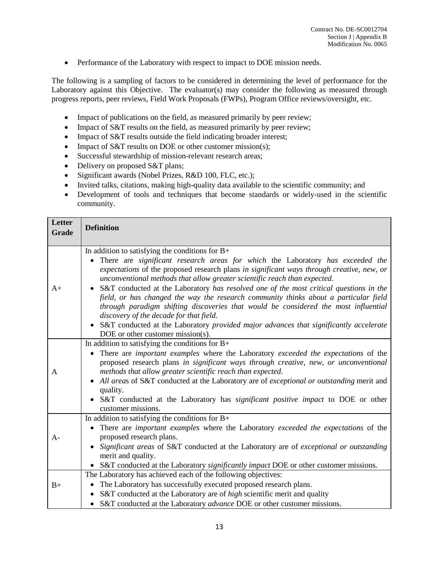• Performance of the Laboratory with respect to impact to DOE mission needs.

The following is a sampling of factors to be considered in determining the level of performance for the Laboratory against this Objective. The evaluator(s) may consider the following as measured through progress reports, peer reviews, Field Work Proposals (FWPs), Program Office reviews/oversight, etc.

- Impact of publications on the field, as measured primarily by peer review;
- Impact of S&T results on the field, as measured primarily by peer review;
- Impact of S&T results outside the field indicating broader interest;
- Impact of S&T results on DOE or other customer mission(s);
- Successful stewardship of mission-relevant research areas;
- Delivery on proposed S&T plans;
- Significant awards (Nobel Prizes, R&D 100, FLC, etc.);
- Invited talks, citations, making high-quality data available to the scientific community; and
- Development of tools and techniques that become standards or widely-used in the scientific community.

| Letter<br><b>Grade</b> | <b>Definition</b>                                                                                                                                                                                                                                                                                                                                                                                                                                                                               |
|------------------------|-------------------------------------------------------------------------------------------------------------------------------------------------------------------------------------------------------------------------------------------------------------------------------------------------------------------------------------------------------------------------------------------------------------------------------------------------------------------------------------------------|
|                        |                                                                                                                                                                                                                                                                                                                                                                                                                                                                                                 |
| $A+$                   | In addition to satisfying the conditions for $B+$<br>There are significant research areas for which the Laboratory has exceeded the<br>expectations of the proposed research plans in significant ways through creative, new, or<br>unconventional methods that allow greater scientific reach than expected.<br>S&T conducted at the Laboratory has resolved one of the most critical questions in the<br>field, or has changed the way the research community thinks about a particular field |
|                        | through paradigm shifting discoveries that would be considered the most influential<br>discovery of the decade for that field.<br>S&T conducted at the Laboratory provided major advances that significantly accelerate<br>$\bullet$<br>DOE or other customer mission(s).                                                                                                                                                                                                                       |
|                        | In addition to satisfying the conditions for $B+$                                                                                                                                                                                                                                                                                                                                                                                                                                               |
| A                      | There are <i>important examples</i> where the Laboratory <i>exceeded the expectations</i> of the<br>proposed research plans in significant ways through creative, new, or unconventional<br>methods that allow greater scientific reach than expected.                                                                                                                                                                                                                                          |
|                        | All areas of S&T conducted at the Laboratory are of <i>exceptional or outstanding</i> merit and<br>quality.                                                                                                                                                                                                                                                                                                                                                                                     |
|                        | S&T conducted at the Laboratory has <i>significant positive impact</i> to DOE or other<br>customer missions.                                                                                                                                                                                                                                                                                                                                                                                    |
|                        | In addition to satisfying the conditions for $B+$                                                                                                                                                                                                                                                                                                                                                                                                                                               |
|                        | There are important examples where the Laboratory exceeded the expectations of the                                                                                                                                                                                                                                                                                                                                                                                                              |
| $A -$                  | proposed research plans.                                                                                                                                                                                                                                                                                                                                                                                                                                                                        |
|                        | Significant areas of S&T conducted at the Laboratory are of exceptional or outstanding                                                                                                                                                                                                                                                                                                                                                                                                          |
|                        | merit and quality.<br>S&T conducted at the Laboratory significantly impact DOE or other customer missions.                                                                                                                                                                                                                                                                                                                                                                                      |
|                        | The Laboratory has achieved each of the following objectives:                                                                                                                                                                                                                                                                                                                                                                                                                                   |
| $B+$                   | The Laboratory has successfully executed proposed research plans.<br>$\bullet$                                                                                                                                                                                                                                                                                                                                                                                                                  |
|                        | S&T conducted at the Laboratory are of high scientific merit and quality<br>$\bullet$                                                                                                                                                                                                                                                                                                                                                                                                           |
|                        | S&T conducted at the Laboratory <i>advance</i> DOE or other customer missions.                                                                                                                                                                                                                                                                                                                                                                                                                  |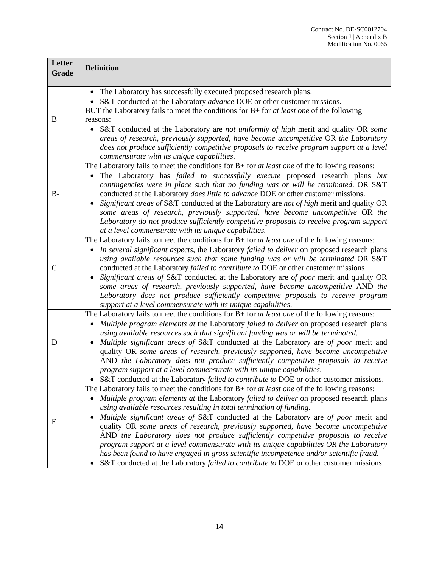| Letter<br>Grade | <b>Definition</b>                                                                                                                                                                                                                                                                                                                   |
|-----------------|-------------------------------------------------------------------------------------------------------------------------------------------------------------------------------------------------------------------------------------------------------------------------------------------------------------------------------------|
|                 | The Laboratory has successfully executed proposed research plans.                                                                                                                                                                                                                                                                   |
|                 | S&T conducted at the Laboratory <i>advance</i> DOE or other customer missions.                                                                                                                                                                                                                                                      |
|                 | BUT the Laboratory fails to meet the conditions for $B+$ for <i>at least one</i> of the following                                                                                                                                                                                                                                   |
| B               | reasons:                                                                                                                                                                                                                                                                                                                            |
|                 | S&T conducted at the Laboratory are not uniformly of high merit and quality OR some<br>$\bullet$<br>areas of research, previously supported, have become uncompetitive OR the Laboratory<br>does not produce sufficiently competitive proposals to receive program support at a level<br>commensurate with its unique capabilities. |
|                 | The Laboratory fails to meet the conditions for $B+$ for <i>at least one</i> of the following reasons:                                                                                                                                                                                                                              |
|                 | The Laboratory has failed to successfully execute proposed research plans but                                                                                                                                                                                                                                                       |
|                 | contingencies were in place such that no funding was or will be terminated. OR S&T                                                                                                                                                                                                                                                  |
| $B-$            | conducted at the Laboratory does little to advance DOE or other customer missions.                                                                                                                                                                                                                                                  |
|                 | Significant areas of S&T conducted at the Laboratory are not of high merit and quality OR                                                                                                                                                                                                                                           |
|                 | some areas of research, previously supported, have become uncompetitive OR the<br>Laboratory do not produce sufficiently competitive proposals to receive program support                                                                                                                                                           |
|                 | at a level commensurate with its unique capabilities.                                                                                                                                                                                                                                                                               |
|                 | The Laboratory fails to meet the conditions for $B+$ for <i>at least one</i> of the following reasons:                                                                                                                                                                                                                              |
|                 | In several significant aspects, the Laboratory failed to deliver on proposed research plans                                                                                                                                                                                                                                         |
|                 | using available resources such that some funding was or will be terminated OR S&T                                                                                                                                                                                                                                                   |
| $\mathsf{C}$    | conducted at the Laboratory failed to contribute to DOE or other customer missions                                                                                                                                                                                                                                                  |
|                 | Significant areas of S&T conducted at the Laboratory are of poor merit and quality OR                                                                                                                                                                                                                                               |
|                 | some areas of research, previously supported, have become uncompetitive AND the                                                                                                                                                                                                                                                     |
|                 | Laboratory does not produce sufficiently competitive proposals to receive program                                                                                                                                                                                                                                                   |
|                 | support at a level commensurate with its unique capabilities.<br>The Laboratory fails to meet the conditions for $B+$ for <i>at least one</i> of the following reasons:                                                                                                                                                             |
|                 | Multiple program elements at the Laboratory failed to deliver on proposed research plans<br>$\bullet$                                                                                                                                                                                                                               |
|                 | using available resources such that significant funding was or will be terminated.                                                                                                                                                                                                                                                  |
| D               | Multiple significant areas of S&T conducted at the Laboratory are of poor merit and                                                                                                                                                                                                                                                 |
|                 | quality OR some areas of research, previously supported, have become uncompetitive                                                                                                                                                                                                                                                  |
|                 | AND the Laboratory does not produce sufficiently competitive proposals to receive                                                                                                                                                                                                                                                   |
|                 | program support at a level commensurate with its unique capabilities.                                                                                                                                                                                                                                                               |
|                 | • S&T conducted at the Laboratory failed to contribute to DOE or other customer missions.                                                                                                                                                                                                                                           |
|                 | The Laboratory fails to meet the conditions for B+ for <i>at least one</i> of the following reasons:<br>Multiple program elements at the Laboratory failed to deliver on proposed research plans                                                                                                                                    |
|                 | using available resources resulting in total termination of funding.                                                                                                                                                                                                                                                                |
|                 | Multiple significant areas of S&T conducted at the Laboratory are of poor merit and                                                                                                                                                                                                                                                 |
| F               | quality OR some areas of research, previously supported, have become uncompetitive                                                                                                                                                                                                                                                  |
|                 | AND the Laboratory does not produce sufficiently competitive proposals to receive                                                                                                                                                                                                                                                   |
|                 | program support at a level commensurate with its unique capabilities OR the Laboratory                                                                                                                                                                                                                                              |
|                 | has been found to have engaged in gross scientific incompetence and/or scientific fraud.                                                                                                                                                                                                                                            |
|                 | S&T conducted at the Laboratory failed to contribute to DOE or other customer missions.                                                                                                                                                                                                                                             |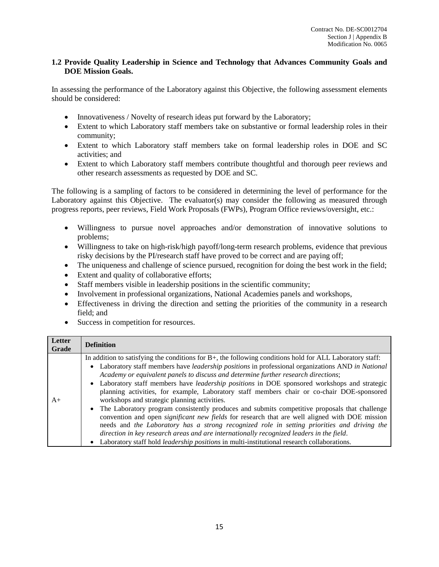# **1.2 Provide Quality Leadership in Science and Technology that Advances Community Goals and DOE Mission Goals.**

In assessing the performance of the Laboratory against this Objective, the following assessment elements should be considered:

- Innovativeness / Novelty of research ideas put forward by the Laboratory;
- Extent to which Laboratory staff members take on substantive or formal leadership roles in their community;
- Extent to which Laboratory staff members take on formal leadership roles in DOE and SC activities; and
- Extent to which Laboratory staff members contribute thoughtful and thorough peer reviews and other research assessments as requested by DOE and SC.

The following is a sampling of factors to be considered in determining the level of performance for the Laboratory against this Objective. The evaluator(s) may consider the following as measured through progress reports, peer reviews, Field Work Proposals (FWPs), Program Office reviews/oversight, etc.:

- Willingness to pursue novel approaches and/or demonstration of innovative solutions to problems;
- Willingness to take on high-risk/high payoff/long-term research problems, evidence that previous risky decisions by the PI/research staff have proved to be correct and are paying off;
- The uniqueness and challenge of science pursued, recognition for doing the best work in the field;
- Extent and quality of collaborative efforts;
- Staff members visible in leadership positions in the scientific community;
- Involvement in professional organizations, National Academies panels and workshops,
- Effectiveness in driving the direction and setting the priorities of the community in a research field; and
- Success in competition for resources.

| Letter<br><b>Grade</b> | <b>Definition</b>                                                                                                                                                                                                                                                                                                                                                                                                                                                                                                                                                                                                                                                                                                                                                                                                                                                                                                                                                                                                                                                               |
|------------------------|---------------------------------------------------------------------------------------------------------------------------------------------------------------------------------------------------------------------------------------------------------------------------------------------------------------------------------------------------------------------------------------------------------------------------------------------------------------------------------------------------------------------------------------------------------------------------------------------------------------------------------------------------------------------------------------------------------------------------------------------------------------------------------------------------------------------------------------------------------------------------------------------------------------------------------------------------------------------------------------------------------------------------------------------------------------------------------|
| $A+$                   | In addition to satisfying the conditions for $B+$ , the following conditions hold for ALL Laboratory staff:<br>• Laboratory staff members have <i>leadership positions</i> in professional organizations AND in National<br>Academy or equivalent panels to discuss and determine further research directions;<br>• Laboratory staff members have leadership positions in DOE sponsored workshops and strategic<br>planning activities, for example, Laboratory staff members chair or co-chair DOE-sponsored<br>workshops and strategic planning activities.<br>• The Laboratory program consistently produces and submits competitive proposals that challenge<br>convention and open <i>significant new fields</i> for research that are well aligned with DOE mission<br>needs and the Laboratory has a strong recognized role in setting priorities and driving the<br>direction in key research areas and are internationally recognized leaders in the field.<br>Laboratory staff hold leadership positions in multi-institutional research collaborations.<br>$\bullet$ |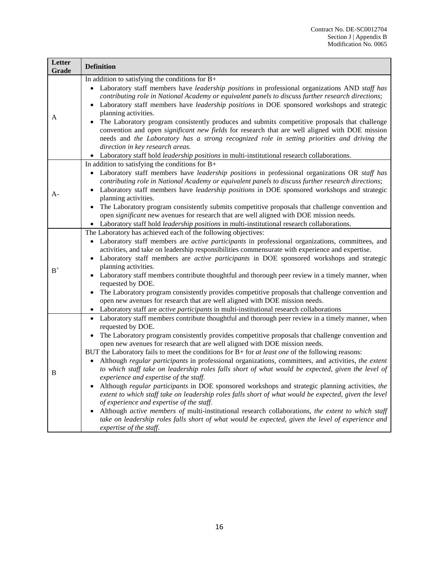| Letter<br>Grade | <b>Definition</b>                                                                                                                                                                                                                                                                                                                                                                                                                                                                                                                                                                                                                                                                                                                                                                                                                                                                                                                                                                                                                                                                                                                                                                                                  |
|-----------------|--------------------------------------------------------------------------------------------------------------------------------------------------------------------------------------------------------------------------------------------------------------------------------------------------------------------------------------------------------------------------------------------------------------------------------------------------------------------------------------------------------------------------------------------------------------------------------------------------------------------------------------------------------------------------------------------------------------------------------------------------------------------------------------------------------------------------------------------------------------------------------------------------------------------------------------------------------------------------------------------------------------------------------------------------------------------------------------------------------------------------------------------------------------------------------------------------------------------|
| A               | In addition to satisfying the conditions for $B+$<br>Laboratory staff members have leadership positions in professional organizations AND staff has<br>$\bullet$<br>contributing role in National Academy or equivalent panels to discuss further research directions;<br>Laboratory staff members have leadership positions in DOE sponsored workshops and strategic<br>planning activities.<br>The Laboratory program consistently produces and submits competitive proposals that challenge<br>convention and open <i>significant new fields</i> for research that are well aligned with DOE mission<br>needs and the Laboratory has a strong recognized role in setting priorities and driving the<br>direction in key research areas.<br>• Laboratory staff hold leadership positions in multi-institutional research collaborations.                                                                                                                                                                                                                                                                                                                                                                         |
| $A -$           | In addition to satisfying the conditions for $B+$<br>• Laboratory staff members have leadership positions in professional organizations OR staff has<br>contributing role in National Academy or equivalent panels to discuss further research directions;<br>Laboratory staff members have leadership positions in DOE sponsored workshops and strategic<br>planning activities.<br>The Laboratory program consistently submits competitive proposals that challenge convention and<br>$\bullet$<br>open significant new avenues for research that are well aligned with DOE mission needs.<br>• Laboratory staff hold <i>leadership positions</i> in multi-institutional research collaborations.                                                                                                                                                                                                                                                                                                                                                                                                                                                                                                                |
| $B^+$           | The Laboratory has achieved each of the following objectives:<br>Laboratory staff members are <i>active participants</i> in professional organizations, committees, and<br>$\bullet$<br>activities, and take on leadership responsibilities commensurate with experience and expertise.<br>Laboratory staff members are <i>active participants</i> in DOE sponsored workshops and strategic<br>planning activities.<br>Laboratory staff members contribute thoughtful and thorough peer review in a timely manner, when<br>requested by DOE.<br>The Laboratory program consistently provides competitive proposals that challenge convention and<br>$\bullet$<br>open new avenues for research that are well aligned with DOE mission needs.<br>• Laboratory staff are <i>active participants</i> in multi-institutional research collaborations                                                                                                                                                                                                                                                                                                                                                                   |
| B               | Laboratory staff members contribute thoughtful and thorough peer review in a timely manner, when<br>$\bullet$<br>requested by DOE.<br>The Laboratory program consistently provides competitive proposals that challenge convention and<br>open new avenues for research that are well aligned with DOE mission needs.<br>BUT the Laboratory fails to meet the conditions for $B$ + for <i>at least one</i> of the following reasons:<br>Although regular participants in professional organizations, committees, and activities, the extent<br>$\bullet$<br>to which staff take on leadership roles falls short of what would be expected, given the level of<br>experience and expertise of the staff.<br>Although regular participants in DOE sponsored workshops and strategic planning activities, the<br>$\bullet$<br>extent to which staff take on leadership roles falls short of what would be expected, given the level<br>of experience and expertise of the staff.<br>Although active members of multi-institutional research collaborations, the extent to which staff<br>take on leadership roles falls short of what would be expected, given the level of experience and<br>expertise of the staff. |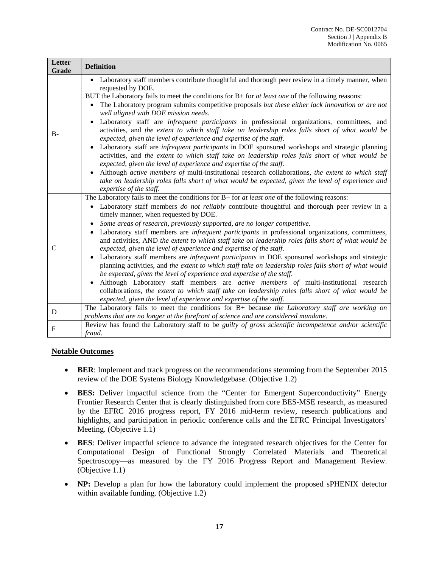| Letter<br>Grade | <b>Definition</b>                                                                                                                                                                                                                                                                                                                                                                                                                                                                                                                                                                                                                                                                                                                                                                                                                                                                                                                                                                                                                                                                                                                                                                                          |
|-----------------|------------------------------------------------------------------------------------------------------------------------------------------------------------------------------------------------------------------------------------------------------------------------------------------------------------------------------------------------------------------------------------------------------------------------------------------------------------------------------------------------------------------------------------------------------------------------------------------------------------------------------------------------------------------------------------------------------------------------------------------------------------------------------------------------------------------------------------------------------------------------------------------------------------------------------------------------------------------------------------------------------------------------------------------------------------------------------------------------------------------------------------------------------------------------------------------------------------|
| $B -$           | • Laboratory staff members contribute thoughtful and thorough peer review in a timely manner, when<br>requested by DOE.<br>BUT the Laboratory fails to meet the conditions for B+ for <i>at least one</i> of the following reasons:<br>The Laboratory program submits competitive proposals but these either lack innovation or are not<br>well aligned with DOE mission needs.<br>Laboratory staff are <i>infrequent participants</i> in professional organizations, committees, and<br>activities, and the extent to which staff take on leadership roles falls short of what would be<br>expected, given the level of experience and expertise of the staff.<br>Laboratory staff are infrequent participants in DOE sponsored workshops and strategic planning<br>$\bullet$<br>activities, and the extent to which staff take on leadership roles falls short of what would be<br>expected, given the level of experience and expertise of the staff.<br>Although active members of multi-institutional research collaborations, the extent to which staff<br>$\bullet$<br>take on leadership roles falls short of what would be expected, given the level of experience and<br>expertise of the staff. |
| $\mathcal{C}$   | The Laboratory fails to meet the conditions for B+ for at least one of the following reasons:<br>• Laboratory staff members <i>do not reliably</i> contribute thoughtful and thorough peer review in a<br>timely manner, when requested by DOE.<br>Some areas of research, previously supported, are no longer competitive.<br>Laboratory staff members are <i>infrequent participants</i> in professional organizations, committees,<br>and activities, AND the extent to which staff take on leadership roles falls short of what would be<br>expected, given the level of experience and expertise of the staff.<br>Laboratory staff members are infrequent participants in DOE sponsored workshops and strategic<br>planning activities, and the extent to which staff take on leadership roles falls short of what would<br>be expected, given the level of experience and expertise of the staff.<br>Although Laboratory staff members are <i>active members of</i> multi-institutional research<br>collaborations, the extent to which staff take on leadership roles falls short of what would be<br>expected, given the level of experience and expertise of the staff.                           |
| D               | The Laboratory fails to meet the conditions for B+ because the Laboratory staff are working on<br>problems that are no longer at the forefront of science and are considered mundane.                                                                                                                                                                                                                                                                                                                                                                                                                                                                                                                                                                                                                                                                                                                                                                                                                                                                                                                                                                                                                      |
| $\mathbf F$     | Review has found the Laboratory staff to be <i>guilty of gross scientific incompetence and/or scientific</i><br>fraud.                                                                                                                                                                                                                                                                                                                                                                                                                                                                                                                                                                                                                                                                                                                                                                                                                                                                                                                                                                                                                                                                                     |

## **Notable Outcomes**

- **BER**: Implement and track progress on the recommendations stemming from the September 2015 review of the DOE Systems Biology Knowledgebase. (Objective 1.2)
- **BES:** Deliver impactful science from the "Center for Emergent Superconductivity" Energy Frontier Research Center that is clearly distinguished from core BES-MSE research, as measured by the EFRC 2016 progress report, FY 2016 mid-term review, research publications and highlights, and participation in periodic conference calls and the EFRC Principal Investigators' Meeting. (Objective 1.1)
- **BES**: Deliver impactful science to advance the integrated research objectives for the Center for Computational Design of Functional Strongly Correlated Materials and Theoretical Spectroscopy—as measured by the FY 2016 Progress Report and Management Review. (Objective 1.1)
- **NP:** Develop a plan for how the laboratory could implement the proposed sPHENIX detector within available funding. (Objective 1.2)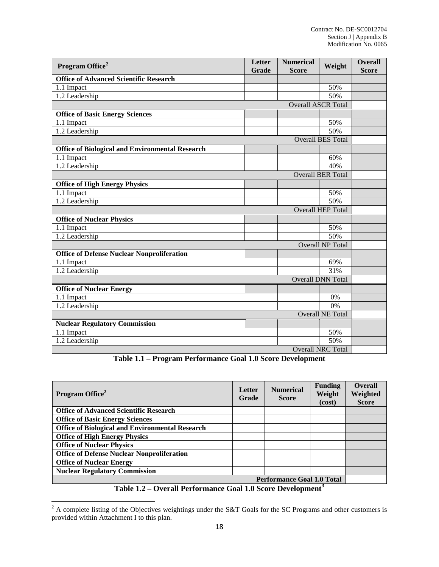| Program Office <sup>2</sup>                            | <b>Letter</b><br>Grade | <b>Numerical</b><br><b>Score</b> | Weight                   | <b>Overall</b><br><b>Score</b> |  |  |
|--------------------------------------------------------|------------------------|----------------------------------|--------------------------|--------------------------------|--|--|
| <b>Office of Advanced Scientific Research</b>          |                        |                                  |                          |                                |  |  |
| 1.1 Impact                                             |                        |                                  | 50%                      |                                |  |  |
| 1.2 Leadership                                         |                        |                                  | 50%                      |                                |  |  |
|                                                        |                        | <b>Overall ASCR Total</b>        |                          |                                |  |  |
| <b>Office of Basic Energy Sciences</b>                 |                        |                                  |                          |                                |  |  |
| 1.1 Impact                                             |                        |                                  | 50%                      |                                |  |  |
| 1.2 Leadership                                         |                        |                                  | 50%                      |                                |  |  |
| <b>Overall BES Total</b>                               |                        |                                  |                          |                                |  |  |
| <b>Office of Biological and Environmental Research</b> |                        |                                  |                          |                                |  |  |
| 1.1 Impact                                             |                        |                                  | 60%                      |                                |  |  |
| 1.2 Leadership                                         |                        |                                  | 40%                      |                                |  |  |
|                                                        |                        |                                  | <b>Overall BER Total</b> |                                |  |  |
| <b>Office of High Energy Physics</b>                   |                        |                                  |                          |                                |  |  |
| 1.1 Impact                                             |                        |                                  | 50%                      |                                |  |  |
| 1.2 Leadership                                         |                        |                                  | 50%                      |                                |  |  |
|                                                        |                        |                                  | <b>Overall HEP Total</b> |                                |  |  |
| <b>Office of Nuclear Physics</b>                       |                        |                                  |                          |                                |  |  |
| 1.1 Impact                                             |                        |                                  | 50%                      |                                |  |  |
| 1.2 Leadership                                         |                        |                                  | 50%                      |                                |  |  |
|                                                        |                        |                                  | <b>Overall NP Total</b>  |                                |  |  |
| <b>Office of Defense Nuclear Nonproliferation</b>      |                        |                                  |                          |                                |  |  |
| 1.1 Impact                                             |                        |                                  | 69%                      |                                |  |  |
| 1.2 Leadership                                         |                        |                                  | 31%                      |                                |  |  |
|                                                        |                        |                                  | <b>Overall DNN Total</b> |                                |  |  |
| <b>Office of Nuclear Energy</b>                        |                        |                                  |                          |                                |  |  |
| 1.1 Impact                                             |                        |                                  | 0%                       |                                |  |  |
| 1.2 Leadership                                         |                        |                                  | 0%                       |                                |  |  |
| <b>Overall NE Total</b>                                |                        |                                  |                          |                                |  |  |
| <b>Nuclear Regulatory Commission</b>                   |                        |                                  |                          |                                |  |  |
| 1.1 Impact                                             |                        |                                  | 50%                      |                                |  |  |
| 1.2 Leadership                                         |                        |                                  | 50%                      |                                |  |  |
|                                                        |                        |                                  | <b>Overall NRC Total</b> |                                |  |  |

**Table 1.1 – Program Performance Goal 1.0 Score Development**

| Program Office <sup>2</sup>                            | Letter<br>Grade | <b>Numerical</b><br><b>Score</b>  | <b>Funding</b><br>Weight<br>(cost) | <b>Overall</b><br>Weighted<br><b>Score</b> |
|--------------------------------------------------------|-----------------|-----------------------------------|------------------------------------|--------------------------------------------|
| <b>Office of Advanced Scientific Research</b>          |                 |                                   |                                    |                                            |
| <b>Office of Basic Energy Sciences</b>                 |                 |                                   |                                    |                                            |
| <b>Office of Biological and Environmental Research</b> |                 |                                   |                                    |                                            |
| <b>Office of High Energy Physics</b>                   |                 |                                   |                                    |                                            |
| <b>Office of Nuclear Physics</b>                       |                 |                                   |                                    |                                            |
| <b>Office of Defense Nuclear Nonproliferation</b>      |                 |                                   |                                    |                                            |
| <b>Office of Nuclear Energy</b>                        |                 |                                   |                                    |                                            |
| <b>Nuclear Regulatory Commission</b>                   |                 |                                   |                                    |                                            |
|                                                        |                 | <b>Performance Goal 1.0 Total</b> |                                    |                                            |

# **Table 1.2 – Overall Performance Goal 1.0 Score Development[3](#page-46-0)**

<span id="page-46-0"></span> $2 A$  complete listing of the Objectives weightings under the S&T Goals for the SC Programs and other customers is provided within Attachment I to this plan.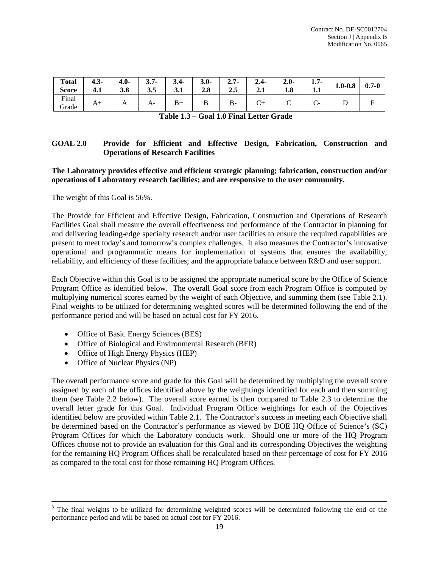| <b>Total</b><br><b>Score</b> | $4.3 -$<br>4.1 | $4.0-$<br>3.8 | $3.7 -$<br>J.J | $3.4 -$<br>3.1 | $3.0-$<br>2.8 | $2.7 -$<br>۵.۵ | $2.4 -$<br>4.1 | $2.0 -$<br>1.8 | . .<br>$1.7 -$<br>1.1 | $1.0 - 0.8$ | $0.7 - 0$ |
|------------------------------|----------------|---------------|----------------|----------------|---------------|----------------|----------------|----------------|-----------------------|-------------|-----------|
| Final<br>Grade               | A+             | A             | $A^-$          | $B+$           | D             | В-             |                |                |                       | ∸           |           |

| Table 1.3 – Goal 1.0 Final Letter Grade |
|-----------------------------------------|
|-----------------------------------------|

## **GOAL 2.0 Provide for Efficient and Effective Design, Fabrication, Construction and Operations of Research Facilities**

**The Laboratory provides effective and efficient strategic planning; fabrication, construction and/or operations of Laboratory research facilities; and are responsive to the user community.**

The weight of this Goal is 56%.

The Provide for Efficient and Effective Design, Fabrication, Construction and Operations of Research Facilities Goal shall measure the overall effectiveness and performance of the Contractor in planning for and delivering leading-edge specialty research and/or user facilities to ensure the required capabilities are present to meet today's and tomorrow's complex challenges. It also measures the Contractor's innovative operational and programmatic means for implementation of systems that ensures the availability, reliability, and efficiency of these facilities; and the appropriate balance between R&D and user support.

Each Objective within this Goal is to be assigned the appropriate numerical score by the Office of Science Program Office as identified below. The overall Goal score from each Program Office is computed by multiplying numerical scores earned by the weight of each Objective, and summing them (see Table 2.1). Final weights to be utilized for determining weighted scores will be determined following the end of the performance period and will be based on actual cost for FY 2016.

- Office of Basic Energy Sciences (BES)
- Office of Biological and Environmental Research (BER)
- Office of High Energy Physics (HEP)
- Office of Nuclear Physics (NP)

The overall performance score and grade for this Goal will be determined by multiplying the overall score assigned by each of the offices identified above by the weightings identified for each and then summing them (see Table 2.2 below). The overall score earned is then compared to Table 2.3 to determine the overall letter grade for this Goal. Individual Program Office weightings for each of the Objectives identified below are provided within Table 2.1. The Contractor's success in meeting each Objective shall be determined based on the Contractor's performance as viewed by DOE HQ Office of Science's (SC) Program Offices for which the Laboratory conducts work. Should one or more of the HQ Program Offices choose not to provide an evaluation for this Goal and its corresponding Objectives the weighting for the remaining HQ Program Offices shall be recalculated based on their percentage of cost for FY 2016 as compared to the total cost for those remaining HQ Program Offices.

<sup>&</sup>lt;sup>3</sup> The final weights to be utilized for determining weighted scores will be determined following the end of the performance period and will be based on actual cost for FY 2016.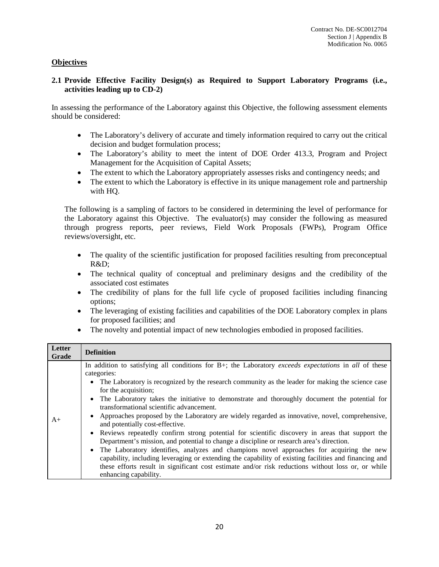# **Objectives**

## **2.1 Provide Effective Facility Design(s) as Required to Support Laboratory Programs (i.e., activities leading up to CD-2)**

In assessing the performance of the Laboratory against this Objective, the following assessment elements should be considered:

- The Laboratory's delivery of accurate and timely information required to carry out the critical decision and budget formulation process;
- The Laboratory's ability to meet the intent of DOE Order 413.3, Program and Project Management for the Acquisition of Capital Assets;
- The extent to which the Laboratory appropriately assesses risks and contingency needs; and
- The extent to which the Laboratory is effective in its unique management role and partnership with HQ.

The following is a sampling of factors to be considered in determining the level of performance for the Laboratory against this Objective. The evaluator(s) may consider the following as measured through progress reports, peer reviews, Field Work Proposals (FWPs), Program Office reviews/oversight, etc.

- The quality of the scientific justification for proposed facilities resulting from preconceptual R&D;
- The technical quality of conceptual and preliminary designs and the credibility of the associated cost estimates
- The credibility of plans for the full life cycle of proposed facilities including financing options;
- The leveraging of existing facilities and capabilities of the DOE Laboratory complex in plans for proposed facilities; and
- The novelty and potential impact of new technologies embodied in proposed facilities.

| Letter<br>Grade | <b>Definition</b>                                                                                                                                                                                                                                                                                                                                                                                                                                                                                                                                                                                                                                                                                                                                                                                                                                                                                                                                                                                                                                                        |
|-----------------|--------------------------------------------------------------------------------------------------------------------------------------------------------------------------------------------------------------------------------------------------------------------------------------------------------------------------------------------------------------------------------------------------------------------------------------------------------------------------------------------------------------------------------------------------------------------------------------------------------------------------------------------------------------------------------------------------------------------------------------------------------------------------------------------------------------------------------------------------------------------------------------------------------------------------------------------------------------------------------------------------------------------------------------------------------------------------|
| $A+$            | In addition to satisfying all conditions for B+; the Laboratory exceeds expectations in all of these<br>categories:<br>• The Laboratory is recognized by the research community as the leader for making the science case<br>for the acquisition;<br>The Laboratory takes the initiative to demonstrate and thoroughly document the potential for<br>transformational scientific advancement.<br>• Approaches proposed by the Laboratory are widely regarded as innovative, novel, comprehensive,<br>and potentially cost-effective.<br>• Reviews repeatedly confirm strong potential for scientific discovery in areas that support the<br>Department's mission, and potential to change a discipline or research area's direction.<br>The Laboratory identifies, analyzes and champions novel approaches for acquiring the new<br>capability, including leveraging or extending the capability of existing facilities and financing and<br>these efforts result in significant cost estimate and/or risk reductions without loss or, or while<br>enhancing capability. |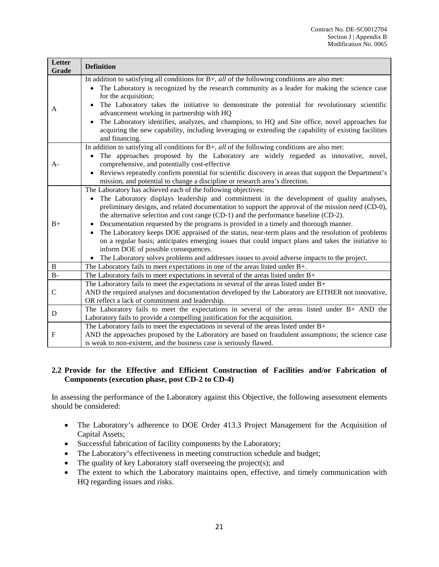| Letter<br>Grade           | <b>Definition</b>                                                                                                                                                                                                                                                                                                                                                                                                                                                                                                                                                                                                                                                                                                                                                                                                             |
|---------------------------|-------------------------------------------------------------------------------------------------------------------------------------------------------------------------------------------------------------------------------------------------------------------------------------------------------------------------------------------------------------------------------------------------------------------------------------------------------------------------------------------------------------------------------------------------------------------------------------------------------------------------------------------------------------------------------------------------------------------------------------------------------------------------------------------------------------------------------|
| A                         | In addition to satisfying all conditions for $B+$ , all of the following conditions are also met:<br>The Laboratory is recognized by the research community as a leader for making the science case<br>for the acquisition;<br>The Laboratory takes the initiative to demonstrate the potential for revolutionary scientific<br>advancement working in partnership with HQ<br>The Laboratory identifies, analyzes, and champions, to HQ and Site office, novel approaches for<br>$\bullet$<br>acquiring the new capability, including leveraging or extending the capability of existing facilities<br>and financing.                                                                                                                                                                                                         |
| $A-$                      | In addition to satisfying all conditions for $B+$ , all of the following conditions are also met:<br>The approaches proposed by the Laboratory are widely regarded as innovative, novel,<br>comprehensive, and potentially cost-effective<br>Reviews repeatedly confirm potential for scientific discovery in areas that support the Department's<br>$\bullet$<br>mission, and potential to change a discipline or research area's direction.                                                                                                                                                                                                                                                                                                                                                                                 |
| $B+$                      | The Laboratory has achieved each of the following objectives:<br>The Laboratory displays leadership and commitment in the development of quality analyses,<br>preliminary designs, and related documentation to support the approval of the mission need (CD-0),<br>the alternative selection and cost range (CD-1) and the performance baseline (CD-2).<br>Documentation requested by the programs is provided in a timely and thorough manner.<br>$\bullet$<br>The Laboratory keeps DOE appraised of the status, near-term plans and the resolution of problems<br>on a regular basis; anticipates emerging issues that could impact plans and takes the initiative to<br>inform DOE of possible consequences.<br>The Laboratory solves problems and addresses issues to avoid adverse impacts to the project.<br>$\bullet$ |
| $\, {\bf B}$              | The Laboratory fails to meet expectations in one of the areas listed under $B_{+}$ .                                                                                                                                                                                                                                                                                                                                                                                                                                                                                                                                                                                                                                                                                                                                          |
| $B -$                     | The Laboratory fails to meet expectations in several of the areas listed under B+                                                                                                                                                                                                                                                                                                                                                                                                                                                                                                                                                                                                                                                                                                                                             |
| $\mathcal{C}$             | The Laboratory fails to meet the expectations in several of the areas listed under B+<br>AND the required analyses and documentation developed by the Laboratory are EITHER not innovative,<br>OR reflect a lack of commitment and leadership.                                                                                                                                                                                                                                                                                                                                                                                                                                                                                                                                                                                |
| D                         | The Laboratory fails to meet the expectations in several of the areas listed under B+ AND the<br>Laboratory fails to provide a compelling justification for the acquisition.                                                                                                                                                                                                                                                                                                                                                                                                                                                                                                                                                                                                                                                  |
| $\boldsymbol{\mathrm{F}}$ | The Laboratory fails to meet the expectations in several of the areas listed under $B+$<br>AND the approaches proposed by the Laboratory are based on fraudulent assumptions; the science case<br>is weak to non-existent, and the business case is seriously flawed.                                                                                                                                                                                                                                                                                                                                                                                                                                                                                                                                                         |

## **2.2 Provide for the Effective and Efficient Construction of Facilities and/or Fabrication of Components (execution phase, post CD-2 to CD-4)**

- The Laboratory's adherence to DOE Order 413.3 Project Management for the Acquisition of Capital Assets;
- Successful fabrication of facility components by the Laboratory;
- The Laboratory's effectiveness in meeting construction schedule and budget;
- The quality of key Laboratory staff overseeing the project(s); and
- The extent to which the Laboratory maintains open, effective, and timely communication with HQ regarding issues and risks.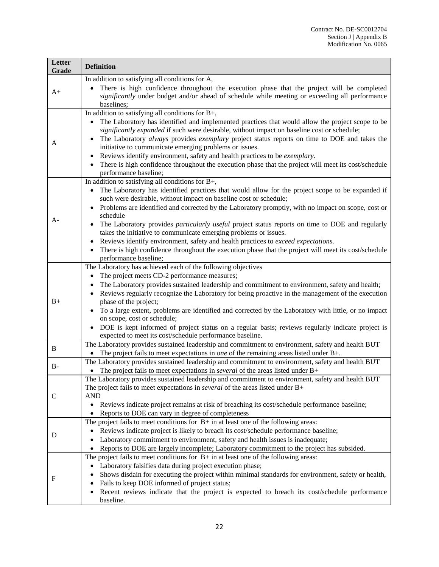| Letter<br>Grade | <b>Definition</b>                                                                                                                                                                                                                                                                                                                                                                                                                                                                                                                                                                                                                                                                                                                                                             |
|-----------------|-------------------------------------------------------------------------------------------------------------------------------------------------------------------------------------------------------------------------------------------------------------------------------------------------------------------------------------------------------------------------------------------------------------------------------------------------------------------------------------------------------------------------------------------------------------------------------------------------------------------------------------------------------------------------------------------------------------------------------------------------------------------------------|
|                 | In addition to satisfying all conditions for A,                                                                                                                                                                                                                                                                                                                                                                                                                                                                                                                                                                                                                                                                                                                               |
| $A+$            | There is high confidence throughout the execution phase that the project will be completed<br>significantly under budget and/or ahead of schedule while meeting or exceeding all performance<br>baselines;                                                                                                                                                                                                                                                                                                                                                                                                                                                                                                                                                                    |
| A               | In addition to satisfying all conditions for $B+$ ,<br>The Laboratory has identified and implemented practices that would allow the project scope to be<br>$\bullet$<br>significantly expanded if such were desirable, without impact on baseline cost or schedule;<br>The Laboratory always provides exemplary project status reports on time to DOE and takes the<br>initiative to communicate emerging problems or issues.<br>Reviews identify environment, safety and health practices to be exemplary.<br>$\bullet$<br>There is high confidence throughout the execution phase that the project will meet its cost/schedule<br>performance baseline;                                                                                                                     |
| A-              | In addition to satisfying all conditions for $B^+$ ,<br>The Laboratory has identified practices that would allow for the project scope to be expanded if<br>$\bullet$<br>such were desirable, without impact on baseline cost or schedule;<br>Problems are identified and corrected by the Laboratory promptly, with no impact on scope, cost or<br>schedule<br>The Laboratory provides <i>particularly useful</i> project status reports on time to DOE and regularly<br>takes the initiative to communicate emerging problems or issues.<br>Reviews identify environment, safety and health practices to exceed expectations.<br>$\bullet$<br>There is high confidence throughout the execution phase that the project will meet its cost/schedule<br>performance baseline; |
| $B+$            | The Laboratory has achieved each of the following objectives<br>The project meets CD-2 performance measures;<br>٠<br>The Laboratory provides sustained leadership and commitment to environment, safety and health;<br>Reviews regularly recognize the Laboratory for being proactive in the management of the execution<br>phase of the project;<br>To a large extent, problems are identified and corrected by the Laboratory with little, or no impact<br>on scope, cost or schedule;<br>DOE is kept informed of project status on a regular basis; reviews regularly indicate project is<br>expected to meet its cost/schedule performance baseline.                                                                                                                      |
| B               | The Laboratory provides sustained leadership and commitment to environment, safety and health BUT<br>The project fails to meet expectations in one of the remaining areas listed under $B+$ .                                                                                                                                                                                                                                                                                                                                                                                                                                                                                                                                                                                 |
| $B-$            | The Laboratory provides sustained leadership and commitment to environment, safety and health BUT<br>The project fails to meet expectations in <i>several</i> of the areas listed under $B+$                                                                                                                                                                                                                                                                                                                                                                                                                                                                                                                                                                                  |
| C               | The Laboratory provides sustained leadership and commitment to environment, safety and health BUT<br>The project fails to meet expectations in <i>several</i> of the areas listed under $B+$<br><b>AND</b><br>Reviews indicate project remains at risk of breaching its cost/schedule performance baseline;<br>Reports to DOE can vary in degree of completeness                                                                                                                                                                                                                                                                                                                                                                                                              |
| D               | The project fails to meet conditions for $B+$ in at least one of the following areas:<br>Reviews indicate project is likely to breach its cost/schedule performance baseline;<br>Laboratory commitment to environment, safety and health issues is inadequate;<br>Reports to DOE are largely incomplete; Laboratory commitment to the project has subsided.<br>$\bullet$                                                                                                                                                                                                                                                                                                                                                                                                      |
| F               | The project fails to meet conditions for $B+$ in at least one of the following areas:<br>Laboratory falsifies data during project execution phase;<br>$\bullet$<br>Shows disdain for executing the project within minimal standards for environment, safety or health,<br>Fails to keep DOE informed of project status;<br>$\bullet$<br>Recent reviews indicate that the project is expected to breach its cost/schedule performance<br>$\bullet$<br>baseline.                                                                                                                                                                                                                                                                                                                |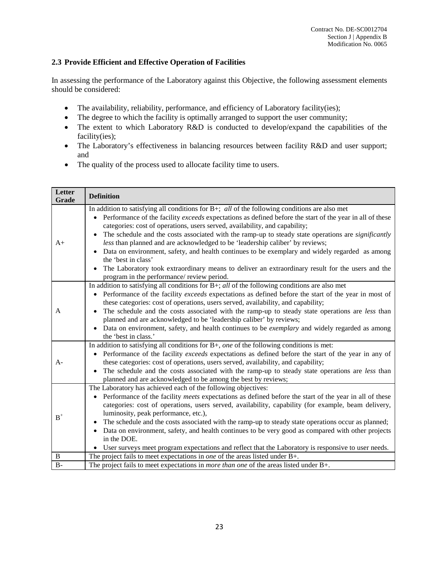# **2.3 Provide Efficient and Effective Operation of Facilities**

- The availability, reliability, performance, and efficiency of Laboratory facility(ies);
- The degree to which the facility is optimally arranged to support the user community;
- The extent to which Laboratory R&D is conducted to develop/expand the capabilities of the facility(ies);
- The Laboratory's effectiveness in balancing resources between facility R&D and user support; and
- The quality of the process used to allocate facility time to users.

| Letter<br>Grade | <b>Definition</b>                                                                                                                                                                                                                                                                                                                                                                                                                                                                                                                                                                                                                                                                                                                                                       |
|-----------------|-------------------------------------------------------------------------------------------------------------------------------------------------------------------------------------------------------------------------------------------------------------------------------------------------------------------------------------------------------------------------------------------------------------------------------------------------------------------------------------------------------------------------------------------------------------------------------------------------------------------------------------------------------------------------------------------------------------------------------------------------------------------------|
| $A+$            | In addition to satisfying all conditions for $B+$ ; all of the following conditions are also met<br>• Performance of the facility exceeds expectations as defined before the start of the year in all of these<br>categories: cost of operations, users served, availability, and capability;<br>The schedule and the costs associated with the ramp-up to steady state operations are <i>significantly</i><br>less than planned and are acknowledged to be 'leadership caliber' by reviews;<br>Data on environment, safety, and health continues to be exemplary and widely regarded as among<br>the 'best in class'<br>The Laboratory took extraordinary means to deliver an extraordinary result for the users and the<br>program in the performance/ review period. |
| A               | In addition to satisfying all conditions for $B+$ ; all of the following conditions are also met<br>Performance of the facility exceeds expectations as defined before the start of the year in most of<br>$\bullet$<br>these categories: cost of operations, users served, availability, and capability;<br>The schedule and the costs associated with the ramp-up to steady state operations are less than<br>planned and are acknowledged to be 'leadership caliber' by reviews;<br>Data on environment, safety, and health continues to be <i>exemplary</i> and widely regarded as among<br>the 'best in class.'                                                                                                                                                    |
| A-              | In addition to satisfying all conditions for $B+$ , one of the following conditions is met:<br>Performance of the facility exceeds expectations as defined before the start of the year in any of<br>$\bullet$<br>these categories: cost of operations, users served, availability, and capability;<br>The schedule and the costs associated with the ramp-up to steady state operations are less than<br>$\bullet$<br>planned and are acknowledged to be among the best by reviews;                                                                                                                                                                                                                                                                                    |
| $B^+$           | The Laboratory has achieved each of the following objectives:<br>Performance of the facility <i>meets</i> expectations as defined before the start of the year in all of these<br>$\bullet$<br>categories: cost of operations, users served, availability, capability (for example, beam delivery,<br>luminosity, peak performance, etc.),<br>The schedule and the costs associated with the ramp-up to steady state operations occur as planned;<br>$\bullet$<br>Data on environment, safety, and health continues to be very good as compared with other projects<br>$\bullet$<br>in the DOE.<br>User surveys meet program expectations and reflect that the Laboratory is responsive to user needs.                                                                  |
| $\, {\bf B}$    | The project fails to meet expectations in <i>one</i> of the areas listed under $B_{+}$ .                                                                                                                                                                                                                                                                                                                                                                                                                                                                                                                                                                                                                                                                                |
| $B -$           | The project fails to meet expectations in <i>more than one</i> of the areas listed under $B+$ .                                                                                                                                                                                                                                                                                                                                                                                                                                                                                                                                                                                                                                                                         |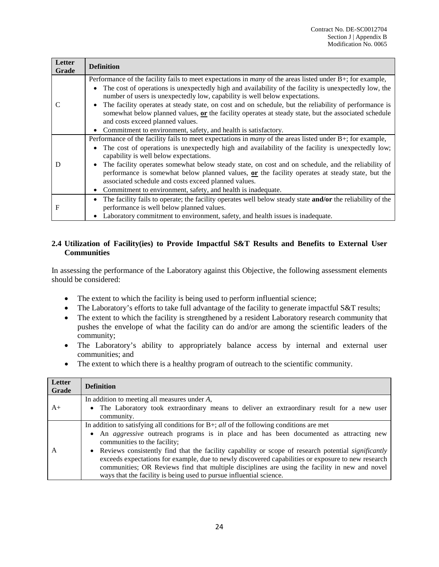| <b>Letter</b><br>Grade | <b>Definition</b>                                                                                                                                                                                             |
|------------------------|---------------------------------------------------------------------------------------------------------------------------------------------------------------------------------------------------------------|
|                        | Performance of the facility fails to meet expectations in <i>many</i> of the areas listed under $B+$ ; for example,                                                                                           |
|                        | The cost of operations is unexpectedly high and availability of the facility is unexpectedly low, the<br>number of users is unexpectedly low, capability is well below expectations.                          |
|                        | The facility operates at steady state, on cost and on schedule, but the reliability of performance is<br>somewhat below planned values, or the facility operates at steady state, but the associated schedule |
|                        | and costs exceed planned values.                                                                                                                                                                              |
|                        | Commitment to environment, safety, and health is satisfactory.<br>$\bullet$                                                                                                                                   |
|                        | Performance of the facility fails to meet expectations in <i>many</i> of the areas listed under $B+$ ; for example,                                                                                           |
|                        | The cost of operations is unexpectedly high and availability of the facility is unexpectedly low;<br>$\bullet$                                                                                                |
|                        | capability is well below expectations.                                                                                                                                                                        |
| D                      | The facility operates somewhat below steady state, on cost and on schedule, and the reliability of<br>$\bullet$                                                                                               |
|                        | performance is somewhat below planned values, or the facility operates at steady state, but the                                                                                                               |
|                        | associated schedule and costs exceed planned values.                                                                                                                                                          |
|                        | Commitment to environment, safety, and health is inadequate.<br>$\bullet$                                                                                                                                     |
|                        | The facility fails to operate; the facility operates well below steady state <b>and/or</b> the reliability of the<br>$\bullet$                                                                                |
| F                      | performance is well below planned values.                                                                                                                                                                     |
|                        | Laboratory commitment to environment, safety, and health issues is inadequate.                                                                                                                                |

# **2.4 Utilization of Facility(ies) to Provide Impactful S&T Results and Benefits to External User Communities**

- The extent to which the facility is being used to perform influential science;
- The Laboratory's efforts to take full advantage of the facility to generate impactful S&T results;
- The extent to which the facility is strengthened by a resident Laboratory research community that pushes the envelope of what the facility can do and/or are among the scientific leaders of the community;
- The Laboratory's ability to appropriately balance access by internal and external user communities; and
- The extent to which there is a healthy program of outreach to the scientific community.

| Letter<br>Grade | <b>Definition</b>                                                                                                                                                                                                                                                                                                                                                                                                                                                                                                                                                                                                                       |
|-----------------|-----------------------------------------------------------------------------------------------------------------------------------------------------------------------------------------------------------------------------------------------------------------------------------------------------------------------------------------------------------------------------------------------------------------------------------------------------------------------------------------------------------------------------------------------------------------------------------------------------------------------------------------|
| $A+$            | In addition to meeting all measures under A,<br>• The Laboratory took extraordinary means to deliver an extraordinary result for a new user<br>community.                                                                                                                                                                                                                                                                                                                                                                                                                                                                               |
| A               | In addition to satisfying all conditions for $B+$ ; all of the following conditions are met<br>An <i>aggressive</i> outreach programs is in place and has been documented as attracting new<br>$\bullet$<br>communities to the facility;<br>• Reviews consistently find that the facility capability or scope of research potential <i>significantly</i><br>exceeds expectations for example, due to newly discovered capabilities or exposure to new research<br>communities; OR Reviews find that multiple disciplines are using the facility in new and novel<br>ways that the facility is being used to pursue influential science. |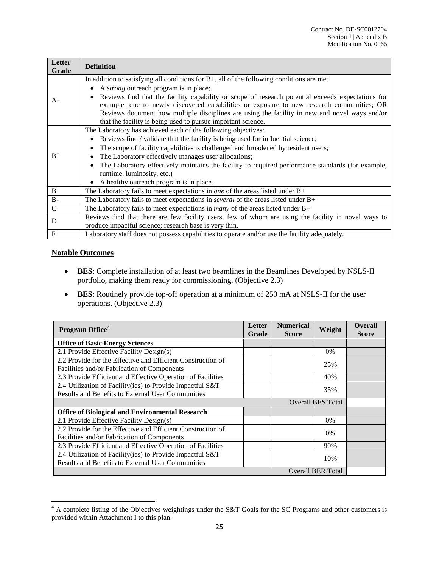| Letter<br>Grade | <b>Definition</b>                                                                                              |
|-----------------|----------------------------------------------------------------------------------------------------------------|
|                 | In addition to satisfying all conditions for $B+$ , all of the following conditions are met                    |
|                 | A <i>strong</i> outreach program is in place;                                                                  |
| A-              | Reviews find that the facility capability or scope of research potential exceeds expectations for<br>$\bullet$ |
|                 | example, due to newly discovered capabilities or exposure to new research communities; OR                      |
|                 | Reviews document how multiple disciplines are using the facility in new and novel ways and/or                  |
|                 | that the facility is being used to pursue important science.                                                   |
|                 | The Laboratory has achieved each of the following objectives:                                                  |
|                 | Reviews find / validate that the facility is being used for influential science;                               |
|                 | The scope of facility capabilities is challenged and broadened by resident users;                              |
| $B^+$           | The Laboratory effectively manages user allocations;<br>٠                                                      |
|                 | The Laboratory effectively maintains the facility to required performance standards (for example,              |
|                 | runtime, luminosity, etc.)                                                                                     |
|                 | A healthy outreach program is in place.                                                                        |
| B               | The Laboratory fails to meet expectations in <i>one</i> of the areas listed under $B+$                         |
| $B-$            | The Laboratory fails to meet expectations in <i>several</i> of the areas listed under $B+$                     |
| $\mathcal{C}$   | The Laboratory fails to meet expectations in <i>many</i> of the areas listed under $B+$                        |
| D               | Reviews find that there are few facility users, few of whom are using the facility in novel ways to            |
|                 | produce impactful science; research base is very thin.                                                         |
| $\mathbf{F}$    | Laboratory staff does not possess capabilities to operate and/or use the facility adequately.                  |

#### **Notable Outcomes**

- **BES**: Complete installation of at least two beamlines in the Beamlines Developed by NSLS-II portfolio, making them ready for commissioning. (Objective 2.3)
- **BES**: Routinely provide top-off operation at a minimum of 250 mA at NSLS-II for the user operations. (Objective 2.3)

| Program Office <sup>4</sup>                                                                                           | <b>Letter</b><br>Grade | <b>Numerical</b><br><b>Score</b> | Weight                   | <b>Overall</b><br><b>Score</b> |
|-----------------------------------------------------------------------------------------------------------------------|------------------------|----------------------------------|--------------------------|--------------------------------|
| <b>Office of Basic Energy Sciences</b>                                                                                |                        |                                  |                          |                                |
| 2.1 Provide Effective Facility Design(s)                                                                              |                        |                                  | $0\%$                    |                                |
| 2.2 Provide for the Effective and Efficient Construction of<br>Facilities and/or Fabrication of Components            |                        |                                  | 25%                      |                                |
| 2.3 Provide Efficient and Effective Operation of Facilities                                                           |                        |                                  | 40%                      |                                |
| 2.4 Utilization of Facility(ies) to Provide Impactful S&T<br><b>Results and Benefits to External User Communities</b> |                        |                                  | 35%                      |                                |
|                                                                                                                       |                        |                                  | <b>Overall BES Total</b> |                                |
| <b>Office of Biological and Environmental Research</b>                                                                |                        |                                  |                          |                                |
| 2.1 Provide Effective Facility Design(s)                                                                              |                        |                                  | $0\%$                    |                                |
| 2.2 Provide for the Effective and Efficient Construction of<br>Facilities and/or Fabrication of Components            |                        |                                  | 0%                       |                                |
| 2.3 Provide Efficient and Effective Operation of Facilities                                                           |                        |                                  | 90%                      |                                |
| 2.4 Utilization of Facility(ies) to Provide Impactful S&T<br><b>Results and Benefits to External User Communities</b> |                        |                                  | 10%                      |                                |
|                                                                                                                       |                        |                                  | <b>Overall BER Total</b> |                                |

<span id="page-53-0"></span><sup>&</sup>lt;sup>4</sup> A complete listing of the Objectives weightings under the S&T Goals for the SC Programs and other customers is provided within Attachment I to this plan.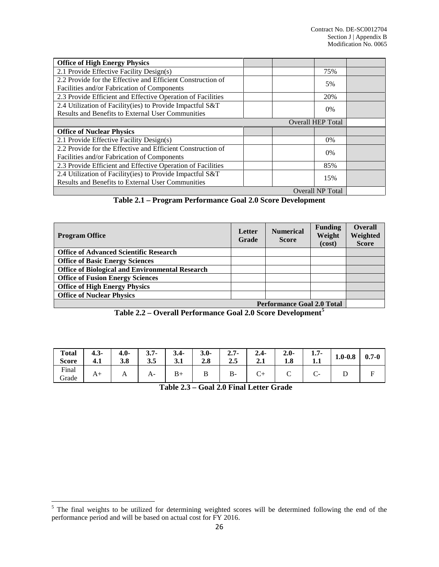| <b>Office of High Energy Physics</b>                        |       |  |  |  |  |  |
|-------------------------------------------------------------|-------|--|--|--|--|--|
| 2.1 Provide Effective Facility Design(s)                    | 75%   |  |  |  |  |  |
| 2.2 Provide for the Effective and Efficient Construction of |       |  |  |  |  |  |
| Facilities and/or Fabrication of Components                 | 5%    |  |  |  |  |  |
| 2.3 Provide Efficient and Effective Operation of Facilities | 20%   |  |  |  |  |  |
| 2.4 Utilization of Facility(ies) to Provide Impactful S&T   |       |  |  |  |  |  |
| <b>Results and Benefits to External User Communities</b>    | $0\%$ |  |  |  |  |  |
| <b>Overall HEP Total</b>                                    |       |  |  |  |  |  |
|                                                             |       |  |  |  |  |  |
| <b>Office of Nuclear Physics</b>                            |       |  |  |  |  |  |
| 2.1 Provide Effective Facility Design(s)                    | 0%    |  |  |  |  |  |
| 2.2 Provide for the Effective and Efficient Construction of |       |  |  |  |  |  |
| Facilities and/or Fabrication of Components                 | $0\%$ |  |  |  |  |  |
| 2.3 Provide Efficient and Effective Operation of Facilities | 85%   |  |  |  |  |  |
| 2.4 Utilization of Facility(ies) to Provide Impactful S&T   |       |  |  |  |  |  |
| <b>Results and Benefits to External User Communities</b>    | 15%   |  |  |  |  |  |

**Table 2.1 – Program Performance Goal 2.0 Score Development**

| <b>Program Office</b>                                  | Letter<br><b>Grade</b> | <b>Numerical</b><br><b>Score</b> | <b>Funding</b><br>Weight<br>(cost) | <b>Overall</b><br>Weighted<br><b>Score</b> |  |
|--------------------------------------------------------|------------------------|----------------------------------|------------------------------------|--------------------------------------------|--|
| <b>Office of Advanced Scientific Research</b>          |                        |                                  |                                    |                                            |  |
| <b>Office of Basic Energy Sciences</b>                 |                        |                                  |                                    |                                            |  |
| <b>Office of Biological and Environmental Research</b> |                        |                                  |                                    |                                            |  |
| <b>Office of Fusion Energy Sciences</b>                |                        |                                  |                                    |                                            |  |
| <b>Office of High Energy Physics</b>                   |                        |                                  |                                    |                                            |  |
| <b>Office of Nuclear Physics</b>                       |                        |                                  |                                    |                                            |  |
| <b>Performance Goal 2.0 Total</b>                      |                        |                                  |                                    |                                            |  |

**Table 2.2 – Overall Performance Goal 2.0 Score Development[5](#page-54-0)**

| <b>Total</b><br><b>Score</b> | $4.3 -$<br>4.1 | $4.0-$<br>ാ റ<br>э.о | $3.7 -$<br>3.5 | $3.4 -$<br>J.L | $3.0 -$<br>2.8 | $2.7 -$<br>2.J | $2.4 -$<br>4. L | $2.0 -$<br>1.8 | $1.1 -$<br>1.1 | $1.0 - 0.8$ | $0.7 - 0$ |
|------------------------------|----------------|----------------------|----------------|----------------|----------------|----------------|-----------------|----------------|----------------|-------------|-----------|
| Final<br>Grade               | $A+$           | n                    | TУ.            | $B+$           | Ψ              | D-             |                 |                |                |             |           |

**Table 2.3 – Goal 2.0 Final Letter Grade**

<span id="page-54-0"></span><sup>&</sup>lt;sup>5</sup> The final weights to be utilized for determining weighted scores will be determined following the end of the performance period and will be based on actual cost for FY 2016.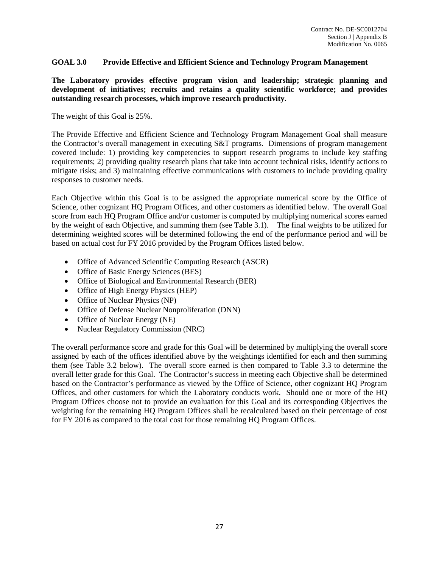## **GOAL 3.0 Provide Effective and Efficient Science and Technology Program Management**

**The Laboratory provides effective program vision and leadership; strategic planning and development of initiatives; recruits and retains a quality scientific workforce; and provides outstanding research processes, which improve research productivity.**

The weight of this Goal is 25%.

The Provide Effective and Efficient Science and Technology Program Management Goal shall measure the Contractor's overall management in executing S&T programs. Dimensions of program management covered include: 1) providing key competencies to support research programs to include key staffing requirements; 2) providing quality research plans that take into account technical risks, identify actions to mitigate risks; and 3) maintaining effective communications with customers to include providing quality responses to customer needs.

Each Objective within this Goal is to be assigned the appropriate numerical score by the Office of Science, other cognizant HQ Program Offices, and other customers as identified below. The overall Goal score from each HQ Program Office and/or customer is computed by multiplying numerical scores earned by the weight of each Objective, and summing them (see Table 3.1). The final weights to be utilized for determining weighted scores will be determined following the end of the performance period and will be based on actual cost for FY 2016 provided by the Program Offices listed below.

- Office of Advanced Scientific Computing Research (ASCR)
- Office of Basic Energy Sciences (BES)
- Office of Biological and Environmental Research (BER)
- Office of High Energy Physics (HEP)
- Office of Nuclear Physics (NP)
- Office of Defense Nuclear Nonproliferation (DNN)
- Office of Nuclear Energy (NE)
- Nuclear Regulatory Commission (NRC)

The overall performance score and grade for this Goal will be determined by multiplying the overall score assigned by each of the offices identified above by the weightings identified for each and then summing them (see Table 3.2 below). The overall score earned is then compared to Table 3.3 to determine the overall letter grade for this Goal. The Contractor's success in meeting each Objective shall be determined based on the Contractor's performance as viewed by the Office of Science, other cognizant HQ Program Offices, and other customers for which the Laboratory conducts work. Should one or more of the HQ Program Offices choose not to provide an evaluation for this Goal and its corresponding Objectives the weighting for the remaining HQ Program Offices shall be recalculated based on their percentage of cost for FY 2016 as compared to the total cost for those remaining HQ Program Offices.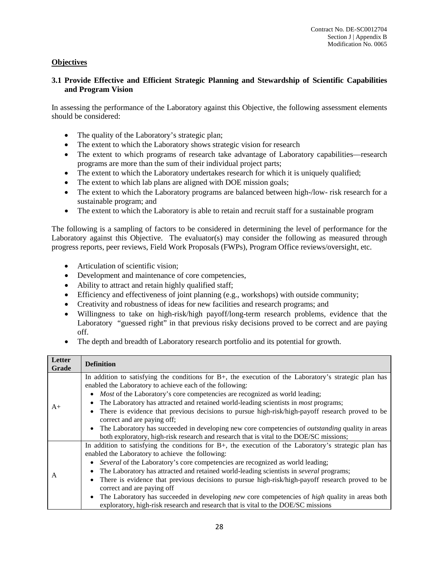# **Objectives**

# **3.1 Provide Effective and Efficient Strategic Planning and Stewardship of Scientific Capabilities and Program Vision**

In assessing the performance of the Laboratory against this Objective, the following assessment elements should be considered:

- The quality of the Laboratory's strategic plan;
- The extent to which the Laboratory shows strategic vision for research
- The extent to which programs of research take advantage of Laboratory capabilities—research programs are more than the sum of their individual project parts;
- The extent to which the Laboratory undertakes research for which it is uniquely qualified;
- The extent to which lab plans are aligned with DOE mission goals;
- The extent to which the Laboratory programs are balanced between high-/low- risk research for a sustainable program; and
- The extent to which the Laboratory is able to retain and recruit staff for a sustainable program

The following is a sampling of factors to be considered in determining the level of performance for the Laboratory against this Objective. The evaluator(s) may consider the following as measured through progress reports, peer reviews, Field Work Proposals (FWPs), Program Office reviews/oversight, etc.

- Articulation of scientific vision;
- Development and maintenance of core competencies,
- Ability to attract and retain highly qualified staff;
- Efficiency and effectiveness of joint planning (e.g., workshops) with outside community;
- Creativity and robustness of ideas for new facilities and research programs; and
- Willingness to take on high-risk/high payoff/long-term research problems, evidence that the Laboratory "guessed right" in that previous risky decisions proved to be correct and are paying off.
- The depth and breadth of Laboratory research portfolio and its potential for growth.

| <b>Letter</b><br>Grade | <b>Definition</b>                                                                                                                                                                                                                                                                                                                                                                                                                                                                                                                                                                                                                                                                    |
|------------------------|--------------------------------------------------------------------------------------------------------------------------------------------------------------------------------------------------------------------------------------------------------------------------------------------------------------------------------------------------------------------------------------------------------------------------------------------------------------------------------------------------------------------------------------------------------------------------------------------------------------------------------------------------------------------------------------|
| $A+$                   | In addition to satisfying the conditions for B+, the execution of the Laboratory's strategic plan has<br>enabled the Laboratory to achieve each of the following:<br>• Most of the Laboratory's core competencies are recognized as world leading;<br>The Laboratory has attracted and retained world-leading scientists in most programs;<br>There is evidence that previous decisions to pursue high-risk/high-payoff research proved to be<br>correct and are paying off;<br>• The Laboratory has succeeded in developing new core competencies of <i>outstanding</i> quality in areas<br>both exploratory, high-risk research and research that is vital to the DOE/SC missions; |
| A                      | In addition to satisfying the conditions for B+, the execution of the Laboratory's strategic plan has<br>enabled the Laboratory to achieve the following:<br>Several of the Laboratory's core competencies are recognized as world leading;<br>The Laboratory has attracted and retained world-leading scientists in <i>several</i> programs;<br>There is evidence that previous decisions to pursue high-risk/high-payoff research proved to be<br>correct and are paying off<br>The Laboratory has succeeded in developing <i>new</i> core competencies of <i>high</i> quality in areas both<br>exploratory, high-risk research and research that is vital to the DOE/SC missions  |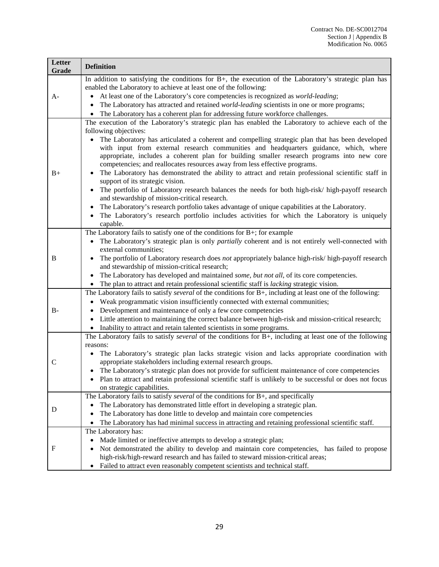| Letter<br>Grade | <b>Definition</b>                                                                                                                                                                                                                                                                                                                                                                                                                                                                                                                                                                                                                                                                                                                                                                                                                                                                                                                                                                                               |
|-----------------|-----------------------------------------------------------------------------------------------------------------------------------------------------------------------------------------------------------------------------------------------------------------------------------------------------------------------------------------------------------------------------------------------------------------------------------------------------------------------------------------------------------------------------------------------------------------------------------------------------------------------------------------------------------------------------------------------------------------------------------------------------------------------------------------------------------------------------------------------------------------------------------------------------------------------------------------------------------------------------------------------------------------|
| A-              | In addition to satisfying the conditions for $B+$ , the execution of the Laboratory's strategic plan has<br>enabled the Laboratory to achieve at least one of the following:<br>At least one of the Laboratory's core competencies is recognized as world-leading;<br>$\bullet$<br>The Laboratory has attracted and retained <i>world-leading</i> scientists in one or more programs;<br>The Laboratory has a coherent plan for addressing future workforce challenges.                                                                                                                                                                                                                                                                                                                                                                                                                                                                                                                                         |
| $B+$            | The execution of the Laboratory's strategic plan has enabled the Laboratory to achieve each of the<br>following objectives:<br>The Laboratory has articulated a coherent and compelling strategic plan that has been developed<br>with input from external research communities and headquarters guidance, which, where<br>appropriate, includes a coherent plan for building smaller research programs into new core<br>competencies; and reallocates resources away from less effective programs.<br>The Laboratory has demonstrated the ability to attract and retain professional scientific staff in<br>support of its strategic vision.<br>The portfolio of Laboratory research balances the needs for both high-risk/ high-payoff research<br>and stewardship of mission-critical research.<br>The Laboratory's research portfolio takes advantage of unique capabilities at the Laboratory.<br>The Laboratory's research portfolio includes activities for which the Laboratory is uniquely<br>capable. |
| B               | The Laboratory fails to satisfy one of the conditions for $B+$ ; for example<br>The Laboratory's strategic plan is only <i>partially</i> coherent and is not entirely well-connected with<br>$\bullet$<br>external communities;<br>The portfolio of Laboratory research does not appropriately balance high-risk/ high-payoff research<br>and stewardship of mission-critical research;<br>The Laboratory has developed and maintained some, but not all, of its core competencies.<br>The plan to attract and retain professional scientific staff is lacking strategic vision.                                                                                                                                                                                                                                                                                                                                                                                                                                |
| $B -$           | The Laboratory fails to satisfy <i>several</i> of the conditions for B+, including at least one of the following:<br>Weak programmatic vision insufficiently connected with external communities;<br>$\bullet$<br>Development and maintenance of only a few core competencies<br>Little attention to maintaining the correct balance between high-risk and mission-critical research;<br>Inability to attract and retain talented scientists in some programs.<br>$\bullet$                                                                                                                                                                                                                                                                                                                                                                                                                                                                                                                                     |
| $\mathcal{C}$   | The Laboratory fails to satisfy several of the conditions for B+, including at least one of the following<br>reasons:<br>The Laboratory's strategic plan lacks strategic vision and lacks appropriate coordination with<br>$\bullet$<br>appropriate stakeholders including external research groups.<br>The Laboratory's strategic plan does not provide for sufficient maintenance of core competencies<br>Plan to attract and retain professional scientific staff is unlikely to be successful or does not focus<br>on strategic capabilities.                                                                                                                                                                                                                                                                                                                                                                                                                                                               |
| D               | The Laboratory fails to satisfy <i>several</i> of the conditions for $B+$ , and specifically<br>The Laboratory has demonstrated little effort in developing a strategic plan.<br>$\bullet$<br>The Laboratory has done little to develop and maintain core competencies<br>The Laboratory has had minimal success in attracting and retaining professional scientific staff.<br>$\bullet$                                                                                                                                                                                                                                                                                                                                                                                                                                                                                                                                                                                                                        |
| F               | The Laboratory has:<br>Made limited or ineffective attempts to develop a strategic plan;<br>$\bullet$<br>Not demonstrated the ability to develop and maintain core competencies, has failed to propose<br>٠<br>high-risk/high-reward research and has failed to steward mission-critical areas;<br>Failed to attract even reasonably competent scientists and technical staff.<br>$\bullet$                                                                                                                                                                                                                                                                                                                                                                                                                                                                                                                                                                                                                     |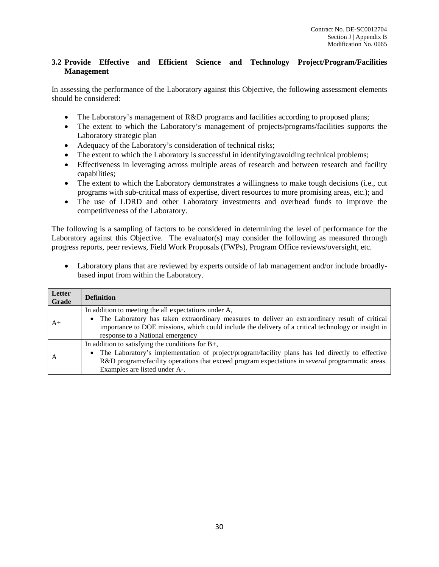# **3.2 Provide Effective and Efficient Science and Technology Project/Program/Facilities Management**

In assessing the performance of the Laboratory against this Objective, the following assessment elements should be considered:

- The Laboratory's management of R&D programs and facilities according to proposed plans;
- The extent to which the Laboratory's management of projects/programs/facilities supports the Laboratory strategic plan
- Adequacy of the Laboratory's consideration of technical risks;
- The extent to which the Laboratory is successful in identifying/avoiding technical problems;
- Effectiveness in leveraging across multiple areas of research and between research and facility capabilities;
- The extent to which the Laboratory demonstrates a willingness to make tough decisions (i.e., cut programs with sub-critical mass of expertise, divert resources to more promising areas, etc.); and
- The use of LDRD and other Laboratory investments and overhead funds to improve the competitiveness of the Laboratory.

The following is a sampling of factors to be considered in determining the level of performance for the Laboratory against this Objective. The evaluator(s) may consider the following as measured through progress reports, peer reviews, Field Work Proposals (FWPs), Program Office reviews/oversight, etc.

• Laboratory plans that are reviewed by experts outside of lab management and/or include broadlybased input from within the Laboratory.

| Letter<br>Grade | <b>Definition</b>                                                                                                                                                                                                                                                                                       |
|-----------------|---------------------------------------------------------------------------------------------------------------------------------------------------------------------------------------------------------------------------------------------------------------------------------------------------------|
| $A+$            | In addition to meeting the all expectations under A,<br>• The Laboratory has taken extraordinary measures to deliver an extraordinary result of critical<br>importance to DOE missions, which could include the delivery of a critical technology or insight in<br>response to a National emergency     |
| A               | In addition to satisfying the conditions for $B_{+}$ ,<br>• The Laboratory's implementation of project/program/facility plans has led directly to effective<br>R&D programs/facility operations that exceed program expectations in <i>several</i> programmatic areas.<br>Examples are listed under A-. |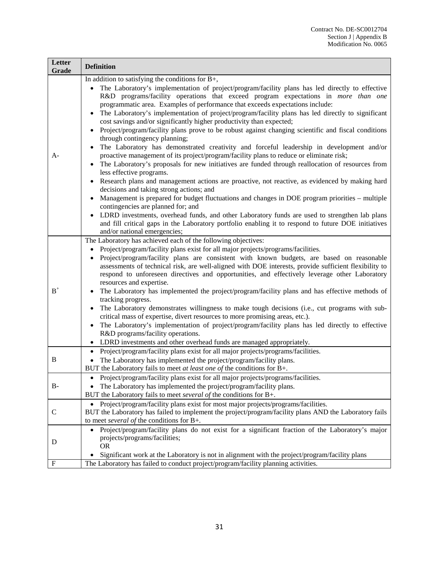$\blacksquare$ 

| Letter<br>Grade           | <b>Definition</b>                                                                                                                                                                                                                                                                                                                                                                                                                                                                                                                                                                                            |
|---------------------------|--------------------------------------------------------------------------------------------------------------------------------------------------------------------------------------------------------------------------------------------------------------------------------------------------------------------------------------------------------------------------------------------------------------------------------------------------------------------------------------------------------------------------------------------------------------------------------------------------------------|
|                           | In addition to satisfying the conditions for B+,                                                                                                                                                                                                                                                                                                                                                                                                                                                                                                                                                             |
| A-                        | The Laboratory's implementation of project/program/facility plans has led directly to effective<br>R&D programs/facility operations that exceed program expectations in more than one<br>programmatic area. Examples of performance that exceeds expectations include:<br>The Laboratory's implementation of project/program/facility plans has led directly to significant<br>cost savings and/or significantly higher productivity than expected;<br>Project/program/facility plans prove to be robust against changing scientific and fiscal conditions<br>through contingency planning;                  |
|                           | The Laboratory has demonstrated creativity and forceful leadership in development and/or<br>proactive management of its project/program/facility plans to reduce or eliminate risk;<br>The Laboratory's proposals for new initiatives are funded through reallocation of resources from<br>less effective programs.                                                                                                                                                                                                                                                                                          |
|                           | Research plans and management actions are proactive, not reactive, as evidenced by making hard<br>decisions and taking strong actions; and                                                                                                                                                                                                                                                                                                                                                                                                                                                                   |
|                           | Management is prepared for budget fluctuations and changes in DOE program priorities – multiple<br>contingencies are planned for; and                                                                                                                                                                                                                                                                                                                                                                                                                                                                        |
|                           | LDRD investments, overhead funds, and other Laboratory funds are used to strengthen lab plans<br>and fill critical gaps in the Laboratory portfolio enabling it to respond to future DOE initiatives<br>and/or national emergencies;                                                                                                                                                                                                                                                                                                                                                                         |
| $B^+$                     | The Laboratory has achieved each of the following objectives:<br>Project/program/facility plans exist for all major projects/programs/facilities.<br>Project/program/facility plans are consistent with known budgets, are based on reasonable<br>assessments of technical risk, are well-aligned with DOE interests, provide sufficient flexibility to<br>respond to unforeseen directives and opportunities, and effectively leverage other Laboratory<br>resources and expertise.<br>The Laboratory has implemented the project/program/facility plans and has effective methods of<br>tracking progress. |
|                           | The Laboratory demonstrates willingness to make tough decisions (i.e., cut programs with sub-<br>critical mass of expertise, divert resources to more promising areas, etc.).<br>The Laboratory's implementation of project/program/facility plans has led directly to effective<br>R&D programs/facility operations.<br>LDRD investments and other overhead funds are managed appropriately.                                                                                                                                                                                                                |
| B                         | Project/program/facility plans exist for all major projects/programs/facilities.<br>The Laboratory has implemented the project/program/facility plans.<br>BUT the Laboratory fails to meet at least one of the conditions for B+.                                                                                                                                                                                                                                                                                                                                                                            |
| $B -$                     | Project/program/facility plans exist for all major projects/programs/facilities.<br>The Laboratory has implemented the project/program/facility plans.<br>BUT the Laboratory fails to meet several of the conditions for $B+$ .                                                                                                                                                                                                                                                                                                                                                                              |
| $\mathsf{C}$              | Project/program/facility plans exist for most major projects/programs/facilities.<br>$\bullet$<br>BUT the Laboratory has failed to implement the project/program/facility plans AND the Laboratory fails<br>to meet several of the conditions for B+.                                                                                                                                                                                                                                                                                                                                                        |
| D                         | Project/program/facility plans do not exist for a significant fraction of the Laboratory's major<br>projects/programs/facilities;<br><b>OR</b><br>Significant work at the Laboratory is not in alignment with the project/program/facility plans                                                                                                                                                                                                                                                                                                                                                             |
| $\boldsymbol{\mathrm{F}}$ | The Laboratory has failed to conduct project/program/facility planning activities.                                                                                                                                                                                                                                                                                                                                                                                                                                                                                                                           |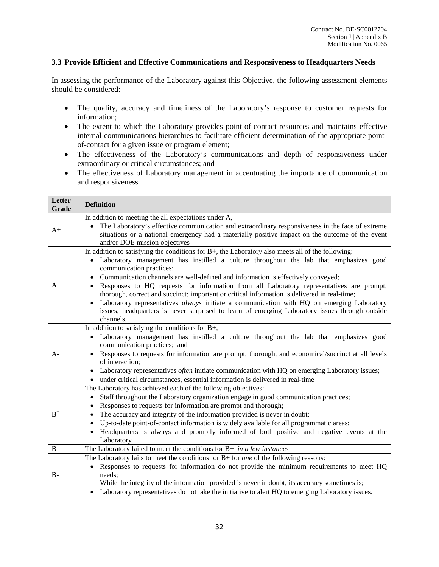## **3.3 Provide Efficient and Effective Communications and Responsiveness to Headquarters Needs**

- The quality, accuracy and timeliness of the Laboratory's response to customer requests for information;
- The extent to which the Laboratory provides point-of-contact resources and maintains effective internal communications hierarchies to facilitate efficient determination of the appropriate pointof-contact for a given issue or program element;
- The effectiveness of the Laboratory's communications and depth of responsiveness under extraordinary or critical circumstances; and
- The effectiveness of Laboratory management in accentuating the importance of communication and responsiveness.

| Letter<br>Grade | <b>Definition</b>                                                                                                                                                                                                                                                            |
|-----------------|------------------------------------------------------------------------------------------------------------------------------------------------------------------------------------------------------------------------------------------------------------------------------|
| $A+$            | In addition to meeting the all expectations under A,<br>The Laboratory's effective communication and extraordinary responsiveness in the face of extreme<br>$\bullet$                                                                                                        |
|                 | situations or a national emergency had a materially positive impact on the outcome of the event<br>and/or DOE mission objectives                                                                                                                                             |
|                 | In addition to satisfying the conditions for $B+$ , the Laboratory also meets all of the following:<br>• Laboratory management has instilled a culture throughout the lab that emphasizes good<br>communication practices;                                                   |
| A               | Communication channels are well-defined and information is effectively conveyed;<br>Responses to HQ requests for information from all Laboratory representatives are prompt,<br>thorough, correct and succinct; important or critical information is delivered in real-time; |
|                 | Laboratory representatives <i>always</i> initiate a communication with HQ on emerging Laboratory<br>issues; headquarters is never surprised to learn of emerging Laboratory issues through outside<br>channels.                                                              |
|                 | In addition to satisfying the conditions for $B_{+}$ ,<br>Laboratory management has instilled a culture throughout the lab that emphasizes good                                                                                                                              |
|                 | communication practices; and                                                                                                                                                                                                                                                 |
| $A-$            | Responses to requests for information are prompt, thorough, and economical/succinct at all levels<br>$\bullet$<br>of interaction;                                                                                                                                            |
|                 | Laboratory representatives often initiate communication with HQ on emerging Laboratory issues;<br>$\bullet$<br>under critical circumstances, essential information is delivered in real-time<br>$\bullet$                                                                    |
|                 | The Laboratory has achieved each of the following objectives:                                                                                                                                                                                                                |
|                 | Staff throughout the Laboratory organization engage in good communication practices;<br>$\bullet$<br>Responses to requests for information are prompt and thorough;<br>٠                                                                                                     |
| $B^+$           | The accuracy and integrity of the information provided is never in doubt;                                                                                                                                                                                                    |
|                 | Up-to-date point-of-contact information is widely available for all programmatic areas;<br>$\bullet$                                                                                                                                                                         |
|                 | Headquarters is always and promptly informed of both positive and negative events at the                                                                                                                                                                                     |
|                 | Laboratory                                                                                                                                                                                                                                                                   |
| $\, {\bf B}$    | The Laboratory failed to meet the conditions for $B+$ in a few instances                                                                                                                                                                                                     |
|                 | The Laboratory fails to meet the conditions for $B+$ for <i>one</i> of the following reasons:                                                                                                                                                                                |
|                 | Responses to requests for information do not provide the minimum requirements to meet HQ                                                                                                                                                                                     |
| $B-$            | needs;                                                                                                                                                                                                                                                                       |
|                 | While the integrity of the information provided is never in doubt, its accuracy sometimes is;<br>Laboratory representatives do not take the initiative to alert HQ to emerging Laboratory issues.                                                                            |
|                 |                                                                                                                                                                                                                                                                              |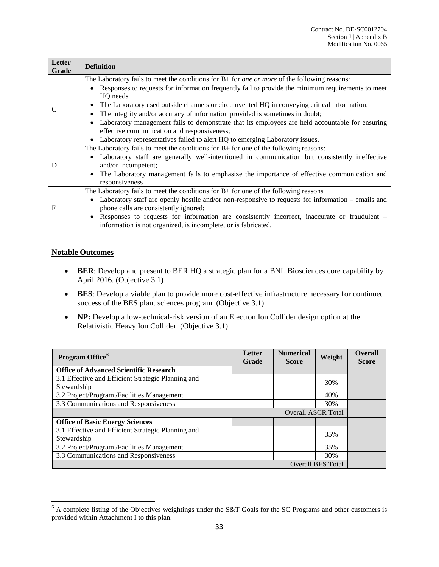| Letter<br>Grade | <b>Definition</b>                                                                                                    |
|-----------------|----------------------------------------------------------------------------------------------------------------------|
|                 | The Laboratory fails to meet the conditions for $B+$ for <i>one or more</i> of the following reasons:                |
| C               | Responses to requests for information frequently fail to provide the minimum requirements to meet<br>HQ needs        |
|                 | The Laboratory used outside channels or circumvented HQ in conveying critical information;                           |
|                 | The integrity and/or accuracy of information provided is sometimes in doubt;                                         |
|                 | Laboratory management fails to demonstrate that its employees are held accountable for ensuring                      |
|                 | effective communication and responsiveness;                                                                          |
|                 | Laboratory representatives failed to alert HQ to emerging Laboratory issues.                                         |
|                 | The Laboratory fails to meet the conditions for $B+$ for one of the following reasons:                               |
| D               | Laboratory staff are generally well-intentioned in communication but consistently ineffective<br>and/or incompetent; |
|                 | The Laboratory management fails to emphasize the importance of effective communication and                           |
|                 | responsiveness                                                                                                       |
|                 | The Laboratory fails to meet the conditions for $B$ + for one of the following reasons                               |
|                 | Laboratory staff are openly hostile and/or non-responsive to requests for information – emails and                   |
| F               | phone calls are consistently ignored;                                                                                |
|                 | Responses to requests for information are consistently incorrect, inaccurate or fraudulent –                         |
|                 | information is not organized, is incomplete, or is fabricated.                                                       |

## **Notable Outcomes**

- **BER**: Develop and present to BER HQ a strategic plan for a BNL Biosciences core capability by April 2016. (Objective 3.1)
- **BES**: Develop a viable plan to provide more cost-effective infrastructure necessary for continued success of the BES plant sciences program. (Objective 3.1)
- **NP:** Develop a low-technical-risk version of an Electron Ion Collider design option at the Relativistic Heavy Ion Collider. (Objective 3.1)

| Program Office <sup>6</sup>                        | <b>Letter</b><br><b>Grade</b> | <b>Numerical</b><br><b>Score</b> | Weight                   | <b>Overall</b><br><b>Score</b> |
|----------------------------------------------------|-------------------------------|----------------------------------|--------------------------|--------------------------------|
| <b>Office of Advanced Scientific Research</b>      |                               |                                  |                          |                                |
| 3.1 Effective and Efficient Strategic Planning and |                               |                                  | 30%                      |                                |
| Stewardship                                        |                               |                                  |                          |                                |
| 3.2 Project/Program /Facilities Management         |                               |                                  | 40%                      |                                |
| 3.3 Communications and Responsiveness              |                               |                                  | 30%                      |                                |
|                                                    |                               |                                  |                          |                                |
| <b>Office of Basic Energy Sciences</b>             |                               |                                  |                          |                                |
| 3.1 Effective and Efficient Strategic Planning and |                               |                                  | 35%                      |                                |
| Stewardship                                        |                               |                                  |                          |                                |
| 3.2 Project/Program /Facilities Management         |                               |                                  | 35%                      |                                |
| 3.3 Communications and Responsiveness              |                               |                                  | 30%                      |                                |
|                                                    |                               |                                  | <b>Overall BES Total</b> |                                |

<span id="page-61-0"></span> $6$  A complete listing of the Objectives weightings under the S&T Goals for the SC Programs and other customers is provided within Attachment I to this plan.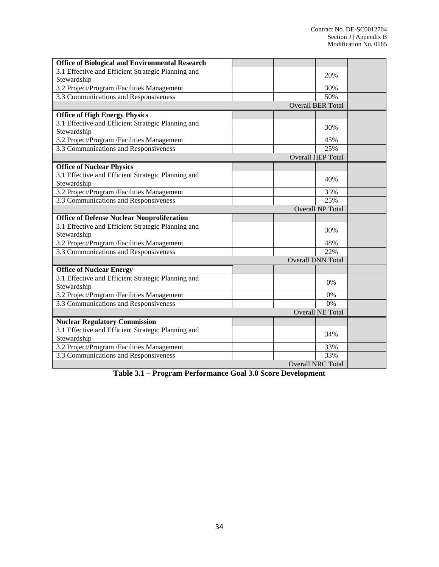| <b>Office of Biological and Environmental Research</b> |                          |  |  |  |  |  |
|--------------------------------------------------------|--------------------------|--|--|--|--|--|
| 3.1 Effective and Efficient Strategic Planning and     | 20%                      |  |  |  |  |  |
| Stewardship                                            |                          |  |  |  |  |  |
| 3.2 Project/Program /Facilities Management             | 30%                      |  |  |  |  |  |
| 3.3 Communications and Responsiveness                  | 50%                      |  |  |  |  |  |
|                                                        | <b>Overall BER Total</b> |  |  |  |  |  |
| <b>Office of High Energy Physics</b>                   |                          |  |  |  |  |  |
| 3.1 Effective and Efficient Strategic Planning and     | 30%                      |  |  |  |  |  |
| Stewardship                                            |                          |  |  |  |  |  |
| 3.2 Project/Program /Facilities Management             | 45%                      |  |  |  |  |  |
| 3.3 Communications and Responsiveness                  | 25%                      |  |  |  |  |  |
|                                                        | <b>Overall HEP Total</b> |  |  |  |  |  |
| <b>Office of Nuclear Physics</b>                       |                          |  |  |  |  |  |
| 3.1 Effective and Efficient Strategic Planning and     | 40%                      |  |  |  |  |  |
| Stewardship                                            |                          |  |  |  |  |  |
| 3.2 Project/Program /Facilities Management             | 35%                      |  |  |  |  |  |
| 3.3 Communications and Responsiveness                  | 25%                      |  |  |  |  |  |
| <b>Overall NP Total</b>                                |                          |  |  |  |  |  |
| <b>Office of Defense Nuclear Nonproliferation</b>      |                          |  |  |  |  |  |
| 3.1 Effective and Efficient Strategic Planning and     | 30%                      |  |  |  |  |  |
| Stewardship                                            |                          |  |  |  |  |  |
| 3.2 Project/Program /Facilities Management             | 48%                      |  |  |  |  |  |
| 3.3 Communications and Responsiveness                  | 22%                      |  |  |  |  |  |
| <b>Overall DNN Total</b>                               |                          |  |  |  |  |  |
| <b>Office of Nuclear Energy</b>                        |                          |  |  |  |  |  |
| 3.1 Effective and Efficient Strategic Planning and     | 0%                       |  |  |  |  |  |
| Stewardship                                            |                          |  |  |  |  |  |
| 3.2 Project/Program /Facilities Management             | 0%                       |  |  |  |  |  |
| 3.3 Communications and Responsiveness                  | 0%                       |  |  |  |  |  |
|                                                        | <b>Overall NE Total</b>  |  |  |  |  |  |
| <b>Nuclear Regulatory Commission</b>                   |                          |  |  |  |  |  |
| 3.1 Effective and Efficient Strategic Planning and     | 34%                      |  |  |  |  |  |
| Stewardship                                            |                          |  |  |  |  |  |
| 3.2 Project/Program /Facilities Management             | 33%                      |  |  |  |  |  |
| 3.3 Communications and Responsiveness                  | 33%                      |  |  |  |  |  |
|                                                        | <b>Overall NRC Total</b> |  |  |  |  |  |

**Table 3.1 – Program Performance Goal 3.0 Score Development**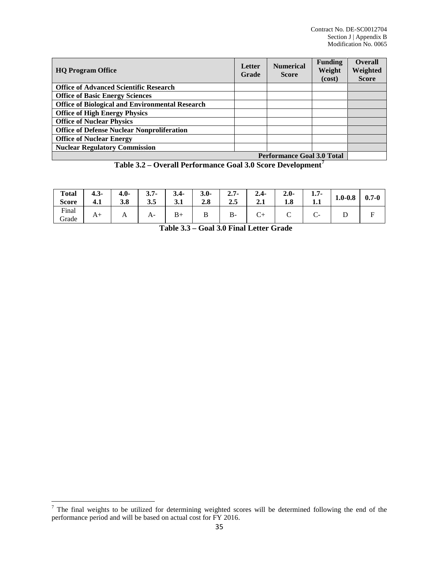| <b>HQ Program Office</b>                               |  | <b>Numerical</b><br><b>Score</b> | <b>Funding</b><br>Weight<br>(cost) | <b>Overall</b><br>Weighted<br><b>Score</b> |  |
|--------------------------------------------------------|--|----------------------------------|------------------------------------|--------------------------------------------|--|
| <b>Office of Advanced Scientific Research</b>          |  |                                  |                                    |                                            |  |
| <b>Office of Basic Energy Sciences</b>                 |  |                                  |                                    |                                            |  |
| <b>Office of Biological and Environmental Research</b> |  |                                  |                                    |                                            |  |
| <b>Office of High Energy Physics</b>                   |  |                                  |                                    |                                            |  |
| <b>Office of Nuclear Physics</b>                       |  |                                  |                                    |                                            |  |
| <b>Office of Defense Nuclear Nonproliferation</b>      |  |                                  |                                    |                                            |  |
| <b>Office of Nuclear Energy</b>                        |  |                                  |                                    |                                            |  |
| <b>Nuclear Regulatory Commission</b>                   |  |                                  |                                    |                                            |  |
| <b>Performance Goal 3.0 Total</b>                      |  |                                  |                                    |                                            |  |

| Table 3.2 – Overall Performance Goal 3.0 Score Development <sup>7</sup> |
|-------------------------------------------------------------------------|
|-------------------------------------------------------------------------|

| <b>Total</b><br><b>Score</b> | $4.3 -$<br>4.1 | $4.0-$<br>э.о | $3.7 -$<br>3.5 | $3.4 -$<br>J.L | $3.0 -$<br>2.8 | $2.7 -$<br>2.J | $2.4 -$<br>4.L | $2.0 -$<br>1.0 | $\overline{ }$<br>$\pm 1.7$<br>1.1 | $1.0 - 0.8$ | $0.7 - 0$ |
|------------------------------|----------------|---------------|----------------|----------------|----------------|----------------|----------------|----------------|------------------------------------|-------------|-----------|
| Final<br>Grade               | A+             | A             | A              | $B+$           |                | D-             |                |                | $\overline{\phantom{a}}$           |             |           |

**Table 3.3 – Goal 3.0 Final Letter Grade**

<span id="page-63-0"></span><sup>&</sup>lt;sup>7</sup> The final weights to be utilized for determining weighted scores will be determined following the end of the performance period and will be based on actual cost for FY 2016.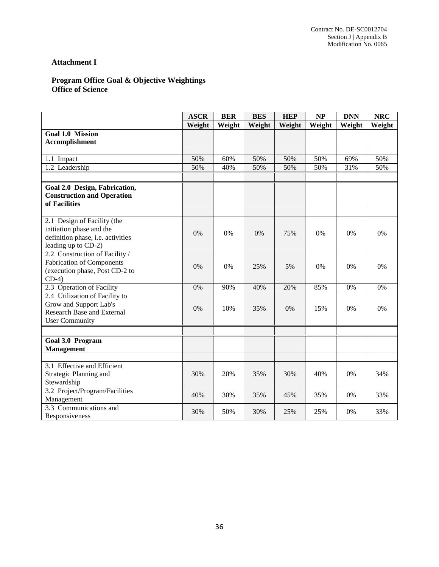## **Attachment I**

## **Program Office Goal & Objective Weightings Office of Science**

|                                           | <b>ASCR</b> | <b>BER</b> | <b>BES</b> | <b>HEP</b> | NP     | <b>DNN</b> | <b>NRC</b> |
|-------------------------------------------|-------------|------------|------------|------------|--------|------------|------------|
|                                           | Weight      | Weight     | Weight     | Weight     | Weight | Weight     | Weight     |
| <b>Goal 1.0 Mission</b>                   |             |            |            |            |        |            |            |
| <b>Accomplishment</b>                     |             |            |            |            |        |            |            |
|                                           |             |            |            |            |        |            |            |
| 1.1 Impact                                | 50%         | 60%        | 50%        | 50%        | 50%    | 69%        | 50%        |
| 1.2 Leadership                            | 50%         | 40%        | 50%        | 50%        | 50%    | 31%        | 50%        |
|                                           |             |            |            |            |        |            |            |
| Goal 2.0 Design, Fabrication,             |             |            |            |            |        |            |            |
| <b>Construction and Operation</b>         |             |            |            |            |        |            |            |
| of Facilities                             |             |            |            |            |        |            |            |
|                                           |             |            |            |            |        |            |            |
| 2.1 Design of Facility (the               |             |            |            |            |        |            |            |
| initiation phase and the                  | 0%          | 0%         | 0%         | 75%        | 0%     | 0%         | 0%         |
| definition phase, i.e. activities         |             |            |            |            |        |            |            |
| leading up to CD-2)                       |             |            |            |            |        |            |            |
| 2.2 Construction of Facility /            |             |            |            |            |        |            |            |
| <b>Fabrication of Components</b>          | 0%          | 0%         | 25%        | 5%         | 0%     | 0%         | 0%         |
| (execution phase, Post CD-2 to<br>$CD-4)$ |             |            |            |            |        |            |            |
| 2.3 Operation of Facility                 | 0%          | 90%        | 40%        | 20%        | 85%    | 0%         | 0%         |
| 2.4 Utilization of Facility to            |             |            |            |            |        |            |            |
| Grow and Support Lab's                    |             |            |            |            |        |            |            |
| Research Base and External                | 0%          | 10%        | 35%        | 0%         | 15%    | 0%         | 0%         |
| <b>User Community</b>                     |             |            |            |            |        |            |            |
|                                           |             |            |            |            |        |            |            |
| Goal 3.0 Program                          |             |            |            |            |        |            |            |
| <b>Management</b>                         |             |            |            |            |        |            |            |
|                                           |             |            |            |            |        |            |            |
| 3.1 Effective and Efficient               |             |            |            |            |        |            |            |
| Strategic Planning and                    | 30%         | 20%        | 35%        | 30%        | 40%    | 0%         | 34%        |
| Stewardship                               |             |            |            |            |        |            |            |
| 3.2 Project/Program/Facilities            | 40%         | 30%        | 35%        | 45%        | 35%    | 0%         | 33%        |
| Management                                |             |            |            |            |        |            |            |
| $\overline{3.3}$ Communications and       | 30%         | 50%        | 30%        | 25%        | 25%    | 0%         | 33%        |
| Responsiveness                            |             |            |            |            |        |            |            |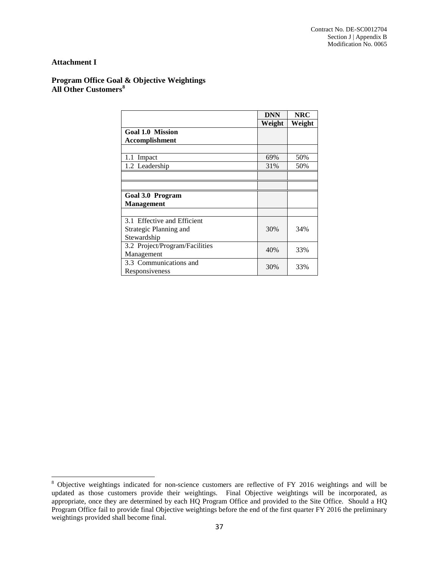#### **Attachment I**

## **Program Office Goal & Objective Weightings All Other Customers[8](#page-65-0)**

|                                | <b>DNN</b> | <b>NRC</b> |
|--------------------------------|------------|------------|
|                                | Weight     | Weight     |
| <b>Goal 1.0 Mission</b>        |            |            |
| Accomplishment                 |            |            |
|                                |            |            |
| 1.1 Impact                     | 69%        | 50%        |
| 1.2 Leadership                 | 31%        | 50%        |
|                                |            |            |
|                                |            |            |
| Goal 3.0 Program               |            |            |
| <b>Management</b>              |            |            |
|                                |            |            |
| 3.1 Effective and Efficient    |            |            |
| Strategic Planning and         | 30%        | 34%        |
| Stewardship                    |            |            |
| 3.2 Project/Program/Facilities | 40%        | 33%        |
| Management                     |            |            |
| 3.3 Communications and         | 30%        | 33%        |
| Responsiveness                 |            |            |

<span id="page-65-0"></span><sup>&</sup>lt;sup>8</sup> Objective weightings indicated for non-science customers are reflective of FY 2016 weightings and will be updated as those customers provide their weightings. Final Objective weightings will be incorporated, as appropriate, once they are determined by each HQ Program Office and provided to the Site Office. Should a HQ Program Office fail to provide final Objective weightings before the end of the first quarter FY 2016 the preliminary weightings provided shall become final.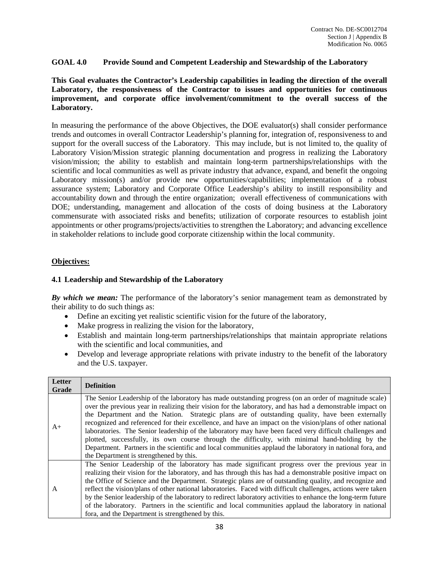## **GOAL 4.0 Provide Sound and Competent Leadership and Stewardship of the Laboratory**

**This Goal evaluates the Contractor's Leadership capabilities in leading the direction of the overall Laboratory, the responsiveness of the Contractor to issues and opportunities for continuous improvement, and corporate office involvement/commitment to the overall success of the Laboratory.**

In measuring the performance of the above Objectives, the DOE evaluator(s) shall consider performance trends and outcomes in overall Contractor Leadership's planning for, integration of, responsiveness to and support for the overall success of the Laboratory. This may include, but is not limited to, the quality of Laboratory Vision/Mission strategic planning documentation and progress in realizing the Laboratory vision/mission; the ability to establish and maintain long-term partnerships/relationships with the scientific and local communities as well as private industry that advance, expand, and benefit the ongoing Laboratory mission(s) and/or provide new opportunities/capabilities; implementation of a robust assurance system; Laboratory and Corporate Office Leadership's ability to instill responsibility and accountability down and through the entire organization; overall effectiveness of communications with DOE; understanding, management and allocation of the costs of doing business at the Laboratory commensurate with associated risks and benefits; utilization of corporate resources to establish joint appointments or other programs/projects/activities to strengthen the Laboratory; and advancing excellence in stakeholder relations to include good corporate citizenship within the local community.

#### **Objectives:**

### **4.1 Leadership and Stewardship of the Laboratory**

*By which we mean:* The performance of the laboratory's senior management team as demonstrated by their ability to do such things as:

- Define an exciting yet realistic scientific vision for the future of the laboratory,
- Make progress in realizing the vision for the laboratory,
- Establish and maintain long-term partnerships/relationships that maintain appropriate relations with the scientific and local communities, and
- Develop and leverage appropriate relations with private industry to the benefit of the laboratory and the U.S. taxpayer.

| <b>Letter</b><br>Grade | <b>Definition</b>                                                                                                                                                                                                                                                                                                                                                                                                                                                                                                                                                                                                                                                                                                                                                                                       |
|------------------------|---------------------------------------------------------------------------------------------------------------------------------------------------------------------------------------------------------------------------------------------------------------------------------------------------------------------------------------------------------------------------------------------------------------------------------------------------------------------------------------------------------------------------------------------------------------------------------------------------------------------------------------------------------------------------------------------------------------------------------------------------------------------------------------------------------|
| $A+$                   | The Senior Leadership of the laboratory has made outstanding progress (on an order of magnitude scale)<br>over the previous year in realizing their vision for the laboratory, and has had a demonstrable impact on<br>the Department and the Nation. Strategic plans are of outstanding quality, have been externally<br>recognized and referenced for their excellence, and have an impact on the vision/plans of other national<br>laboratories. The Senior leadership of the laboratory may have been faced very difficult challenges and<br>plotted, successfully, its own course through the difficulty, with minimal hand-holding by the<br>Department. Partners in the scientific and local communities applaud the laboratory in national fora, and<br>the Department is strengthened by this. |
| A                      | The Senior Leadership of the laboratory has made significant progress over the previous year in<br>realizing their vision for the laboratory, and has through this has had a demonstrable positive impact on<br>the Office of Science and the Department. Strategic plans are of outstanding quality, and recognize and<br>reflect the vision/plans of other national laboratories. Faced with difficult challenges, actions were taken<br>by the Senior leadership of the laboratory to redirect laboratory activities to enhance the long-term future<br>of the laboratory. Partners in the scientific and local communities applaud the laboratory in national<br>fora, and the Department is strengthened by this.                                                                                  |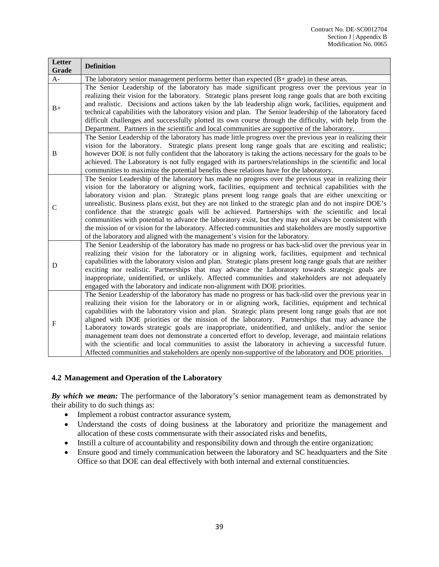| Letter<br>Grade | <b>Definition</b>                                                                                                                                                                                                                                                                                                                                                                                                                                                                                                                                                                                                                                                                                                                                                                                                                                              |
|-----------------|----------------------------------------------------------------------------------------------------------------------------------------------------------------------------------------------------------------------------------------------------------------------------------------------------------------------------------------------------------------------------------------------------------------------------------------------------------------------------------------------------------------------------------------------------------------------------------------------------------------------------------------------------------------------------------------------------------------------------------------------------------------------------------------------------------------------------------------------------------------|
| $A-$            | The laboratory senior management performs better than expected $(B + grad)$ in these areas.                                                                                                                                                                                                                                                                                                                                                                                                                                                                                                                                                                                                                                                                                                                                                                    |
| $B+$            | The Senior Leadership of the laboratory has made significant progress over the previous year in<br>realizing their vision for the laboratory. Strategic plans present long range goals that are both exciting<br>and realistic. Decisions and actions taken by the lab leadership align work, facilities, equipment and<br>technical capabilities with the laboratory vision and plan. The Senior leadership of the laboratory faced<br>difficult challenges and successfully plotted its own course through the difficulty, with help from the<br>Department. Partners in the scientific and local communities are supportive of the laboratory.                                                                                                                                                                                                              |
| B               | The Senior Leadership of the laboratory has made little progress over the previous year in realizing their<br>vision for the laboratory. Strategic plans present long range goals that are exciting and realistic;<br>however DOE is not fully confident that the laboratory is taking the actions necessary for the goals to be<br>achieved. The Laboratory is not fully engaged with its partners/relationships in the scientific and local<br>communities to maximize the potential benefits these relations have for the laboratory.                                                                                                                                                                                                                                                                                                                       |
| $\mathcal{C}$   | The Senior Leadership of the laboratory has made no progress over the previous year in realizing their<br>vision for the laboratory or aligning work, facilities, equipment and technical capabilities with the<br>laboratory vision and plan. Strategic plans present long range goals that are either unexciting or<br>unrealistic. Business plans exist, but they are not linked to the strategic plan and do not inspire DOE's<br>confidence that the strategic goals will be achieved. Partnerships with the scientific and local<br>communities with potential to advance the laboratory exist, but they may not always be consistent with<br>the mission of or vision for the laboratory. Affected communities and stakeholders are mostly supportive<br>of the laboratory and aligned with the management's vision for the laboratory.                 |
| D               | The Senior Leadership of the laboratory has made no progress or has back-slid over the previous year in<br>realizing their vision for the laboratory or in aligning work, facilities, equipment and technical<br>capabilities with the laboratory vision and plan. Strategic plans present long range goals that are neither<br>exciting nor realistic. Partnerships that may advance the Laboratory towards strategic goals are<br>inappropriate, unidentified, or unlikely. Affected communities and stakeholders are not adequately<br>engaged with the laboratory and indicate non-alignment with DOE priorities.                                                                                                                                                                                                                                          |
| $\mathbf{F}$    | The Senior Leadership of the laboratory has made no progress or has back-slid over the previous year in<br>realizing their vision for the laboratory or in or aligning work, facilities, equipment and technical<br>capabilities with the laboratory vision and plan. Strategic plans present long range goals that are not<br>aligned with DOE priorities or the mission of the laboratory. Partnerships that may advance the<br>Laboratory towards strategic goals are inappropriate, unidentified, and unlikely, and/or the senior<br>management team does not demonstrate a concerted effort to develop, leverage, and maintain relations<br>with the scientific and local communities to assist the laboratory in achieving a successful future.<br>Affected communities and stakeholders are openly non-supportive of the laboratory and DOE priorities. |

## **4.2 Management and Operation of the Laboratory**

*By which we mean:* The performance of the laboratory's senior management team as demonstrated by their ability to do such things as:

- Implement a robust contractor assurance system,
- Understand the costs of doing business at the laboratory and prioritize the management and allocation of these costs commensurate with their associated risks and benefits,
- Instill a culture of accountability and responsibility down and through the entire organization;
- Ensure good and timely communication between the laboratory and SC headquarters and the Site Office so that DOE can deal effectively with both internal and external constituencies.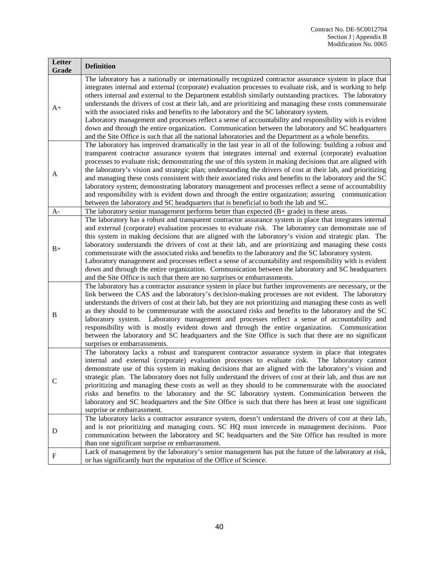| Letter<br>Grade  | <b>Definition</b>                                                                                                                                                                                                                                                                                                                                                                                                                                                                                                                                                                                                                                                                                                                                                                                                                                                     |
|------------------|-----------------------------------------------------------------------------------------------------------------------------------------------------------------------------------------------------------------------------------------------------------------------------------------------------------------------------------------------------------------------------------------------------------------------------------------------------------------------------------------------------------------------------------------------------------------------------------------------------------------------------------------------------------------------------------------------------------------------------------------------------------------------------------------------------------------------------------------------------------------------|
| A+               | The laboratory has a nationally or internationally recognized contractor assurance system in place that<br>integrates internal and external (corporate) evaluation processes to evaluate risk, and is working to help<br>others internal and external to the Department establish similarly outstanding practices. The laboratory<br>understands the drivers of cost at their lab, and are prioritizing and managing these costs commensurate<br>with the associated risks and benefits to the laboratory and the SC laboratory system.<br>Laboratory management and processes reflect a sense of accountability and responsibility with is evident<br>down and through the entire organization. Communication between the laboratory and SC headquarters<br>and the Site Office is such that all the national laboratories and the Department as a whole benefits.   |
| A                | The laboratory has improved dramatically in the last year in all of the following: building a robust and<br>transparent contractor assurance system that integrates internal and external (corporate) evaluation<br>processes to evaluate risk; demonstrating the use of this system in making decisions that are aligned with<br>the laboratory's vision and strategic plan; understanding the drivers of cost at their lab, and prioritizing<br>and managing these costs consistent with their associated risks and benefits to the laboratory and the SC<br>laboratory system; demonstrating laboratory management and processes reflect a sense of accountability<br>and responsibility with is evident down and through the entire organization; assuring communication<br>between the laboratory and SC headquarters that is beneficial to both the lab and SC. |
| $A-$             | The laboratory senior management performs better than expected $(B + grade)$ in these areas.                                                                                                                                                                                                                                                                                                                                                                                                                                                                                                                                                                                                                                                                                                                                                                          |
| $B+$             | The laboratory has a robust and transparent contractor assurance system in place that integrates internal<br>and external (corporate) evaluation processes to evaluate risk. The laboratory can demonstrate use of<br>this system in making decisions that are aligned with the laboratory's vision and strategic plan. The<br>laboratory understands the drivers of cost at their lab, and are prioritizing and managing these costs<br>commensurate with the associated risks and benefits to the laboratory and the SC laboratory system.<br>Laboratory management and processes reflect a sense of accountability and responsibility with is evident<br>down and through the entire organization. Communication between the laboratory and SC headquarters<br>and the Site Office is such that there are no surprises or embarrassments.                          |
| B                | The laboratory has a contractor assurance system in place but further improvements are necessary, or the<br>link between the CAS and the laboratory's decision-making processes are not evident. The laboratory<br>understands the drivers of cost at their lab, but they are not prioritizing and managing these costs as well<br>as they should to be commensurate with the associated risks and benefits to the laboratory and the SC<br>laboratory system. Laboratory management and processes reflect a sense of accountability and<br>responsibility with is mostly evident down and through the entire organization. Communication<br>between the laboratory and SC headquarters and the Site Office is such that there are no significant<br>surprises or embarrassments.                                                                                     |
| C                | The laboratory lacks a robust and transparent contractor assurance system in place that integrates<br>internal and external (corporate) evaluation processes to evaluate risk. The laboratory cannot<br>demonstrate use of this system in making decisions that are aligned with the laboratory's vision and<br>strategic plan. The laboratory does not fully understand the drivers of cost at their lab, and thus are not<br>prioritizing and managing these costs as well as they should to be commensurate with the associated<br>risks and benefits to the laboratory and the SC laboratory system. Communication between the<br>laboratory and SC headquarters and the Site Office is such that there has been at least one significant<br>surprise or embarrassment.                                                                                           |
| $\mathbf D$      | The laboratory lacks a contractor assurance system, doesn't understand the drivers of cost at their lab,<br>and is not prioritizing and managing costs. SC HQ must intercede in management decisions. Poor<br>communication between the laboratory and SC headquarters and the Site Office has resulted in more<br>than one significant surprise or embarrassment.                                                                                                                                                                                                                                                                                                                                                                                                                                                                                                    |
| $\boldsymbol{F}$ | Lack of management by the laboratory's senior management has put the future of the laboratory at risk,<br>or has significantly hurt the reputation of the Office of Science.                                                                                                                                                                                                                                                                                                                                                                                                                                                                                                                                                                                                                                                                                          |

т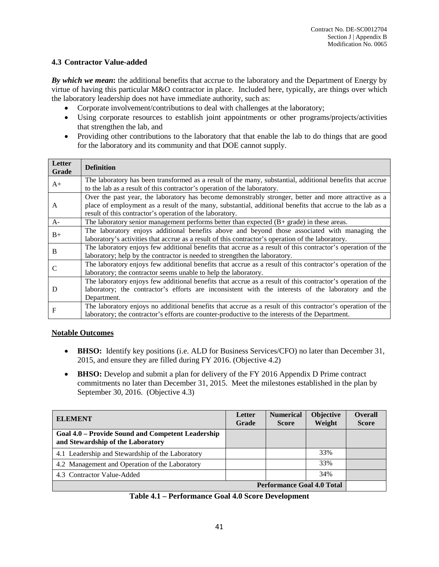## **4.3 Contractor Value-added**

*By which we mean***:** the additional benefits that accrue to the laboratory and the Department of Energy by virtue of having this particular M&O contractor in place. Included here, typically, are things over which the laboratory leadership does not have immediate authority, such as:

- Corporate involvement/contributions to deal with challenges at the laboratory;
- Using corporate resources to establish joint appointments or other programs/projects/activities that strengthen the lab, and
- Providing other contributions to the laboratory that that enable the lab to do things that are good for the laboratory and its community and that DOE cannot supply.

| Letter<br>Grade | <b>Definition</b>                                                                                           |
|-----------------|-------------------------------------------------------------------------------------------------------------|
| $A+$            | The laboratory has been transformed as a result of the many, substantial, additional benefits that accrue   |
|                 | to the lab as a result of this contractor's operation of the laboratory.                                    |
|                 | Over the past year, the laboratory has become demonstrably stronger, better and more attractive as a        |
| A               | place of employment as a result of the many, substantial, additional benefits that accrue to the lab as a   |
|                 | result of this contractor's operation of the laboratory.                                                    |
| $A-$            | The laboratory senior management performs better than expected $(B + grade)$ in these areas.                |
| $B+$            | The laboratory enjoys additional benefits above and beyond those associated with managing the               |
|                 | laboratory's activities that accrue as a result of this contractor's operation of the laboratory.           |
| B               | The laboratory enjoys few additional benefits that accrue as a result of this contractor's operation of the |
|                 | laboratory; help by the contractor is needed to strengthen the laboratory.                                  |
|                 | The laboratory enjoys few additional benefits that accrue as a result of this contractor's operation of the |
|                 | laboratory; the contractor seems unable to help the laboratory.                                             |
|                 | The laboratory enjoys few additional benefits that accrue as a result of this contractor's operation of the |
| D               | laboratory; the contractor's efforts are inconsistent with the interests of the laboratory and the          |
|                 | Department.                                                                                                 |
| F               | The laboratory enjoys no additional benefits that accrue as a result of this contractor's operation of the  |
|                 | laboratory; the contractor's efforts are counter-productive to the interests of the Department.             |

## **Notable Outcomes**

- **BHSO:** Identify key positions (i.e. ALD for Business Services/CFO) no later than December 31, 2015, and ensure they are filled during FY 2016. (Objective 4.2)
- **BHSO:** Develop and submit a plan for delivery of the FY 2016 Appendix D Prime contract commitments no later than December 31, 2015. Meet the milestones established in the plan by September 30, 2016. (Objective 4.3)

| <b>ELEMENT</b>                                                                         | Letter<br><b>Grade</b> | <b>Numerical</b><br><b>Score</b> | <b>Objective</b><br>Weight | <b>Overall</b><br><b>Score</b> |  |  |  |
|----------------------------------------------------------------------------------------|------------------------|----------------------------------|----------------------------|--------------------------------|--|--|--|
| Goal 4.0 – Provide Sound and Competent Leadership<br>and Stewardship of the Laboratory |                        |                                  |                            |                                |  |  |  |
| 4.1 Leadership and Stewardship of the Laboratory                                       |                        |                                  | 33%                        |                                |  |  |  |
| 4.2 Management and Operation of the Laboratory                                         |                        |                                  | 33%                        |                                |  |  |  |
| 4.3 Contractor Value-Added                                                             |                        |                                  | 34%                        |                                |  |  |  |
| <b>Performance Goal 4.0 Total</b>                                                      |                        |                                  |                            |                                |  |  |  |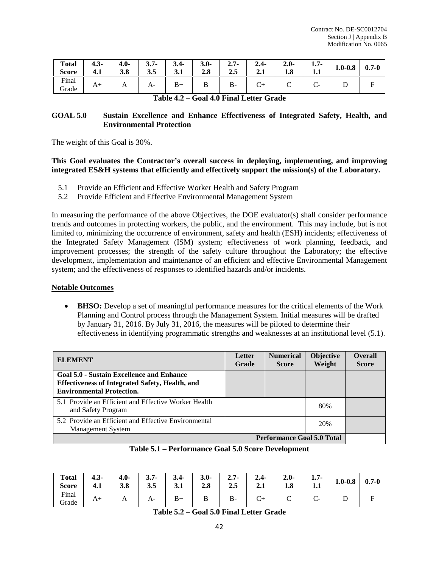| <b>Total</b><br><b>Score</b> | $4.3 -$<br>4.I | $4.0-$<br>າ ດ<br>э.о | 2 <sub>7</sub><br>$3.1 -$<br>ა.ა | $3.4 -$<br>э.1 | $3.0 -$<br>2.8 | 27<br>$\frac{2}{2}$ . $\frac{1}{2}$<br>4.J | $2.4 -$<br>4.L | $2.0 -$<br>$\Omega$<br>1.0 | $\overline{ }$<br>$1.1 -$<br>1.1 | $1.0 - 0.8$ | $0.7 - 0$ |
|------------------------------|----------------|----------------------|----------------------------------|----------------|----------------|--------------------------------------------|----------------|----------------------------|----------------------------------|-------------|-----------|
| Final<br>Grade               | A+             | A                    | $A^-$                            | D              |                |                                            |                |                            |                                  |             |           |

| Table 4.2 – Goal 4.0 Final Letter Grade |
|-----------------------------------------|
|-----------------------------------------|

# **GOAL 5.0 Sustain Excellence and Enhance Effectiveness of Integrated Safety, Health, and Environmental Protection**

The weight of this Goal is 30%.

## **This Goal evaluates the Contractor's overall success in deploying, implementing, and improving integrated ES&H systems that efficiently and effectively support the mission(s) of the Laboratory.**

- 5.1 Provide an Efficient and Effective Worker Health and Safety Program
- 5.2 Provide Efficient and Effective Environmental Management System

In measuring the performance of the above Objectives, the DOE evaluator(s) shall consider performance trends and outcomes in protecting workers, the public, and the environment. This may include, but is not limited to, minimizing the occurrence of environment, safety and health (ESH) incidents; effectiveness of the Integrated Safety Management (ISM) system; effectiveness of work planning, feedback, and improvement processes; the strength of the safety culture throughout the Laboratory; the effective development, implementation and maintenance of an efficient and effective Environmental Management system; and the effectiveness of responses to identified hazards and/or incidents.

## **Notable Outcomes**

• **BHSO:** Develop a set of meaningful performance measures for the critical elements of the Work Planning and Control process through the Management System. Initial measures will be drafted by January 31, 2016. By July 31, 2016, the measures will be piloted to determine their effectiveness in identifying programmatic strengths and weaknesses at an institutional level (5.1).

| <b>ELEMENT</b>                                                                                                                          | Letter<br>Grade | <b>Numerical</b><br><b>Score</b> | Objective<br>Weight | <b>Overall</b><br><b>Score</b> |  |  |  |
|-----------------------------------------------------------------------------------------------------------------------------------------|-----------------|----------------------------------|---------------------|--------------------------------|--|--|--|
| Goal 5.0 - Sustain Excellence and Enhance<br><b>Effectiveness of Integrated Safety, Health, and</b><br><b>Environmental Protection.</b> |                 |                                  |                     |                                |  |  |  |
| 5.1 Provide an Efficient and Effective Worker Health<br>and Safety Program                                                              |                 |                                  | 80%                 |                                |  |  |  |
| 5.2 Provide an Efficient and Effective Environmental<br>Management System                                                               |                 |                                  | 20%                 |                                |  |  |  |
| <b>Performance Goal 5.0 Total</b>                                                                                                       |                 |                                  |                     |                                |  |  |  |

**Table 5.1 – Performance Goal 5.0 Score Development**

| <b>Total</b><br><b>Score</b> | $4.3 -$<br>4.1 | $4.0-$<br>20<br>э.о | $3.7 -$<br>3.5 | $3.4 -$<br>J.L | $3.0 -$<br>2.8 | $2.7 -$<br>2.5 | $2.4 -$<br>◢… | $2.0 -$<br>1.0 | $\overline{ }$<br>$\pm 1.7$<br>1.1 | $1.0 - 0.8$ | $0.7 - 0$ |
|------------------------------|----------------|---------------------|----------------|----------------|----------------|----------------|---------------|----------------|------------------------------------|-------------|-----------|
| Final<br>Grade               | $A+$           | A                   | $A^-$          | D<br>$D+$      | ◡              | В-             |               |                | -                                  |             |           |

**Table 5.2 – Goal 5.0 Final Letter Grade**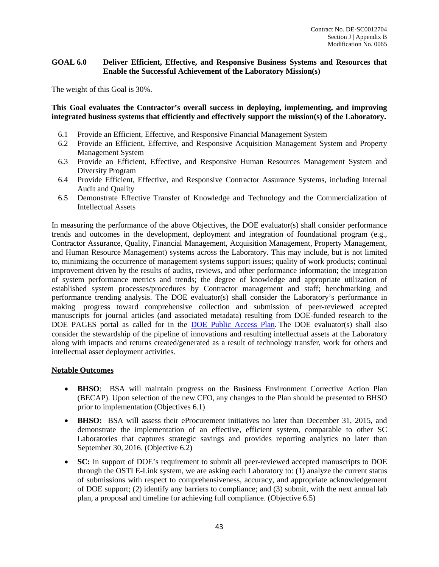## **GOAL 6.0 Deliver Efficient, Effective, and Responsive Business Systems and Resources that Enable the Successful Achievement of the Laboratory Mission(s)**

The weight of this Goal is 30%.

## **This Goal evaluates the Contractor's overall success in deploying, implementing, and improving integrated business systems that efficiently and effectively support the mission(s) of the Laboratory.**

- 6.1 Provide an Efficient, Effective, and Responsive Financial Management System
- 6.2 Provide an Efficient, Effective, and Responsive Acquisition Management System and Property Management System
- 6.3 Provide an Efficient, Effective, and Responsive Human Resources Management System and Diversity Program
- 6.4 Provide Efficient, Effective, and Responsive Contractor Assurance Systems, including Internal Audit and Quality
- 6.5 Demonstrate Effective Transfer of Knowledge and Technology and the Commercialization of Intellectual Assets

In measuring the performance of the above Objectives, the DOE evaluator(s) shall consider performance trends and outcomes in the development, deployment and integration of foundational program (e.g., Contractor Assurance, Quality, Financial Management, Acquisition Management, Property Management, and Human Resource Management) systems across the Laboratory. This may include, but is not limited to, minimizing the occurrence of management systems support issues; quality of work products; continual improvement driven by the results of audits, reviews, and other performance information; the integration of system performance metrics and trends; the degree of knowledge and appropriate utilization of established system processes/procedures by Contractor management and staff; benchmarking and performance trending analysis. The DOE evaluator(s) shall consider the Laboratory's performance in making progress toward comprehensive collection and submission of peer-reviewed accepted manuscripts for journal articles (and associated metadata) resulting from DOE-funded research to the DOE PAGES portal as called for in the [DOE Public Access Plan.](http://www.energy.gov/downloads/doe-public-access-plan) The DOE evaluator(s) shall also consider the stewardship of the pipeline of innovations and resulting intellectual assets at the Laboratory along with impacts and returns created/generated as a result of technology transfer, work for others and intellectual asset deployment activities.

## **Notable Outcomes**

- **BHSO**: BSA will maintain progress on the Business Environment Corrective Action Plan (BECAP). Upon selection of the new CFO, any changes to the Plan should be presented to BHSO prior to implementation (Objectives 6.1)
- **BHSO:** BSA will assess their eProcurement initiatives no later than December 31, 2015, and demonstrate the implementation of an effective, efficient system, comparable to other SC Laboratories that captures strategic savings and provides reporting analytics no later than September 30, 2016. (Objective 6.2)
- **SC:** In support of DOE's requirement to submit all peer-reviewed accepted manuscripts to DOE through the OSTI E-Link system, we are asking each Laboratory to: (1) analyze the current status of submissions with respect to comprehensiveness, accuracy, and appropriate acknowledgement of DOE support; (2) identify any barriers to compliance; and (3) submit, with the next annual lab plan, a proposal and timeline for achieving full compliance. (Objective 6.5)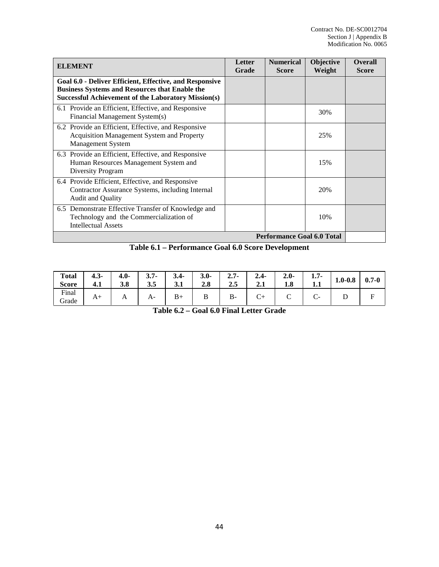| <b>ELEMENT</b>                                                                                                                                                                 | Letter<br>Grade | <b>Numerical</b><br><b>Score</b>  | Objective<br>Weight | <b>Overall</b><br><b>Score</b> |
|--------------------------------------------------------------------------------------------------------------------------------------------------------------------------------|-----------------|-----------------------------------|---------------------|--------------------------------|
| Goal 6.0 - Deliver Efficient, Effective, and Responsive<br><b>Business Systems and Resources that Enable the</b><br><b>Successful Achievement of the Laboratory Mission(s)</b> |                 |                                   |                     |                                |
| 6.1 Provide an Efficient, Effective, and Responsive<br>Financial Management System(s)                                                                                          |                 |                                   | 30%                 |                                |
| 6.2 Provide an Efficient, Effective, and Responsive<br>Acquisition Management System and Property<br><b>Management System</b>                                                  |                 |                                   | 25%                 |                                |
| 6.3 Provide an Efficient, Effective, and Responsive<br>Human Resources Management System and<br>Diversity Program                                                              |                 |                                   | 15%                 |                                |
| 6.4 Provide Efficient, Effective, and Responsive<br>Contractor Assurance Systems, including Internal<br>Audit and Quality                                                      |                 |                                   | 20%                 |                                |
| 6.5 Demonstrate Effective Transfer of Knowledge and<br>Technology and the Commercialization of<br><b>Intellectual Assets</b>                                                   |                 |                                   | 10%                 |                                |
|                                                                                                                                                                                |                 | <b>Performance Goal 6.0 Total</b> |                     |                                |

**Table 6.1 – Performance Goal 6.0 Score Development**

| <b>Total</b><br><b>Score</b> | $4.3 -$<br><b>4.1</b> | $4.0-$<br>3.8 | $3.7 -$<br>3.5 | $3.4 -$<br>э.1 | $3.0-$<br>2.8 | $2.7 -$<br>2.J | $2.4 -$<br>4.I | $2.0 -$<br>1.0 | $\pm$ ./-<br>1.1 | $1.0 - 0.8$ | $0.7 - 0$ |
|------------------------------|-----------------------|---------------|----------------|----------------|---------------|----------------|----------------|----------------|------------------|-------------|-----------|
| Final<br>Grade               | A+                    | A             | $A^-$          | D<br>D+        |               | D-             |                |                |                  |             |           |

**Table 6.2 – Goal 6.0 Final Letter Grade**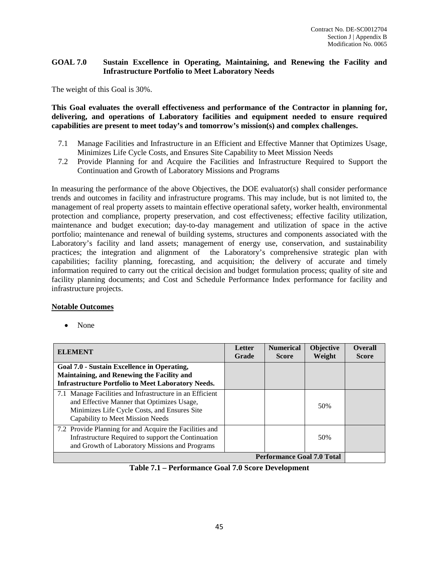## **GOAL 7.0 Sustain Excellence in Operating, Maintaining, and Renewing the Facility and Infrastructure Portfolio to Meet Laboratory Needs**

The weight of this Goal is 30%.

## **This Goal evaluates the overall effectiveness and performance of the Contractor in planning for, delivering, and operations of Laboratory facilities and equipment needed to ensure required capabilities are present to meet today's and tomorrow's mission(s) and complex challenges.**

- 7.1 Manage Facilities and Infrastructure in an Efficient and Effective Manner that Optimizes Usage, Minimizes Life Cycle Costs, and Ensures Site Capability to Meet Mission Needs
- 7.2 Provide Planning for and Acquire the Facilities and Infrastructure Required to Support the Continuation and Growth of Laboratory Missions and Programs

In measuring the performance of the above Objectives, the DOE evaluator(s) shall consider performance trends and outcomes in facility and infrastructure programs. This may include, but is not limited to, the management of real property assets to maintain effective operational safety, worker health, environmental protection and compliance, property preservation, and cost effectiveness; effective facility utilization, maintenance and budget execution; day-to-day management and utilization of space in the active portfolio; maintenance and renewal of building systems, structures and components associated with the Laboratory's facility and land assets; management of energy use, conservation, and sustainability practices; the integration and alignment of the Laboratory's comprehensive strategic plan with capabilities; facility planning, forecasting, and acquisition; the delivery of accurate and timely information required to carry out the critical decision and budget formulation process; quality of site and facility planning documents; and Cost and Schedule Performance Index performance for facility and infrastructure projects.

## **Notable Outcomes**

• None

| <b>ELEMENT</b>                                                                                                                                                                             | Letter<br><b>Grade</b> | <b>Numerical</b><br><b>Score</b>  | <b>Objective</b><br>Weight | <b>Overall</b><br><b>Score</b> |
|--------------------------------------------------------------------------------------------------------------------------------------------------------------------------------------------|------------------------|-----------------------------------|----------------------------|--------------------------------|
| Goal 7.0 - Sustain Excellence in Operating,<br>Maintaining, and Renewing the Facility and<br><b>Infrastructure Portfolio to Meet Laboratory Needs.</b>                                     |                        |                                   |                            |                                |
| 7.1 Manage Facilities and Infrastructure in an Efficient<br>and Effective Manner that Optimizes Usage,<br>Minimizes Life Cycle Costs, and Ensures Site<br>Capability to Meet Mission Needs |                        |                                   | 50%                        |                                |
| 7.2 Provide Planning for and Acquire the Facilities and<br>Infrastructure Required to support the Continuation<br>and Growth of Laboratory Missions and Programs                           |                        |                                   | 50%                        |                                |
|                                                                                                                                                                                            |                        | <b>Performance Goal 7.0 Total</b> |                            |                                |

**Table 7.1 – Performance Goal 7.0 Score Development**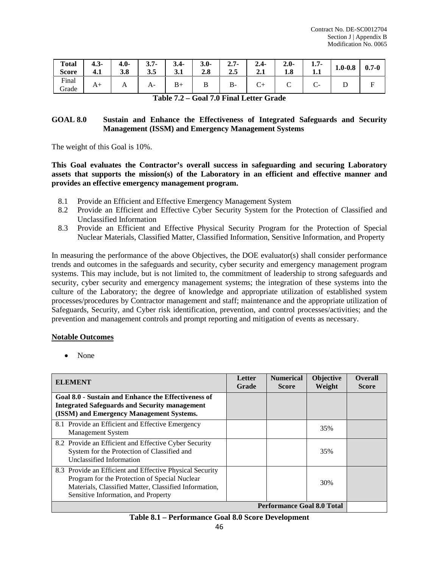| <b>Total</b><br><b>Score</b> | <b>C</b> I<br>$4.3 -$<br>4.1 | $4.0-$<br>ാ െ<br>э.о | 2 <sub>7</sub><br>$3.1 -$<br>3.5 | $3.4 -$<br>J.L | $3.0 -$<br>$\Omega$<br>4.0 | 27<br>$\frac{2}{\pi}$ .<br>∠.ວ | $2.4 -$<br>◢… | $2.0 -$<br>1.0 | $\overline{ }$<br>$1.7 -$<br>1.1 | $1.0 - 0.8$ | $0.7 - 0$ |
|------------------------------|------------------------------|----------------------|----------------------------------|----------------|----------------------------|--------------------------------|---------------|----------------|----------------------------------|-------------|-----------|
| Final<br>Grade               | $A+$                         | $\Gamma$             | $A^-$                            | $B+$           | π,                         | ь-                             |               |                | -                                |             |           |

| Table 7.2 – Goal 7.0 Final Letter Grade |  |  |  |  |  |
|-----------------------------------------|--|--|--|--|--|
|-----------------------------------------|--|--|--|--|--|

## **GOAL 8.0 Sustain and Enhance the Effectiveness of Integrated Safeguards and Security Management (ISSM) and Emergency Management Systems**

The weight of this Goal is 10%.

**This Goal evaluates the Contractor's overall success in safeguarding and securing Laboratory assets that supports the mission(s) of the Laboratory in an efficient and effective manner and provides an effective emergency management program.**

- 8.1 Provide an Efficient and Effective Emergency Management System
- 8.2 Provide an Efficient and Effective Cyber Security System for the Protection of Classified and Unclassified Information
- 8.3 Provide an Efficient and Effective Physical Security Program for the Protection of Special Nuclear Materials, Classified Matter, Classified Information, Sensitive Information, and Property

In measuring the performance of the above Objectives, the DOE evaluator(s) shall consider performance trends and outcomes in the safeguards and security, cyber security and emergency management program systems. This may include, but is not limited to, the commitment of leadership to strong safeguards and security, cyber security and emergency management systems; the integration of these systems into the culture of the Laboratory; the degree of knowledge and appropriate utilization of established system processes/procedures by Contractor management and staff; maintenance and the appropriate utilization of Safeguards, Security, and Cyber risk identification, prevention, and control processes/activities; and the prevention and management controls and prompt reporting and mitigation of events as necessary.

### **Notable Outcomes**

• None

| <b>ELEMENT</b>                                                                                                                                                                                            | Letter<br>Grade | <b>Numerical</b><br><b>Score</b>  | Objective<br>Weight | <b>Overall</b><br><b>Score</b> |
|-----------------------------------------------------------------------------------------------------------------------------------------------------------------------------------------------------------|-----------------|-----------------------------------|---------------------|--------------------------------|
| Goal 8.0 - Sustain and Enhance the Effectiveness of<br><b>Integrated Safeguards and Security management</b><br>(ISSM) and Emergency Management Systems.                                                   |                 |                                   |                     |                                |
| 8.1 Provide an Efficient and Effective Emergency<br><b>Management System</b>                                                                                                                              |                 |                                   | 35%                 |                                |
| 8.2 Provide an Efficient and Effective Cyber Security<br>System for the Protection of Classified and<br>Unclassified Information                                                                          |                 |                                   | 35%                 |                                |
| 8.3 Provide an Efficient and Effective Physical Security<br>Program for the Protection of Special Nuclear<br>Materials, Classified Matter, Classified Information,<br>Sensitive Information, and Property |                 |                                   | 30%                 |                                |
|                                                                                                                                                                                                           |                 | <b>Performance Goal 8.0 Total</b> |                     |                                |

### **Table 8.1 – Performance Goal 8.0 Score Development**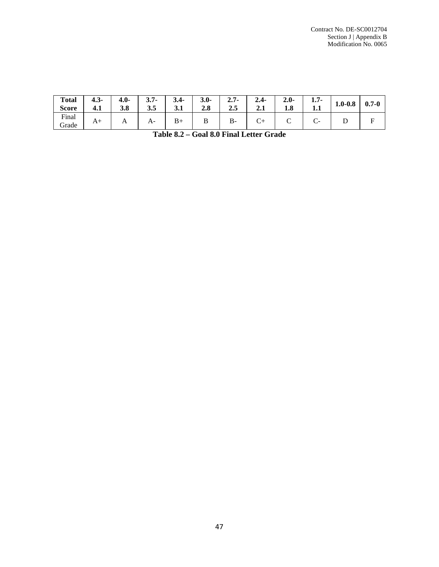| <b>Total</b><br><b>Score</b> | $4.3 -$<br>4.1 | $4.0-$<br>20<br>э.о | 2 <sub>7</sub><br>$3.1 -$<br>9.9 | $3.4 -$<br>J.I | $3.0 -$<br>2.8 | $2.7 -$<br>∠.ວ | $2.4 -$<br>4.L | $2.0 -$<br>1.0 | --<br>$1.7 -$<br>1.1 | $1.0 - 0.8$ | $0.7 - 0$ |
|------------------------------|----------------|---------------------|----------------------------------|----------------|----------------|----------------|----------------|----------------|----------------------|-------------|-----------|
| Final<br>Grade               | $A+$           | $\Delta$            | $A^-$                            | $B+$           |                | D-             | ั              | ◡              |                      |             |           |

**Table 8.2 – Goal 8.0 Final Letter Grade**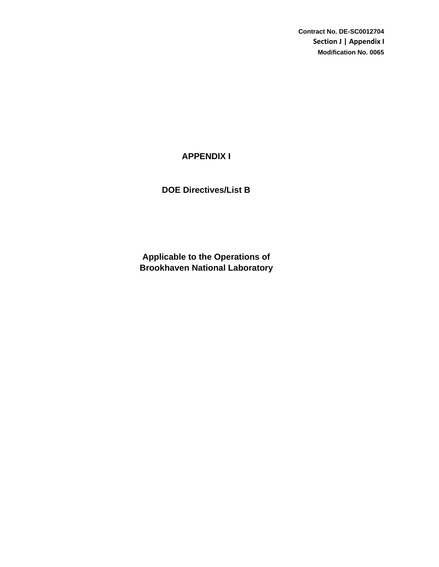**Contract No. DE-SC0012704 Section J | Appendix I Modification No. 0065**

# **APPENDIX I**

**DOE Directives/List B**

**Brookhaven National Laboratory Applicable to the Operations of**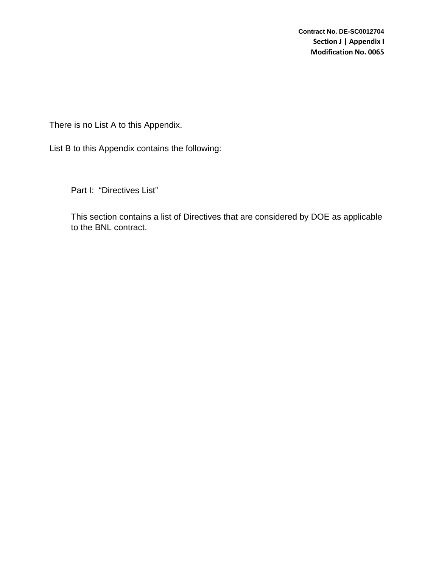There is no List A to this Appendix.

List B to this Appendix contains the following:

Part I: "Directives List"

This section contains a list of Directives that are considered by DOE as applicable to the BNL contract.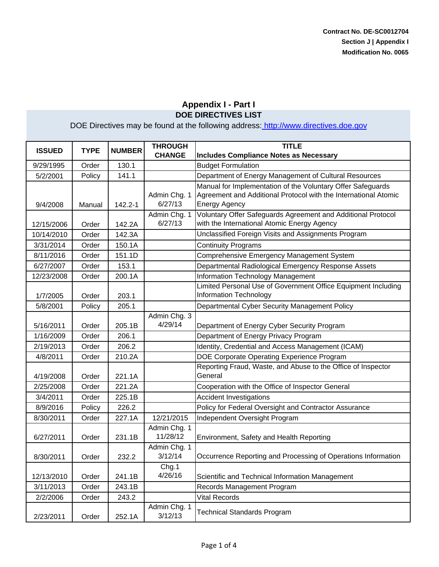| <b>ISSUED</b> | <b>TYPE</b> | <b>NUMBER</b> | <b>THROUGH</b> | <b>TITLE</b>                                                    |
|---------------|-------------|---------------|----------------|-----------------------------------------------------------------|
|               |             |               | <b>CHANGE</b>  | Includes Compliance Notes as Necessary                          |
| 9/29/1995     | Order       | 130.1         |                | <b>Budget Formulation</b>                                       |
| 5/2/2001      | Policy      | 141.1         |                | Department of Energy Management of Cultural Resources           |
|               |             |               |                | Manual for Implementation of the Voluntary Offer Safeguards     |
|               |             |               | Admin Chg. 1   | Agreement and Additional Protocol with the International Atomic |
| 9/4/2008      | Manual      | 142.2-1       | 6/27/13        | <b>Energy Agency</b>                                            |
|               |             |               | Admin Chg. 1   | Voluntary Offer Safeguards Agreement and Additional Protocol    |
| 12/15/2006    | Order       | 142.2A        | 6/27/13        | with the International Atomic Energy Agency                     |
| 10/14/2010    | Order       | 142.3A        |                | Unclassified Foreign Visits and Assignments Program             |
| 3/31/2014     | Order       | 150.1A        |                | <b>Continuity Programs</b>                                      |
| 8/11/2016     | Order       | 151.1D        |                | Comprehensive Emergency Management System                       |
| 6/27/2007     | Order       | 153.1         |                | Departmental Radiological Emergency Response Assets             |
| 12/23/2008    | Order       | 200.1A        |                | Information Technology Management                               |
|               |             |               |                | Limited Personal Use of Government Office Equipment Including   |
| 1/7/2005      | Order       | 203.1         |                | <b>Information Technology</b>                                   |
| 5/8/2001      | Policy      | 205.1         |                | Departmental Cyber Security Management Policy                   |
|               |             |               | Admin Chg. 3   |                                                                 |
| 5/16/2011     | Order       | 205.1B        | 4/29/14        | Department of Energy Cyber Security Program                     |
| 1/16/2009     | Order       | 206.1         |                | Department of Energy Privacy Program                            |
| 2/19/2013     | Order       | 206.2         |                | Identity, Credential and Access Management (ICAM)               |
| 4/8/2011      | Order       | 210.2A        |                | DOE Corporate Operating Experience Program                      |
|               |             |               |                | Reporting Fraud, Waste, and Abuse to the Office of Inspector    |
| 4/19/2008     | Order       | 221.1A        |                | General                                                         |
| 2/25/2008     | Order       | 221.2A        |                | Cooperation with the Office of Inspector General                |
| 3/4/2011      | Order       | 225.1B        |                | <b>Accident Investigations</b>                                  |
| 8/9/2016      | Policy      | 226.2         |                | Policy for Federal Oversight and Contractor Assurance           |
| 8/30/2011     | Order       | 227.1A        | 12/21/2015     | Independent Oversight Program                                   |
|               |             |               | Admin Chg. 1   |                                                                 |
| 6/27/2011     | Order       | 231.1B        | 11/28/12       | Environment, Safety and Health Reporting                        |
|               |             |               | Admin Chg. 1   |                                                                 |
| 8/30/2011     | Order       | 232.2         | 3/12/14        | Occurrence Reporting and Processing of Operations Information   |
|               |             |               | Chg.1          |                                                                 |
| 12/13/2010    | Order       | 241.1B        | 4/26/16        | Scientific and Technical Information Management                 |
| 3/11/2013     | Order       | 243.1B        |                | Records Management Program                                      |
| 2/2/2006      | Order       | 243.2         |                | <b>Vital Records</b>                                            |
|               |             |               | Admin Chg. 1   | <b>Technical Standards Program</b>                              |
| 2/23/2011     | Order       | 252.1A        | 3/12/13        |                                                                 |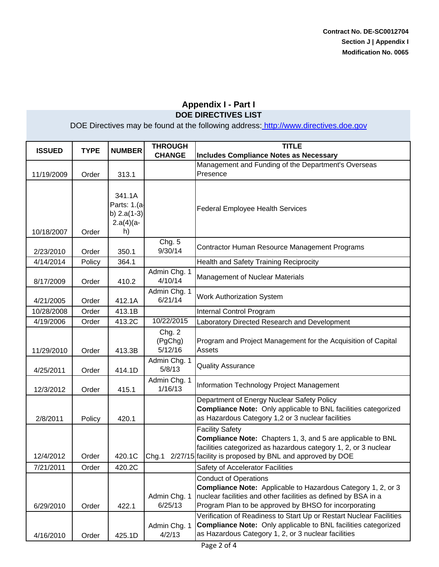| <b>ISSUED</b> | <b>TYPE</b> | <b>NUMBER</b>                                                | <b>THROUGH</b>               | <b>TITLE</b>                                                                                                                                                                                                                   |
|---------------|-------------|--------------------------------------------------------------|------------------------------|--------------------------------------------------------------------------------------------------------------------------------------------------------------------------------------------------------------------------------|
|               |             |                                                              | <b>CHANGE</b>                | <b>Includes Compliance Notes as Necessary</b>                                                                                                                                                                                  |
|               |             |                                                              |                              | Management and Funding of the Department's Overseas<br>Presence                                                                                                                                                                |
| 11/19/2009    | Order       | 313.1                                                        |                              |                                                                                                                                                                                                                                |
| 10/18/2007    | Order       | 341.1A<br>Parts: 1.(a-<br>b) $2.a(1-3)$<br>$2.a(4)(a-$<br>h) |                              | <b>Federal Employee Health Services</b>                                                                                                                                                                                        |
| 2/23/2010     | Order       | 350.1                                                        | Chg. 5<br>9/30/14            | Contractor Human Resource Management Programs                                                                                                                                                                                  |
| 4/14/2014     | Policy      | 364.1                                                        |                              | Health and Safety Training Reciprocity                                                                                                                                                                                         |
| 8/17/2009     | Order       | 410.2                                                        | Admin Chg. 1<br>4/10/14      | Management of Nuclear Materials                                                                                                                                                                                                |
| 4/21/2005     | Order       | 412.1A                                                       | Admin Chg. 1<br>6/21/14      | Work Authorization System                                                                                                                                                                                                      |
| 10/28/2008    | Order       | 413.1B                                                       |                              | Internal Control Program                                                                                                                                                                                                       |
| 4/19/2006     | Order       | 413.2C                                                       | 10/22/2015                   | Laboratory Directed Research and Development                                                                                                                                                                                   |
| 11/29/2010    | Order       | 413.3B                                                       | Chg. 2<br>(PgChg)<br>5/12/16 | Program and Project Management for the Acquisition of Capital<br>Assets                                                                                                                                                        |
| 4/25/2011     | Order       | 414.1D                                                       | Admin Chg. 1<br>5/8/13       | <b>Quality Assurance</b>                                                                                                                                                                                                       |
| 12/3/2012     | Order       | 415.1                                                        | Admin Chg. 1<br>1/16/13      | Information Technology Project Management                                                                                                                                                                                      |
| 2/8/2011      | Policy      | 420.1                                                        |                              | Department of Energy Nuclear Safety Policy<br><b>Compliance Note:</b> Only applicable to BNL facilities categorized<br>as Hazardous Category 1,2 or 3 nuclear facilities                                                       |
| 12/4/2012     | Order       | 420.1C                                                       | Chg.1                        | <b>Facility Safety</b><br><b>Compliance Note:</b> Chapters 1, 3, and 5 are applicable to BNL<br>facilities categorized as hazardous category 1, 2, or 3 nuclear<br>2/27/15 facility is proposed by BNL and approved by DOE     |
| 7/21/2011     | Order       | 420.2C                                                       |                              | Safety of Accelerator Facilities                                                                                                                                                                                               |
| 6/29/2010     | Order       | 422.1                                                        | Admin Chg. 1<br>6/25/13      | <b>Conduct of Operations</b><br><b>Compliance Note:</b> Applicable to Hazardous Category 1, 2, or 3<br>nuclear facilities and other facilities as defined by BSA in a<br>Program Plan to be approved by BHSO for incorporating |
| 4/16/2010     | Order       | 425.1D                                                       | Admin Chg. 1<br>4/2/13       | Verification of Readiness to Start Up or Restart Nuclear Facilities<br><b>Compliance Note:</b> Only applicable to BNL facilities categorized<br>as Hazardous Category 1, 2, or 3 nuclear facilities                            |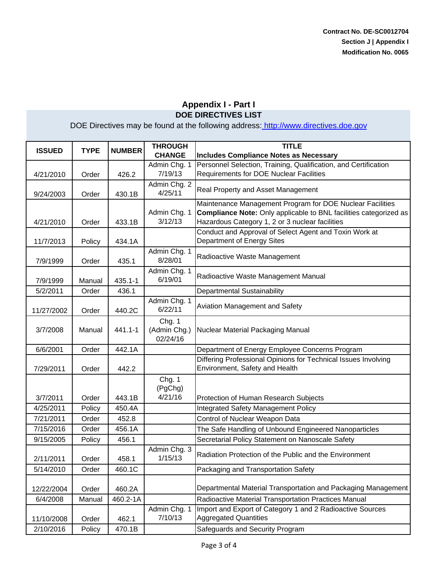| <b>ISSUED</b> | <b>TYPE</b> | <b>NUMBER</b> | <b>THROUGH</b><br><b>CHANGE</b>    | <b>TITLE</b><br><b>Includes Compliance Notes as Necessary</b>                                                                                                                            |
|---------------|-------------|---------------|------------------------------------|------------------------------------------------------------------------------------------------------------------------------------------------------------------------------------------|
|               |             |               | Admin Chg. 1                       | Personnel Selection, Training, Qualification, and Certification                                                                                                                          |
| 4/21/2010     | Order       | 426.2         | 7/19/13                            | Requirements for DOE Nuclear Facilities                                                                                                                                                  |
| 9/24/2003     | Order       | 430.1B        | Admin Chg. 2<br>4/25/11            | Real Property and Asset Management                                                                                                                                                       |
| 4/21/2010     | Order       | 433.1B        | Admin Chg. 1<br>3/12/13            | Maintenance Management Program for DOE Nuclear Facilities<br><b>Compliance Note:</b> Only applicable to BNL facilities categorized as<br>Hazardous Category 1, 2 or 3 nuclear facilities |
| 11/7/2013     | Policy      | 434.1A        |                                    | Conduct and Approval of Select Agent and Toxin Work at<br>Department of Energy Sites                                                                                                     |
| 7/9/1999      | Order       | 435.1         | Admin Chg. 1<br>8/28/01            | Radioactive Waste Management                                                                                                                                                             |
| 7/9/1999      | Manual      | $435.1 - 1$   | Admin Chg. 1<br>6/19/01            | Radioactive Waste Management Manual                                                                                                                                                      |
| 5/2/2011      | Order       | 436.1         |                                    | Departmental Sustainability                                                                                                                                                              |
| 11/27/2002    | Order       | 440.2C        | Admin Chg. 1<br>6/22/11            | Aviation Management and Safety                                                                                                                                                           |
| 3/7/2008      | Manual      | 441.1-1       | Chg. 1<br>(Admin Chg.)<br>02/24/16 | Nuclear Material Packaging Manual                                                                                                                                                        |
| 6/6/2001      | Order       | 442.1A        |                                    | Department of Energy Employee Concerns Program                                                                                                                                           |
| 7/29/2011     | Order       | 442.2         |                                    | Differing Professional Opinions for Technical Issues Involving<br>Environment, Safety and Health                                                                                         |
| 3/7/2011      | Order       | 443.1B        | Chg. 1<br>(PgChg)<br>4/21/16       | Protection of Human Research Subjects                                                                                                                                                    |
| 4/25/2011     | Policy      | 450.4A        |                                    | <b>Integrated Safety Management Policy</b>                                                                                                                                               |
| 7/21/2011     | Order       | 452.8         |                                    | Control of Nuclear Weapon Data                                                                                                                                                           |
| 7/15/2016     | Order       | 456.1A        |                                    | The Safe Handling of Unbound Engineered Nanoparticles                                                                                                                                    |
| 9/15/2005     | Policy      | 456.1         |                                    | Secretarial Policy Statement on Nanoscale Safety                                                                                                                                         |
| 2/11/2011     | Order       | 458.1         | Admin Chg. 3<br>1/15/13            | Radiation Protection of the Public and the Environment                                                                                                                                   |
| 5/14/2010     | Order       | 460.1C        |                                    | Packaging and Transportation Safety                                                                                                                                                      |
| 12/22/2004    | Order       | 460.2A        |                                    | Departmental Material Transportation and Packaging Management                                                                                                                            |
| 6/4/2008      | Manual      | 460.2-1A      |                                    | Radioactive Material Transportation Practices Manual                                                                                                                                     |
| 11/10/2008    | Order       | 462.1         | Admin Chg. 1<br>7/10/13            | Import and Export of Category 1 and 2 Radioactive Sources<br><b>Aggregated Quantities</b>                                                                                                |
| 2/10/2016     | Policy      | 470.1B        |                                    | Safeguards and Security Program                                                                                                                                                          |